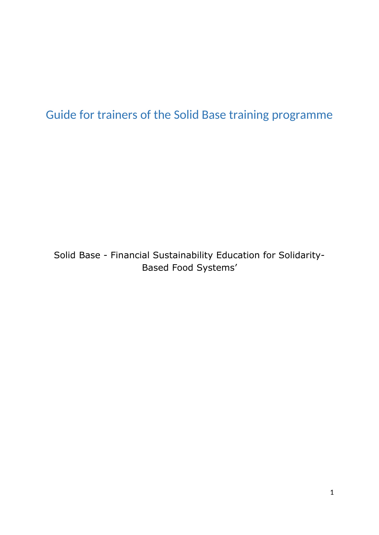# <span id="page-0-0"></span>Guide for trainers of the Solid Base training programme

Solid Base - Financial Sustainability Education for Solidarity-Based Food Systems'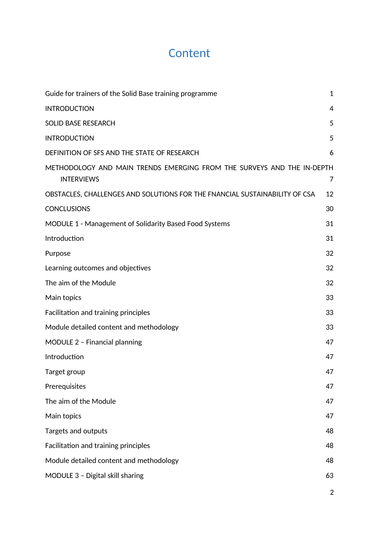# **Content**

| Guide for trainers of the Solid Base training programme                                     | $\mathbf{1}$ |
|---------------------------------------------------------------------------------------------|--------------|
| <b>INTRODUCTION</b>                                                                         | 4            |
| <b>SOLID BASE RESEARCH</b>                                                                  | 5            |
| <b>INTRODUCTION</b>                                                                         | 5            |
| DEFINITION OF SFS AND THE STATE OF RESEARCH                                                 | 6            |
| METHODOLOGY AND MAIN TRENDS EMERGING FROM THE SURVEYS AND THE IN-DEPTH<br><b>INTERVIEWS</b> | 7            |
| OBSTACLES, CHALLENGES AND SOLUTIONS FOR THE FNANCIAL SUSTAINABILITY OF CSA                  | 12           |
| <b>CONCLUSIONS</b>                                                                          | 30           |
| MODULE 1 - Management of Solidarity Based Food Systems                                      | 31           |
| Introduction                                                                                | 31           |
| Purpose                                                                                     | 32           |
| Learning outcomes and objectives                                                            | 32           |
| The aim of the Module                                                                       | 32           |
| Main topics                                                                                 | 33           |
| Facilitation and training principles                                                        | 33           |
| Module detailed content and methodology                                                     | 33           |
| MODULE 2 - Financial planning                                                               | 47           |
| Introduction                                                                                | 47           |
| Target group                                                                                | 47           |
| Prerequisites                                                                               | 47           |
| The aim of the Module                                                                       | 47           |
| Main topics                                                                                 | 47           |
| Targets and outputs                                                                         | 48           |
| Facilitation and training principles                                                        | 48           |
| Module detailed content and methodology                                                     | 48           |
| MODULE 3 - Digital skill sharing                                                            | 63           |
|                                                                                             |              |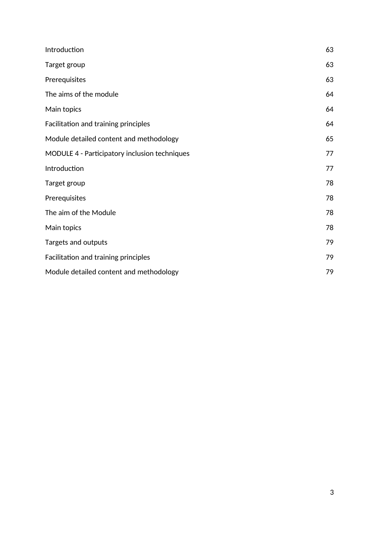| Introduction                                  | 63 |
|-----------------------------------------------|----|
| Target group                                  | 63 |
| Prerequisites                                 | 63 |
| The aims of the module                        | 64 |
| Main topics                                   | 64 |
| Facilitation and training principles          | 64 |
| Module detailed content and methodology       | 65 |
| MODULE 4 - Participatory inclusion techniques | 77 |
| Introduction                                  | 77 |
| Target group                                  | 78 |
| Prerequisites                                 | 78 |
| The aim of the Module                         | 78 |
| Main topics                                   | 78 |
| Targets and outputs                           | 79 |
| Facilitation and training principles          | 79 |
| Module detailed content and methodology       | 79 |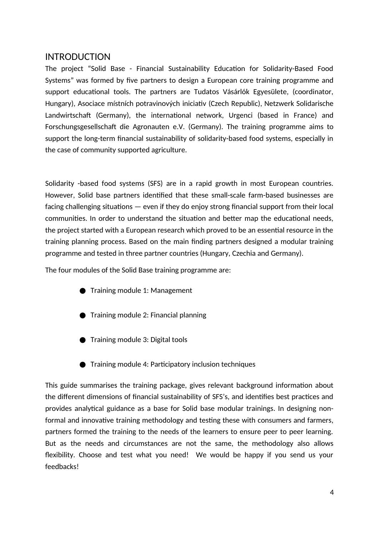## <span id="page-3-0"></span>INTRODUCTION

The project "Solid Base - Financial Sustainability Education for Solidarity-Based Food Systems" was formed by five partners to design a European core training programme and support educational tools. The partners are Tudatos Vásárlók Egyesülete, (coordinator, Hungary), Asociace místních potravinových iniciativ (Czech Republic), Netzwerk Solidarische Landwirtschaft (Germany), the international network, Urgenci (based in France) and Forschungsgesellschaft die Agronauten e.V. (Germany). The training programme aims to support the long-term financial sustainability of solidarity-based food systems, especially in the case of community supported agriculture.

Solidarity -based food systems (SFS) are in a rapid growth in most European countries. However, Solid base partners identified that these small-scale farm-based businesses are facing challenging situations — even if they do enjoy strong financial support from their local communities. In order to understand the situation and better map the educational needs, the project started with a European research which proved to be an essential resource in the training planning process. Based on the main finding partners designed a modular training programme and tested in three partner countries (Hungary, Czechia and Germany).

The four modules of the Solid Base training programme are:

- **●** Training module 1: Management
- Training module 2: Financial planning
- Training module 3: Digital tools
- Training module 4: Participatory inclusion techniques

This guide summarises the training package, gives relevant background information about the different dimensions of financial sustainability of SFS's, and identifies best practices and provides analytical guidance as a base for Solid base modular trainings. In designing nonformal and innovative training methodology and testing these with consumers and farmers, partners formed the training to the needs of the learners to ensure peer to peer learning. But as the needs and circumstances are not the same, the methodology also allows flexibility. Choose and test what you need! We would be happy if you send us your feedbacks!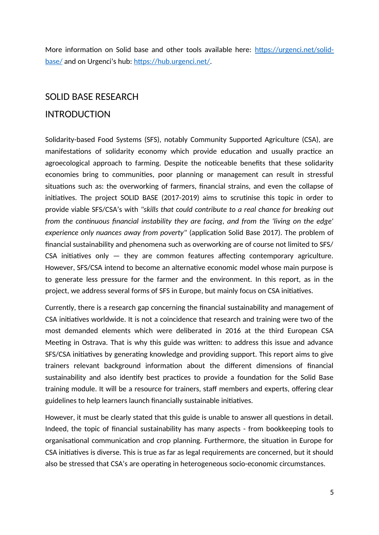More information on Solid base and other tools available here: https://urgenci.net/solidbase/ and on Urgenci's hub: https://hub.urgenci.net/.

### <span id="page-4-1"></span>SOLID BASE RESEARCH

## <span id="page-4-0"></span>INTRODUCTION

Solidarity-based Food Systems (SFS), notably Community Supported Agriculture (CSA), are manifestations of solidarity economy which provide education and usually practice an agroecological approach to farming. Despite the noticeable benefits that these solidarity economies bring to communities, poor planning or management can result in stressful situations such as: the overworking of farmers, financial strains, and even the collapse of initiatives. The project SOLID BASE (2017-2019) aims to scrutinise this topic in order to provide viable SFS/CSA's with *"skills that could contribute to a real chance for breaking out from the continuous financial instability they are facing, and from the 'living on the edge' experience only nuances away from poverty"* (application Solid Base 2017). The problem of financial sustainability and phenomena such as overworking are of course not limited to SFS/ CSA initiatives only — they are common features affecting contemporary agriculture. However, SFS/CSA intend to become an alternative economic model whose main purpose is to generate less pressure for the farmer and the environment. In this report, as in the project, we address several forms of SFS in Europe, but mainly focus on CSA initiatives.

Currently, there is a research gap concerning the financial sustainability and management of CSA initiatives worldwide. It is not a coincidence that research and training were two of the most demanded elements which were deliberated in 2016 at the third European CSA Meeting in Ostrava. That is why this guide was written: to address this issue and advance SFS/CSA initiatives by generating knowledge and providing support. This report aims to give trainers relevant background information about the different dimensions of financial sustainability and also identify best practices to provide a foundation for the Solid Base training module. It will be a resource for trainers, staff members and experts, offering clear guidelines to help learners launch financially sustainable initiatives.

However, it must be clearly stated that this guide is unable to answer all questions in detail. Indeed, the topic of financial sustainability has many aspects - from bookkeeping tools to organisational communication and crop planning. Furthermore, the situation in Europe for CSA initiatives is diverse. This is true as far as legal requirements are concerned, but it should also be stressed that CSA's are operating in heterogeneous socio-economic circumstances.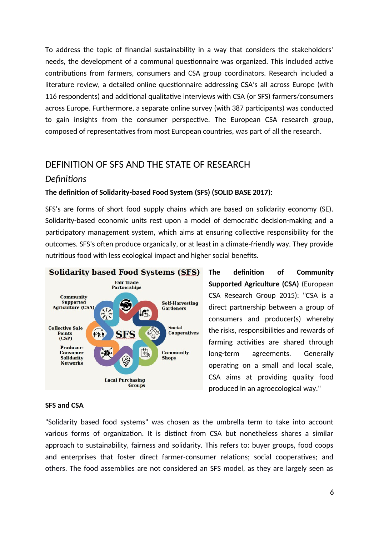To address the topic of financial sustainability in a way that considers the stakeholders' needs, the development of a communal questionnaire was organized. This included active contributions from farmers, consumers and CSA group coordinators. Research included a literature review, a detailed online questionnaire addressing CSA's all across Europe (with 116 respondents) and additional qualitative interviews with CSA (or SFS) farmers/consumers across Europe. Furthermore, a separate online survey (with 387 participants) was conducted to gain insights from the consumer perspective. The European CSA research group, composed of representatives from most European countries, was part of all the research.

## <span id="page-5-0"></span>DEFINITION OF SFS AND THE STATE OF RESEARCH

#### *Definitions*

#### **The definition of Solidarity-based Food System (SFS) (SOLID BASE 2017):**

SFS's are forms of short food supply chains which are based on solidarity economy (SE). Solidarity-based economic units rest upon a model of democratic decision-making and a participatory management system, which aims at ensuring collective responsibility for the outcomes. SFS's often produce organically, or at least in a climate-friendly way. They provide nutritious food with less ecological impact and higher social benefits.



**The definition of Community Supported Agriculture (CSA)** (European CSA Research Group 2015): "CSA is a direct partnership between a group of consumers and producer(s) whereby the risks, responsibilities and rewards of farming activities are shared through long-term agreements. Generally operating on a small and local scale, CSA aims at providing quality food produced in an agroecological way."

#### **SFS and CSA**

"Solidarity based food systems" was chosen as the umbrella term to take into account various forms of organization. It is distinct from CSA but nonetheless shares a similar approach to sustainability, fairness and solidarity. This refers to: buyer groups, food coops and enterprises that foster direct farmer-consumer relations; social cooperatives; and others. The food assemblies are not considered an SFS model, as they are largely seen as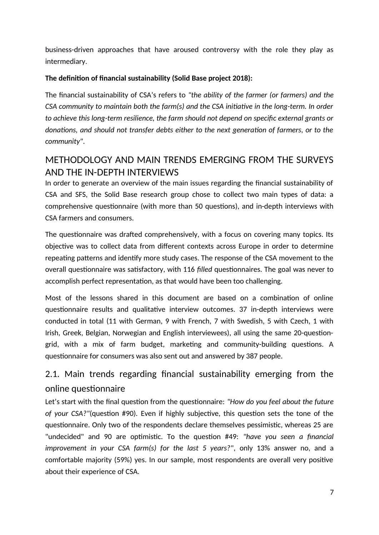business-driven approaches that have aroused controversy with the role they play as intermediary.

#### **The definition of financial sustainability (Solid Base project 2018):**

The financial sustainability of CSA's refers to *"the ability of the farmer (or farmers) and the CSA community to maintain both the farm(s) and the CSA initiative in the long-term. In order to achieve this long-term resilience, the farm should not depend on specific external grants or donations, and should not transfer debts either to the next generation of farmers, or to the community"*.

## <span id="page-6-0"></span>METHODOLOGY AND MAIN TRENDS EMERGING FROM THE SURVEYS AND THE IN-DEPTH INTERVIEWS

In order to generate an overview of the main issues regarding the financial sustainability of CSA and SFS, the Solid Base research group chose to collect two main types of data: a comprehensive questionnaire (with more than 50 questions), and in-depth interviews with CSA farmers and consumers.

The questionnaire was drafted comprehensively, with a focus on covering many topics. Its objective was to collect data from different contexts across Europe in order to determine repeating patterns and identify more study cases. The response of the CSA movement to the overall questionnaire was satisfactory, with 116 *filled* questionnaires. The goal was never to accomplish perfect representation, as that would have been too challenging.

Most of the lessons shared in this document are based on a combination of online questionnaire results and qualitative interview outcomes. 37 in-depth interviews were conducted in total (11 with German, 9 with French, 7 with Swedish, 5 with Czech, 1 with Irish, Greek, Belgian, Norwegian and English interviewees), all using the same 20-questiongrid, with a mix of farm budget, marketing and community-building questions. A questionnaire for consumers was also sent out and answered by 387 people.

## 2.1. Main trends regarding financial sustainability emerging from the online questionnaire

Let's start with the final question from the questionnaire: *"How do you feel about the future of your CSA?"*(question #90)*.* Even if highly subjective, this question sets the tone of the questionnaire. Only two of the respondents declare themselves pessimistic, whereas 25 are "undecided" and 90 are optimistic. To the question #49: *"have you seen a financial improvement in your CSA farm(s) for the last 5 years?"*, only 13% answer no, and a comfortable majority (59%) yes. In our sample, most respondents are overall very positive about their experience of CSA.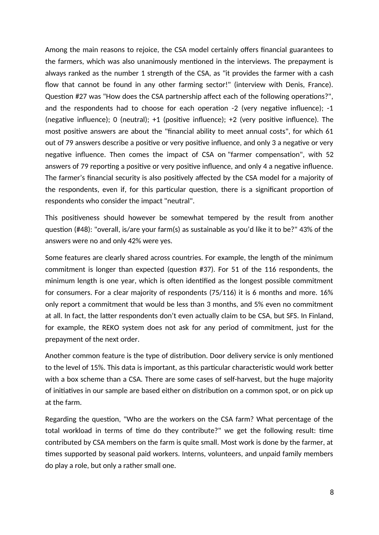Among the main reasons to rejoice, the CSA model certainly offers financial guarantees to the farmers, which was also unanimously mentioned in the interviews. The prepayment is always ranked as the number 1 strength of the CSA, as "it provides the farmer with a cash flow that cannot be found in any other farming sector!" (interview with Denis, France). Question #27 was "How does the CSA partnership affect each of the following operations?", and the respondents had to choose for each operation -2 (very negative influence); -1 (negative influence); 0 (neutral); +1 (positive influence); +2 (very positive influence). The most positive answers are about the "financial ability to meet annual costs", for which 61 out of 79 answers describe a positive or very positive influence, and only 3 a negative or very negative influence. Then comes the impact of CSA on "farmer compensation", with 52 answers of 79 reporting a positive or very positive influence, and only 4 a negative influence. The farmer's financial security is also positively affected by the CSA model for a majority of the respondents, even if, for this particular question, there is a significant proportion of respondents who consider the impact "neutral".

This positiveness should however be somewhat tempered by the result from another question (#48): "overall, is/are your farm(s) as sustainable as you'd like it to be?" 43% of the answers were no and only 42% were yes.

Some features are clearly shared across countries. For example, the length of the minimum commitment is longer than expected (question #37). For 51 of the 116 respondents, the minimum length is one year, which is often identified as the longest possible commitment for consumers. For a clear majority of respondents (75/116) it is 6 months and more. 16% only report a commitment that would be less than 3 months, and 5% even no commitment at all. In fact, the latter respondents don't even actually claim to be CSA, but SFS. In Finland, for example, the REKO system does not ask for any period of commitment, just for the prepayment of the next order.

Another common feature is the type of distribution. Door delivery service is only mentioned to the level of 15%. This data is important, as this particular characteristic would work better with a box scheme than a CSA. There are some cases of self-harvest, but the huge majority of initiatives in our sample are based either on distribution on a common spot, or on pick up at the farm.

Regarding the question, "Who are the workers on the CSA farm? What percentage of the total workload in terms of time do they contribute?" we get the following result: time contributed by CSA members on the farm is quite small. Most work is done by the farmer, at times supported by seasonal paid workers. Interns, volunteers, and unpaid family members do play a role, but only a rather small one.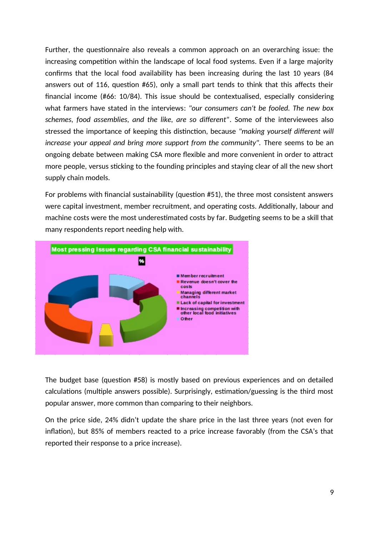Further, the questionnaire also reveals a common approach on an overarching issue: the increasing competition within the landscape of local food systems. Even if a large majority confirms that the local food availability has been increasing during the last 10 years (84 answers out of 116, question #65), only a small part tends to think that this affects their financial income (#66: 10/84). This issue should be contextualised, especially considering what farmers have stated in the interviews: *"our consumers can't be fooled. The new box schemes, food assemblies, and the like, are so different"*. Some of the interviewees also stressed the importance of keeping this distinction, because *"making yourself different will increase your appeal and bring more support from the community".* There seems to be an ongoing debate between making CSA more flexible and more convenient in order to attract more people, versus sticking to the founding principles and staying clear of all the new short supply chain models.

For problems with financial sustainability (question #51), the three most consistent answers were capital investment, member recruitment, and operating costs. Additionally, labour and machine costs were the most underestimated costs by far. Budgeting seems to be a skill that many respondents report needing help with.



The budget base (question #58) is mostly based on previous experiences and on detailed calculations (multiple answers possible). Surprisingly, estimation/guessing is the third most popular answer, more common than comparing to their neighbors.

On the price side, 24% didn't update the share price in the last three years (not even for inflation), but 85% of members reacted to a price increase favorably (from the CSA's that reported their response to a price increase).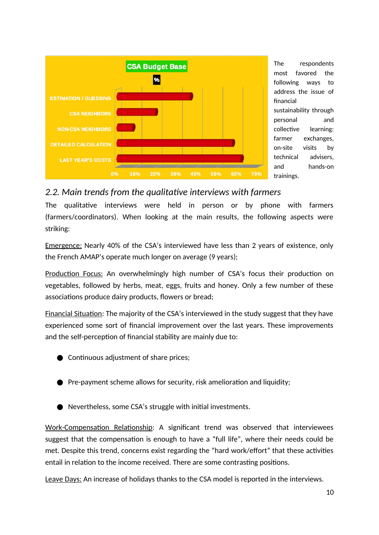

The respondents most favored the following ways to address the issue of financial sustainability through personal and collective learning: farmer exchanges, on-site visits by technical advisers, and hands-on trainings.

## *2.2. Main trends from the qualitative interviews with farmers*

The qualitative interviews were held in person or by phone with farmers (farmers/coordinators). When looking at the main results, the following aspects were striking:

Emergence: Nearly 40% of the CSA's interviewed have less than 2 years of existence, only the French AMAP's operate much longer on average (9 years);

Production Focus: An overwhelmingly high number of CSA's focus their production on vegetables, followed by herbs, meat, eggs, fruits and honey. Only a few number of these associations produce dairy products, flowers or bread;

Financial Situation: The majority of the CSA's interviewed in the study suggest that they have experienced some sort of financial improvement over the last years. These improvements and the self-perception of financial stability are mainly due to:

- Continuous adjustment of share prices;
- Pre-payment scheme allows for security, risk amelioration and liquidity;
- Nevertheless, some CSA's struggle with initial investments.

Work-Compensation Relationship: A significant trend was observed that interviewees suggest that the compensation is enough to have a "full life", where their needs could be met. Despite this trend, concerns exist regarding the "hard work/effort" that these activities entail in relation to the income received. There are some contrasting positions.

Leave Days: An increase of holidays thanks to the CSA model is reported in the interviews.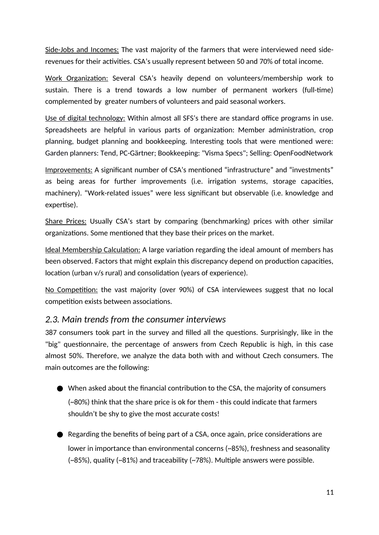Side-Jobs and Incomes: The vast majority of the farmers that were interviewed need siderevenues for their activities. CSA's usually represent between 50 and 70% of total income.

Work Organization: Several CSA's heavily depend on volunteers/membership work to sustain. There is a trend towards a low number of permanent workers (full-time) complemented by greater numbers of volunteers and paid seasonal workers.

Use of digital technology: Within almost all SFS's there are standard office programs in use. Spreadsheets are helpful in various parts of organization: Member administration, crop planning, budget planning and bookkeeping. Interesting tools that were mentioned were: Garden planners: Tend, PC-Gärtner; Bookkeeping: "Visma Specs"; Selling: OpenFoodNetwork

Improvements: A significant number of CSA's mentioned "infrastructure" and "investments" as being areas for further improvements (i.e. irrigation systems, storage capacities, machinery). "Work-related issues" were less significant but observable (i.e. knowledge and expertise).

Share Prices: Usually CSA's start by comparing (benchmarking) prices with other similar organizations. Some mentioned that they base their prices on the market.

Ideal Membership Calculation: A large variation regarding the ideal amount of members has been observed. Factors that might explain this discrepancy depend on production capacities, location (urban v/s rural) and consolidation (years of experience).

No Competition: the vast majority (over 90%) of CSA interviewees suggest that no local competition exists between associations.

## *2.3. Main trends from the consumer interviews*

387 consumers took part in the survey and filled all the questions. Surprisingly, like in the "big" questionnaire, the percentage of answers from Czech Republic is high, in this case almost 50%. Therefore, we analyze the data both with and without Czech consumers. The main outcomes are the following:

- $\bullet$  When asked about the financial contribution to the CSA, the majority of consumers (~80%) think that the share price is ok for them - this could indicate that farmers shouldn't be shy to give the most accurate costs!
- Regarding the benefits of being part of a CSA, once again, price considerations are lower in importance than environmental concerns (~85%), freshness and seasonality (~85%), quality (~81%) and traceability (~78%). Multiple answers were possible.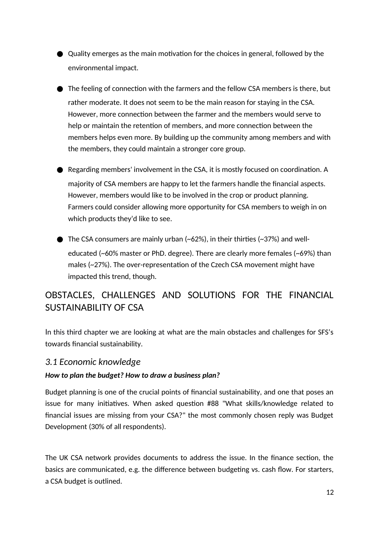- Quality emerges as the main motivation for the choices in general, followed by the environmental impact.
- The feeling of connection with the farmers and the fellow CSA members is there, but rather moderate. It does not seem to be the main reason for staying in the CSA. However, more connection between the farmer and the members would serve to help or maintain the retention of members, and more connection between the members helps even more. By building up the community among members and with the members, they could maintain a stronger core group.
- Regarding members' involvement in the CSA, it is mostly focused on coordination. A majority of CSA members are happy to let the farmers handle the financial aspects. However, members would like to be involved in the crop or product planning. Farmers could consider allowing more opportunity for CSA members to weigh in on which products they'd like to see.
- $\bullet$  The CSA consumers are mainly urban (~62%), in their thirties (~37%) and welleducated (~60% master or PhD. degree). There are clearly more females (~69%) than males (~27%). The over-representation of the Czech CSA movement might have impacted this trend, though.

## <span id="page-11-0"></span>OBSTACLES, CHALLENGES AND SOLUTIONS FOR THE FINANCIAL SUSTAINABILITY OF CSA

In this third chapter we are looking at what are the main obstacles and challenges for SFS's towards financial sustainability.

## *3.1 Economic knowledge*

#### *How to plan the budget? How to draw a business plan?*

Budget planning is one of the crucial points of financial sustainability, and one that poses an issue for many initiatives. When asked question #88 "What skills/knowledge related to financial issues are missing from your CSA?" the most commonly chosen reply was Budget Development (30% of all respondents).

The UK CSA network provides documents to address the issue. In the finance section, the basics are communicated, e.g. the difference between budgeting vs. cash flow. For starters, a CSA budget is outlined.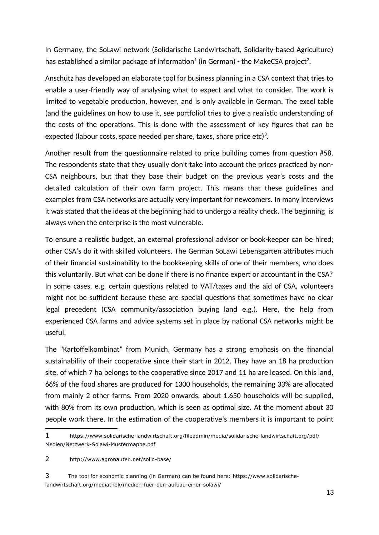In Germany, the SoLawi network (Solidarische Landwirtschaft, Solidarity-based Agriculture) has established a similar package of information $^{\scriptscriptstyle 1}$  $^{\scriptscriptstyle 1}$  $^{\scriptscriptstyle 1}$  (in German) - the MakeCSA project $^{\scriptscriptstyle 2}$  $^{\scriptscriptstyle 2}$  $^{\scriptscriptstyle 2}$ .

Anschütz has developed an elaborate tool for business planning in a CSA context that tries to enable a user-friendly way of analysing what to expect and what to consider. The work is limited to vegetable production, however, and is only available in German. The excel table (and the guidelines on how to use it, see portfolio) tries to give a realistic understanding of the costs of the operations. This is done with the assessment of key figures that can be expected (labour costs, space needed per share, taxes, share price etc) $^3.$  $^3.$  $^3.$ 

Another result from the questionnaire related to price building comes from question #58. The respondents state that they usually don't take into account the prices practiced by non-CSA neighbours, but that they base their budget on the previous year's costs and the detailed calculation of their own farm project. This means that these guidelines and examples from CSA networks are actually very important for newcomers. In many interviews it was stated that the ideas at the beginning had to undergo a reality check. The beginning is always when the enterprise is the most vulnerable.

To ensure a realistic budget, an external professional advisor or book-keeper can be hired; other CSA's do it with skilled volunteers. The German SoLawi Lebensgarten attributes much of their financial sustainability to the bookkeeping skills of one of their members, who does this voluntarily. But what can be done if there is no finance expert or accountant in the CSA? In some cases, e.g. certain questions related to VAT/taxes and the aid of CSA, volunteers might not be sufficient because these are special questions that sometimes have no clear legal precedent (CSA community/association buying land e.g.). Here, the help from experienced CSA farms and advice systems set in place by national CSA networks might be useful.

The "Kartoffelkombinat" from Munich, Germany has a strong emphasis on the financial sustainability of their cooperative since their start in 2012. They have an 18 ha production site, of which 7 ha belongs to the cooperative since 2017 and 11 ha are leased. On this land, 66% of the food shares are produced for 1300 households, the remaining 33% are allocated from mainly 2 other farms. From 2020 onwards, about 1.650 households will be supplied, with 80% from its own production, which is seen as optimal size. At the moment about 30 people work there. In the estimation of the cooperative's members it is important to point

<span id="page-12-0"></span><sup>1</sup> https://www.solidarische-landwirtschaft.org/fileadmin/media/solidarische-landwirtschaft.org/pdf/ Medien/Netzwerk-Solawi-Mustermappe.pdf

<span id="page-12-1"></span><sup>2</sup> http://www.agronauten.net/solid-base/

<span id="page-12-2"></span><sup>3</sup> The tool for economic planning (in German) can be found here: https://www.solidarischelandwirtschaft.org/mediathek/medien-fuer-den-aufbau-einer-solawi/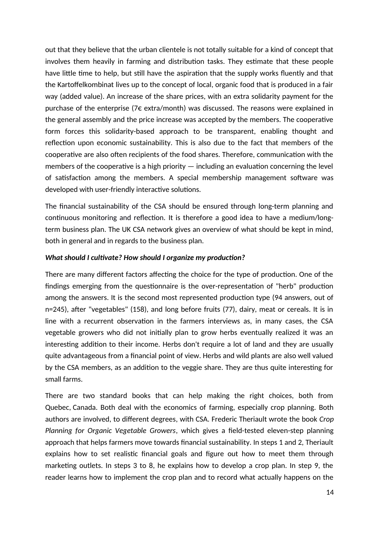out that they believe that the urban clientele is not totally suitable for a kind of concept that involves them heavily in farming and distribution tasks. They estimate that these people have little time to help, but still have the aspiration that the supply works fluently and that the Kartoffelkombinat lives up to the concept of local, organic food that is produced in a fair way (added value). An increase of the share prices, with an extra solidarity payment for the purchase of the enterprise (7€ extra/month) was discussed. The reasons were explained in the general assembly and the price increase was accepted by the members. The cooperative form forces this solidarity-based approach to be transparent, enabling thought and reflection upon economic sustainability. This is also due to the fact that members of the cooperative are also often recipients of the food shares. Therefore, communication with the members of the cooperative is a high priority  $-$  including an evaluation concerning the level of satisfaction among the members. A special membership management software was developed with user-friendly interactive solutions.

The financial sustainability of the CSA should be ensured through long-term planning and continuous monitoring and reflection. It is therefore a good idea to have a medium/longterm business plan. The UK CSA network gives an overview of what should be kept in mind, both in general and in regards to the business plan.

#### *What should I cultivate? How should I organize my production?*

There are many different factors affecting the choice for the type of production. One of the findings emerging from the questionnaire is the over-representation of "herb" production among the answers. It is the second most represented production type (94 answers, out of n=245), after "vegetables" (158), and long before fruits (77), dairy, meat or cereals. It is in line with a recurrent observation in the farmers interviews as, in many cases, the CSA vegetable growers who did not initially plan to grow herbs eventually realized it was an interesting addition to their income. Herbs don't require a lot of land and they are usually quite advantageous from a financial point of view. Herbs and wild plants are also well valued by the CSA members, as an addition to the veggie share. They are thus quite interesting for small farms.

There are two standard books that can help making the right choices, both from Quebec, Canada. Both deal with the economics of farming, especially crop planning. Both authors are involved, to different degrees, with CSA. Frederic Theriault wrote the book *Crop Planning for Organic Vegetable Growers*, which gives a field-tested eleven-step planning approach that helps farmers move towards financial sustainability. In steps 1 and 2, Theriault explains how to set realistic financial goals and figure out how to meet them through marketing outlets. In steps 3 to 8, he explains how to develop a crop plan. In step 9, the reader learns how to implement the crop plan and to record what actually happens on the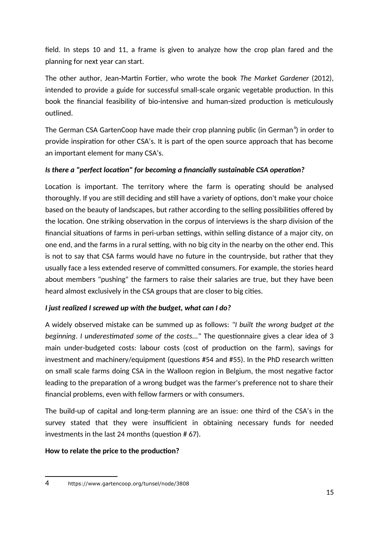field. In steps 10 and 11, a frame is given to analyze how the crop plan fared and the planning for next year can start.

The other author, Jean-Martin Fortier, who wrote the book *The Market Gardener* (2012), intended to provide a guide for successful small-scale organic vegetable production. In this book the financial feasibility of bio-intensive and human-sized production is meticulously outlined.

The German CSA GartenCoop have made their crop planning public (in German $^4$  $^4$ ) in order to provide inspiration for other CSA's. It is part of the open source approach that has become an important element for many CSA's.

#### *Is there a "perfect location" for becoming a financially sustainable CSA operation?*

Location is important. The territory where the farm is operating should be analysed thoroughly. If you are still deciding and still have a variety of options, don't make your choice based on the beauty of landscapes, but rather according to the selling possibilities offered by the location. One striking observation in the corpus of interviews is the sharp division of the financial situations of farms in peri-urban settings, within selling distance of a major city, on one end, and the farms in a rural setting, with no big city in the nearby on the other end. This is not to say that CSA farms would have no future in the countryside, but rather that they usually face a less extended reserve of committed consumers. For example, the stories heard about members "pushing" the farmers to raise their salaries are true, but they have been heard almost exclusively in the CSA groups that are closer to big cities.

#### *I just realized I screwed up with the budget, what can I do?*

A widely observed mistake can be summed up as follows: *"I built the wrong budget at the beginning. I underestimated some of the costs..."* The questionnaire gives a clear idea of 3 main under-budgeted costs: labour costs (cost of production on the farm), savings for investment and machinery/equipment (questions #54 and #55). In the PhD research written on small scale farms doing CSA in the Walloon region in Belgium, the most negative factor leading to the preparation of a wrong budget was the farmer's preference not to share their financial problems, even with fellow farmers or with consumers.

The build-up of capital and long-term planning are an issue: one third of the CSA's in the survey stated that they were insufficient in obtaining necessary funds for needed investments in the last 24 months (question # 67).

#### **How to relate the price to the production?**

<span id="page-14-0"></span><sup>4</sup> https://www.gartencoop.org/tunsel/node/3808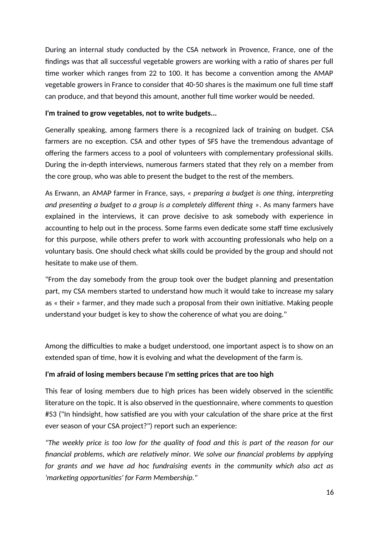During an internal study conducted by the CSA network in Provence, France, one of the findings was that all successful vegetable growers are working with a ratio of shares per full time worker which ranges from 22 to 100. It has become a convention among the AMAP vegetable growers in France to consider that 40-50 shares is the maximum one full time staff can produce, and that beyond this amount, another full time worker would be needed.

#### **I'm trained to grow vegetables, not to write budgets...**

Generally speaking, among farmers there is a recognized lack of training on budget. CSA farmers are no exception. CSA and other types of SFS have the tremendous advantage of offering the farmers access to a pool of volunteers with complementary professional skills. During the in-depth interviews, numerous farmers stated that they rely on a member from the core group, who was able to present the budget to the rest of the members.

As Erwann, an AMAP farmer in France, says, *« preparing a budget is one thing, interpreting and presenting a budget to a group is a completely different thing »*. As many farmers have explained in the interviews, it can prove decisive to ask somebody with experience in accounting to help out in the process. Some farms even dedicate some staff time exclusively for this purpose, while others prefer to work with accounting professionals who help on a voluntary basis. One should check what skills could be provided by the group and should not hesitate to make use of them.

"From the day somebody from the group took over the budget planning and presentation part, my CSA members started to understand how much it would take to increase my salary as « their » farmer, and they made such a proposal from their own initiative. Making people understand your budget is key to show the coherence of what you are doing."

Among the difficulties to make a budget understood, one important aspect is to show on an extended span of time, how it is evolving and what the development of the farm is.

#### **I'm afraid of losing members because I'm setting prices that are too high**

This fear of losing members due to high prices has been widely observed in the scientific literature on the topic. It is also observed in the questionnaire, where comments to question #53 ("In hindsight, how satisfied are you with your calculation of the share price at the first ever season of your CSA project?") report such an experience:

*"The weekly price is too low for the quality of food and this is part of the reason for our financial problems, which are relatively minor. We solve our financial problems by applying for grants and we have ad hoc fundraising events in the community which also act as 'marketing opportunities' for Farm Membership."*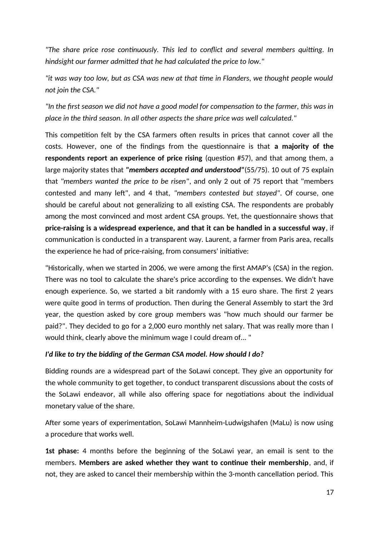*"The share price rose continuously. This led to conflict and several members quitting. In hindsight our farmer admitted that he had calculated the price to low."*

*"it was way too low, but as CSA was new at that time in Flanders, we thought people would not join the CSA."*

*"In the first season we did not have a good model for compensation to the farmer, this was in place in the third season. In all other aspects the share price was well calculated."*

This competition felt by the CSA farmers often results in prices that cannot cover all the costs. However, one of the findings from the questionnaire is that **a majority of the respondents report an experience of price rising** (question #57), and that among them, a large majority states that *"members accepted and understood"*(55/75). 10 out of 75 explain that *"members wanted the price to be risen"*, and only 2 out of 75 report that "members contested and many left", and 4 that, *"members contested but stayed"*. Of course, one should be careful about not generalizing to all existing CSA. The respondents are probably among the most convinced and most ardent CSA groups. Yet, the questionnaire shows that **price-raising is a widespread experience, and that it can be handled in a successful way**, if communication is conducted in a transparent way. Laurent, a farmer from Paris area, recalls the experience he had of price-raising, from consumers' initiative:

"Historically, when we started in 2006, we were among the first AMAP's (CSA) in the region. There was no tool to calculate the share's price according to the expenses. We didn't have enough experience. So, we started a bit randomly with a 15 euro share. The first 2 years were quite good in terms of production. Then during the General Assembly to start the 3rd year, the question asked by core group members was "how much should our farmer be paid?". They decided to go for a 2,000 euro monthly net salary. That was really more than I would think, clearly above the minimum wage I could dream of... "

#### *I'd like to try the bidding of the German CSA model. How should I do?*

Bidding rounds are a widespread part of the SoLawi concept. They give an opportunity for the whole community to get together, to conduct transparent discussions about the costs of the SoLawi endeavor, all while also offering space for negotiations about the individual monetary value of the share.

After some years of experimentation, SoLawi Mannheim-Ludwigshafen (MaLu) is now using a procedure that works well.

**1st phase:** 4 months before the beginning of the SoLawi year, an email is sent to the members. **Members are asked whether they want to continue their membership**, and, if not, they are asked to cancel their membership within the 3-month cancellation period. This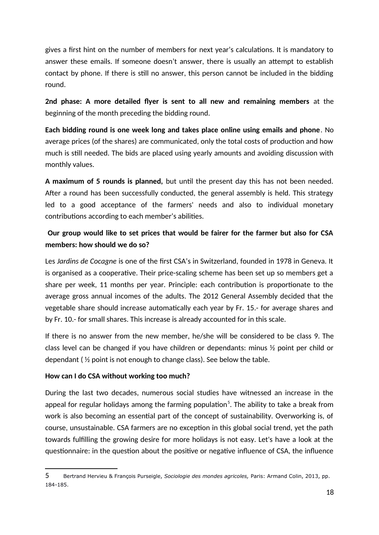gives a first hint on the number of members for next year's calculations. It is mandatory to answer these emails. If someone doesn't answer, there is usually an attempt to establish contact by phone. If there is still no answer, this person cannot be included in the bidding round.

**2nd phase: A more detailed flyer is sent to all new and remaining members** at the beginning of the month preceding the bidding round.

**Each bidding round is one week long and takes place online using emails and phone**. No average prices (of the shares) are communicated, only the total costs of production and how much is still needed. The bids are placed using yearly amounts and avoiding discussion with monthly values.

**A maximum of 5 rounds is planned,** but until the present day this has not been needed. After a round has been successfully conducted, the general assembly is held. This strategy led to a good acceptance of the farmers' needs and also to individual monetary contributions according to each member's abilities.

## **Our group would like to set prices that would be fairer for the farmer but also for CSA members: how should we do so?**

Les *Jardins de Cocagne* is one of the first CSA's in Switzerland, founded in 1978 in Geneva. It is organised as a cooperative. Their price-scaling scheme has been set up so members get a share per week, 11 months per year. Principle: each contribution is proportionate to the average gross annual incomes of the adults. The 2012 General Assembly decided that the vegetable share should increase automatically each year by Fr. 15.- for average shares and by Fr. 10.- for small shares. This increase is already accounted for in this scale.

If there is no answer from the new member, he/she will be considered to be class 9. The class level can be changed if you have children or dependants: minus ½ point per child or dependant ( ½ point is not enough to change class). See below the table.

#### **How can I do CSA without working too much?**

During the last two decades, numerous social studies have witnessed an increase in the appeal for regular holidays among the farming population $^5\!\!$  $^5\!\!$  $^5\!\!$ . The ability to take a break from work is also becoming an essential part of the concept of sustainability. Overworking is, of course, unsustainable. CSA farmers are no exception in this global social trend, yet the path towards fulfilling the growing desire for more holidays is not easy. Let's have a look at the questionnaire: in the question about the positive or negative influence of CSA, the influence

<span id="page-17-0"></span><sup>5</sup> Bertrand Hervieu & François Purseigle, *Sociologie des mondes agricoles,* Paris: Armand Colin, 2013, pp. 184-185.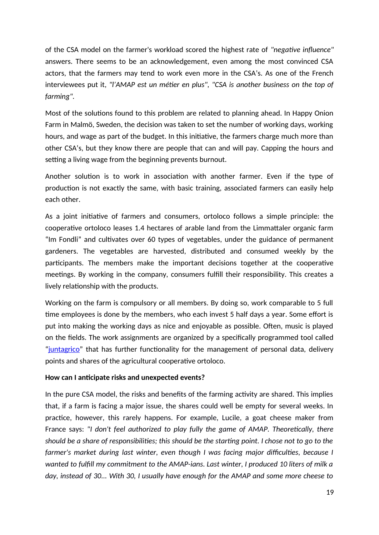of the CSA model on the farmer's workload scored the highest rate of *"negative influence"* answers. There seems to be an acknowledgement, even among the most convinced CSA actors, that the farmers may tend to work even more in the CSA's. As one of the French interviewees put it, *"l'AMAP est un métier en plus", "CSA is another business on the top of farming".*

Most of the solutions found to this problem are related to planning ahead. In Happy Onion Farm in Malmö, Sweden, the decision was taken to set the number of working days, working hours, and wage as part of the budget. In this initiative, the farmers charge much more than other CSA's, but they know there are people that can and will pay. Capping the hours and setting a living wage from the beginning prevents burnout.

Another solution is to work in association with another farmer. Even if the type of production is not exactly the same, with basic training, associated farmers can easily help each other.

As a joint initiative of farmers and consumers, ortoloco follows a simple principle: the cooperative ortoloco leases 1.4 hectares of arable land from the Limmattaler organic farm "Im Fondli" and cultivates over 60 types of vegetables, under the guidance of permanent gardeners. The vegetables are harvested, distributed and consumed weekly by the participants. The members make the important decisions together at the cooperative meetings. By working in the company, consumers fulfill their responsibility. This creates a lively relationship with the products.

Working on the farm is compulsory or all members. By doing so, work comparable to 5 full time employees is done by the members, who each invest 5 half days a year. Some effort is put into making the working days as nice and enjoyable as possible. Often, music is played on the fields. The work assignments are organized by a specifically programmed tool called "juntagrico" that has further functionality for the management of personal data, delivery points and shares of the agricultural cooperative ortoloco.

#### **How can I anticipate risks and unexpected events?**

In the pure CSA model, the risks and benefits of the farming activity are shared. This implies that, if a farm is facing a major issue, the shares could well be empty for several weeks. In practice, however, this rarely happens. For example, Lucile, a goat cheese maker from France says: *"I don't feel authorized to play fully the game of AMAP. Theoretically, there should be a share of responsibilities; this should be the starting point. I chose not to go to the farmer's market during last winter, even though I was facing major difficulties, because I wanted to fulfill my commitment to the AMAP-ians. Last winter, I produced 10 liters of milk a day, instead of 30... With 30, I usually have enough for the AMAP and some more cheese to*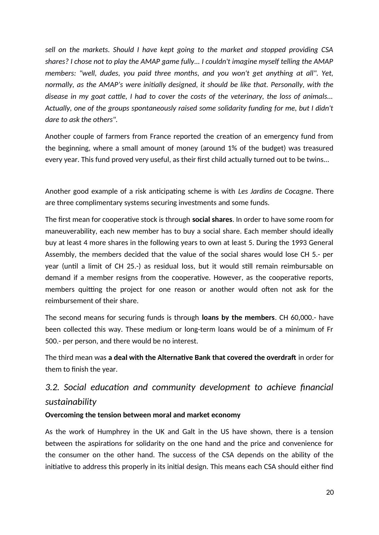*sell on the markets. Should I have kept going to the market and stopped providing CSA shares? I chose not to play the AMAP game fully... I couldn't imagine myself telling the AMAP members: "well, dudes, you paid three months, and you won't get anything at all". Yet, normally, as the AMAP's were initially designed, it should be like that. Personally, with the disease in my goat cattle, I had to cover the costs of the veterinary, the loss of animals... Actually, one of the groups spontaneously raised some solidarity funding for me, but I didn't dare to ask the others".*

Another couple of farmers from France reported the creation of an emergency fund from the beginning, where a small amount of money (around 1% of the budget) was treasured every year. This fund proved very useful, as their first child actually turned out to be twins...

Another good example of a risk anticipating scheme is with *Les Jardins de Cocagne*. There are three complimentary systems securing investments and some funds.

The first mean for cooperative stock is through **social shares**. In order to have some room for maneuverability, each new member has to buy a social share. Each member should ideally buy at least 4 more shares in the following years to own at least 5. During the 1993 General Assembly, the members decided that the value of the social shares would lose CH 5.- per year (until a limit of CH 25.-) as residual loss, but it would still remain reimbursable on demand if a member resigns from the cooperative. However, as the cooperative reports, members quitting the project for one reason or another would often not ask for the reimbursement of their share.

The second means for securing funds is through **loans by the members**. CH 60,000.- have been collected this way. These medium or long-term loans would be of a minimum of Fr 500.- per person, and there would be no interest.

The third mean was **a deal with the Alternative Bank that covered the overdraft** in order for them to finish the year.

## *3.2. Social education and community development to achieve financial sustainability*

#### **Overcoming the tension between moral and market economy**

As the work of Humphrey in the UK and Galt in the US have shown, there is a tension between the aspirations for solidarity on the one hand and the price and convenience for the consumer on the other hand. The success of the CSA depends on the ability of the initiative to address this properly in its initial design. This means each CSA should either find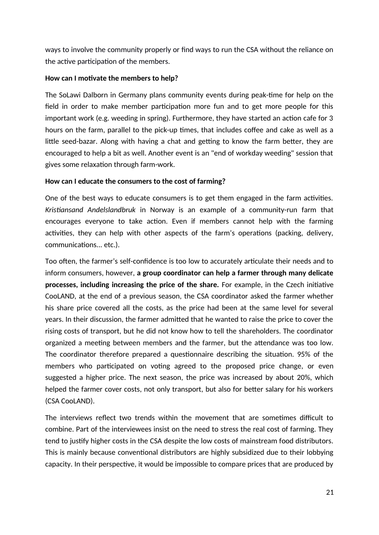ways to involve the community properly or find ways to run the CSA without the reliance on the active participation of the members.

#### **How can I motivate the members to help?**

The SoLawi Dalborn in Germany plans community events during peak-time for help on the field in order to make member participation more fun and to get more people for this important work (e.g. weeding in spring). Furthermore, they have started an action cafe for 3 hours on the farm, parallel to the pick-up times, that includes coffee and cake as well as a little seed-bazar. Along with having a chat and getting to know the farm better, they are encouraged to help a bit as well. Another event is an "end of workday weeding" session that gives some relaxation through farm-work.

#### **How can I educate the consumers to the cost of farming?**

One of the best ways to educate consumers is to get them engaged in the farm activities. *Kristiansand Andelslandbruk* in Norway is an example of a community-run farm that encourages everyone to take action. Even if members cannot help with the farming activities, they can help with other aspects of the farm's operations (packing, delivery, communications... etc.).

Too often, the farmer's self-confidence is too low to accurately articulate their needs and to inform consumers, however, **a group coordinator can help a farmer through many delicate processes, including increasing the price of the share.** For example, in the Czech initiative CooLAND, at the end of a previous season, the CSA coordinator asked the farmer whether his share price covered all the costs, as the price had been at the same level for several years. In their discussion, the farmer admitted that he wanted to raise the price to cover the rising costs of transport, but he did not know how to tell the shareholders. The coordinator organized a meeting between members and the farmer, but the attendance was too low. The coordinator therefore prepared a questionnaire describing the situation. 95% of the members who participated on voting agreed to the proposed price change, or even suggested a higher price. The next season, the price was increased by about 20%, which helped the farmer cover costs, not only transport, but also for better salary for his workers (CSA CooLAND).

The interviews reflect two trends within the movement that are sometimes difficult to combine. Part of the interviewees insist on the need to stress the real cost of farming. They tend to justify higher costs in the CSA despite the low costs of mainstream food distributors. This is mainly because conventional distributors are highly subsidized due to their lobbying capacity. In their perspective, it would be impossible to compare prices that are produced by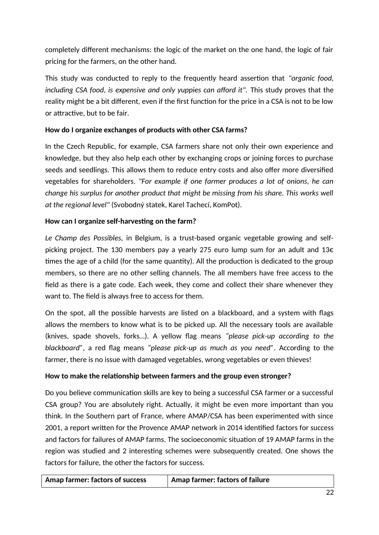completely different mechanisms: the logic of the market on the one hand, the logic of fair pricing for the farmers, on the other hand.

This study was conducted to reply to the frequently heard assertion that *"organic food,* including CSA food, is expensive and only yuppies can afford it". This study proves that the reality might be a bit different, even if the first function for the price in a CSA is not to be low or attractive, but to be fair.

#### **How do I organize exchanges of products with other CSA farms?**

In the Czech Republic, for example, CSA farmers share not only their own experience and knowledge, but they also help each other by exchanging crops or joining forces to purchase seeds and seedlings. This allows them to reduce entry costs and also offer more diversified vegetables for shareholders. *"For example if one farmer produces a lot of onions, he can change his surplus for another product that might be missing from his share. This works well at the regional level"* (Svobodný statek, Karel Tachecí, KomPot).

#### **How can I organize self-harvesting on the farm?**

*Le Champ des Possibles,* in Belgium, is a trust-based organic vegetable growing and selfpicking project. The 130 members pay a yearly 275 euro lump sum for an adult and 13€ times the age of a child (for the same quantity). All the production is dedicated to the group members, so there are no other selling channels. The all members have free access to the field as there is a gate code. Each week, they come and collect their share whenever they want to. The field is always free to access for them.

On the spot, all the possible harvests are listed on a blackboard, and a system with flags allows the members to know what is to be picked up. All the necessary tools are available (knives, spade shovels, forks…). A yellow flag means *"please pick-up according to the blackboard"*, a red flag means *"please pick-up as much as you need"*. According to the farmer, there is no issue with damaged vegetables, wrong vegetables or even thieves!

#### **How to make the relationship between farmers and the group even stronger?**

Do you believe communication skills are key to being a successful CSA farmer or a successful CSA group? You are absolutely right. Actually, it might be even more important than you think. In the Southern part of France, where AMAP/CSA has been experimented with since 2001, a report written for the Provence AMAP network in 2014 identified factors for success and factors for failures of AMAP farms. The socioeconomic situation of 19 AMAP farms in the region was studied and 2 interesting schemes were subsequently created. One shows the factors for failure, the other the factors for success.

| Amap farmer: factors of success | $\mid$ Amap farmer: factors of failure |
|---------------------------------|----------------------------------------|
|---------------------------------|----------------------------------------|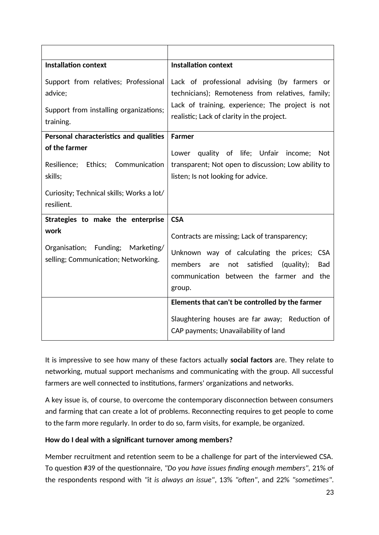| <b>Installation context</b>                                                                                           | <b>Installation context</b>                                                                                                                                                                                                      |  |
|-----------------------------------------------------------------------------------------------------------------------|----------------------------------------------------------------------------------------------------------------------------------------------------------------------------------------------------------------------------------|--|
| Support from relatives; Professional<br>advice;<br>Support from installing organizations;<br>training.                | Lack of professional advising (by farmers or<br>technicians); Remoteness from relatives, family;<br>Lack of training, experience; The project is not<br>realistic; Lack of clarity in the project.                               |  |
| Personal characteristics and qualities                                                                                | <b>Farmer</b>                                                                                                                                                                                                                    |  |
| of the farmer<br>Resilience; Ethics; Communication<br>skills;                                                         | Lower quality of life; Unfair income;<br>Not<br>transparent; Not open to discussion; Low ability to<br>listen; Is not looking for advice.                                                                                        |  |
| Curiosity; Technical skills; Works a lot/<br>resilient.                                                               |                                                                                                                                                                                                                                  |  |
| Strategies to make the enterprise<br>work<br>Organisation; Funding; Marketing/<br>selling; Communication; Networking. | <b>CSA</b><br>Contracts are missing; Lack of transparency;<br>Unknown way of calculating the prices; CSA<br>members<br>satisfied<br>(quality):<br>not<br><b>Bad</b><br>are<br>communication between the farmer and the<br>group. |  |
|                                                                                                                       | Elements that can't be controlled by the farmer<br>Slaughtering houses are far away; Reduction of<br>CAP payments; Unavailability of land                                                                                        |  |

It is impressive to see how many of these factors actually **social factors** are. They relate to networking, mutual support mechanisms and communicating with the group. All successful farmers are well connected to institutions, farmers' organizations and networks.

A key issue is, of course, to overcome the contemporary disconnection between consumers and farming that can create a lot of problems. Reconnecting requires to get people to come to the farm more regularly. In order to do so, farm visits, for example, be organized.

#### **How do I deal with a significant turnover among members?**

Member recruitment and retention seem to be a challenge for part of the interviewed CSA. To question #39 of the questionnaire, *"Do you have issues finding enough members",* 21% of the respondents respond with *"it is always an issue"*, 13% *"often"*, and 22% *"sometimes"*.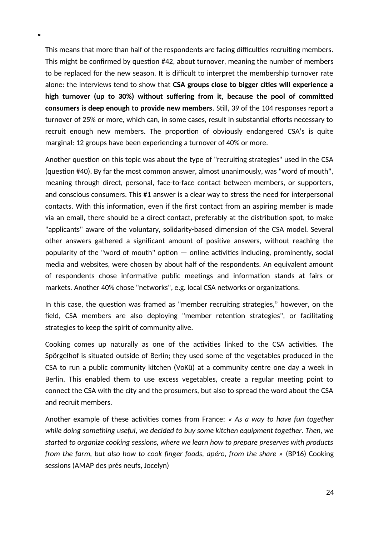This means that more than half of the respondents are facing difficulties recruiting members. This might be confirmed by question #42, about turnover, meaning the number of members to be replaced for the new season. It is difficult to interpret the membership turnover rate alone: the interviews tend to show that **CSA groups close to bigger cities will experience a high turnover (up to 30%) without suffering from it, because the pool of committed consumers is deep enough to provide new members**. Still, 39 of the 104 responses report a turnover of 25% or more, which can, in some cases, result in substantial efforts necessary to recruit enough new members. The proportion of obviously endangered CSA's is quite marginal: 12 groups have been experiencing a turnover of 40% or more.

Another question on this topic was about the type of "recruiting strategies" used in the CSA (question #40). By far the most common answer, almost unanimously, was "word of mouth", meaning through direct, personal, face-to-face contact between members, or supporters, and conscious consumers. This #1 answer is a clear way to stress the need for interpersonal contacts. With this information, even if the first contact from an aspiring member is made via an email, there should be a direct contact, preferably at the distribution spot, to make "applicants" aware of the voluntary, solidarity-based dimension of the CSA model. Several other answers gathered a significant amount of positive answers, without reaching the popularity of the "word of mouth" option — online activities including, prominently, social media and websites, were chosen by about half of the respondents. An equivalent amount of respondents chose informative public meetings and information stands at fairs or markets. Another 40% chose "networks", e.g. local CSA networks or organizations.

In this case, the question was framed as "member recruiting strategies," however, on the field, CSA members are also deploying "member retention strategies", or facilitating strategies to keep the spirit of community alive.

Cooking comes up naturally as one of the activities linked to the CSA activities. The Spörgelhof is situated outside of Berlin; they used some of the vegetables produced in the CSA to run a public community kitchen (VoKü) at a community centre one day a week in Berlin. This enabled them to use excess vegetables, create a regular meeting point to connect the CSA with the city and the prosumers, but also to spread the word about the CSA and recruit members.

Another example of these activities comes from France: *« As a way to have fun together while doing something useful, we decided to buy some kitchen equipment together. Then, we started to organize cooking sessions, where we learn how to prepare preserves with products from the farm, but also how to cook finger foods, apéro, from the share »* (BP16) Cooking sessions (AMAP des prés neufs, Jocelyn)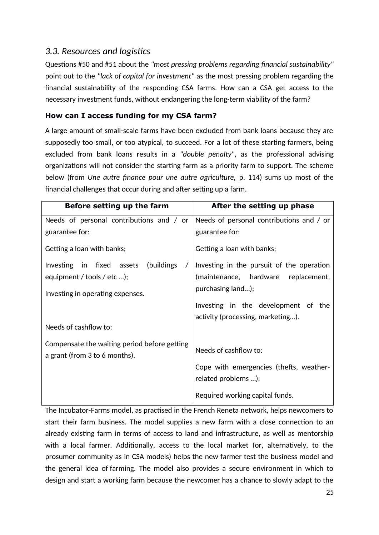## *3.3. Resources and logistics*

Questions #50 and #51 about the *"most pressing problems regarding financial sustainability"* point out to the *"lack of capital for investment"* as the most pressing problem regarding the financial sustainability of the responding CSA farms. How can a CSA get access to the necessary investment funds, without endangering the long-term viability of the farm?

#### **How can I access funding for my CSA farm?**

A large amount of small-scale farms have been excluded from bank loans because they are supposedly too small, or too atypical, to succeed. For a lot of these starting farmers, being excluded from bank loans results in a *"double penalty"*, as the professional advising organizations will not consider the starting farm as a priority farm to support. The scheme below (from *Une autre finance pour une autre agriculture,* p. 114) sums up most of the financial challenges that occur during and after setting up a farm.

| Before setting up the farm                                                    | After the setting up phase                |
|-------------------------------------------------------------------------------|-------------------------------------------|
| Needs of personal contributions and / or                                      | Needs of personal contributions and / or  |
| guarantee for:                                                                | guarantee for:                            |
| Getting a loan with banks;                                                    | Getting a loan with banks;                |
| Investing in fixed assets (buildings                                          | Investing in the pursuit of the operation |
| equipment / tools / etc );                                                    | (maintenance, hardware replacement,       |
| Investing in operating expenses.                                              | purchasing land);                         |
|                                                                               | Investing in the development of the       |
|                                                                               | activity (processing, marketing).         |
| Needs of cashflow to:                                                         |                                           |
| Compensate the waiting period before getting<br>a grant (from 3 to 6 months). | Needs of cashflow to:                     |
|                                                                               | Cope with emergencies (thefts, weather-   |
|                                                                               | related problems );                       |
|                                                                               | Required working capital funds.           |

The Incubator-Farms model, as practised in the French Reneta network, helps newcomers to start their farm business. The model supplies a new farm with a close connection to an already existing farm in terms of access to land and infrastructure, as well as mentorship with a local farmer. Additionally, access to the local market (or, alternatively, to the prosumer community as in CSA models) helps the new farmer test the business model and the general idea of farming. The model also provides a secure environment in which to design and start a working farm because the newcomer has a chance to slowly adapt to the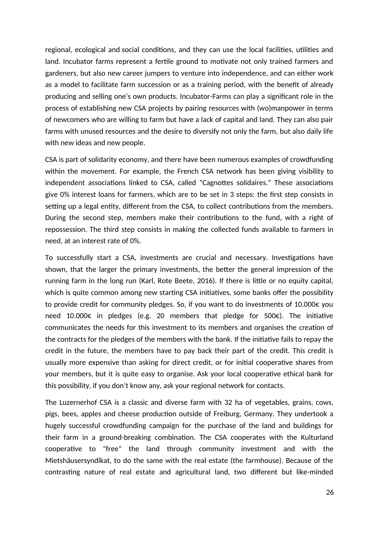regional, ecological and social conditions, and they can use the local facilities, utilities and land. Incubator farms represent a fertile ground to motivate not only trained farmers and gardeners, but also new career jumpers to venture into independence, and can either work as a model to facilitate farm succession or as a training period, with the benefit of already producing and selling one's own products. Incubator-Farms can play a significant role in the process of establishing new CSA projects by pairing resources with (wo)manpower in terms of newcomers who are willing to farm but have a lack of capital and land. They can also pair farms with unused resources and the desire to diversify not only the farm, but also daily life with new ideas and new people.

CSA is part of solidarity economy, and there have been numerous examples of crowdfunding within the movement. For example, the French CSA network has been giving visibility to independent associations linked to CSA, called "Cagnottes solidaires." These associations give 0% interest loans for farmers, which are to be set in 3 steps: the first step consists in setting up a legal entity, different from the CSA, to collect contributions from the members. During the second step, members make their contributions to the fund, with a right of repossession. The third step consists in making the collected funds available to farmers in need, at an interest rate of 0%.

To successfully start a CSA, investments are crucial and necessary. Investigations have shown, that the larger the primary investments, the better the general impression of the running farm in the long run (Karl, Rote Beete, 2016). If there is little or no equity capital, which is quite common among new starting CSA initiatives, some banks offer the possibility to provide credit for community pledges. So, if you want to do investments of 10.000€ you need 10.000€ in pledges (e.g. 20 members that pledge for 500€). The initiative communicates the needs for this investment to its members and organises the creation of the contracts for the pledges of the members with the bank. If the initiative fails to repay the credit in the future, the members have to pay back their part of the credit. This credit is usually more expensive than asking for direct credit, or for initial cooperative shares from your members, but it is quite easy to organise. Ask your local cooperative ethical bank for this possibility, if you don't know any, ask your regional network for contacts.

The Luzernerhof CSA is a classic and diverse farm with 32 ha of vegetables, grains, cows, pigs, bees, apples and cheese production outside of Freiburg, Germany. They undertook a hugely successful crowdfunding campaign for the purchase of the land and buildings for their farm in a ground-breaking combination. The CSA cooperates with the Kulturland cooperative to "free" the land through community investment and with the Mietshäusersyndikat, to do the same with the real estate (the farmhouse). Because of the contrasting nature of real estate and agricultural land, two different but like-minded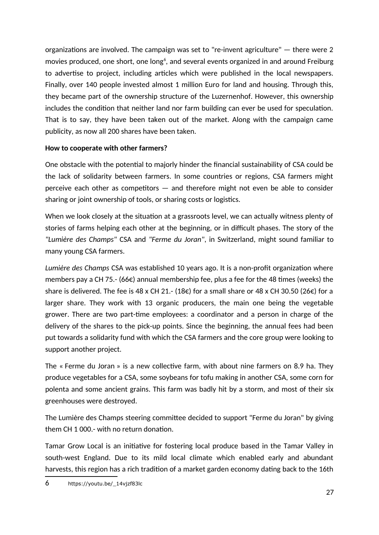organizations are involved. The campaign was set to "re-invent agriculture" — there were 2 movies produced, one short, one long $^6$  $^6$ , and several events organized in and around Freiburg to advertise to project, including articles which were published in the local newspapers. Finally, over 140 people invested almost 1 million Euro for land and housing. Through this, they became part of the ownership structure of the Luzernenhof. However, this ownership includes the condition that neither land nor farm building can ever be used for speculation. That is to say, they have been taken out of the market. Along with the campaign came publicity, as now all 200 shares have been taken.

#### **How to cooperate with other farmers?**

One obstacle with the potential to majorly hinder the financial sustainability of CSA could be the lack of solidarity between farmers. In some countries or regions, CSA farmers might perceive each other as competitors — and therefore might not even be able to consider sharing or joint ownership of tools, or sharing costs or logistics.

When we look closely at the situation at a grassroots level, we can actually witness plenty of stories of farms helping each other at the beginning, or in difficult phases. The story of the *"Lumière des Champs"* CSA and *"Ferme du Joran"*, in Switzerland, might sound familiar to many young CSA farmers.

*Lumière des Champs* CSA was established 10 years ago. It is a non-profit organization where members pay a CH 75.- (66 $\epsilon$ ) annual membership fee, plus a fee for the 48 times (weeks) the share is delivered. The fee is 48 x CH 21.- (18€) for a small share or 48 x CH 30.50 (26€) for a larger share. They work with 13 organic producers, the main one being the vegetable grower. There are two part-time employees: a coordinator and a person in charge of the delivery of the shares to the pick-up points. Since the beginning, the annual fees had been put towards a solidarity fund with which the CSA farmers and the core group were looking to support another project.

The « Ferme du Joran » is a new collective farm, with about nine farmers on 8.9 ha. They produce vegetables for a CSA, some soybeans for tofu making in another CSA, some corn for polenta and some ancient grains. This farm was badly hit by a storm, and most of their six greenhouses were destroyed.

The Lumière des Champs steering committee decided to support "Ferme du Joran" by giving them CH 1 000.- with no return donation.

<span id="page-26-0"></span>Tamar Grow Local is an initiative for fostering local produce based in the Tamar Valley in south-west England. Due to its mild local climate which enabled early and abundant harvests, this region has a rich tradition of a market garden economy dating back to the 16th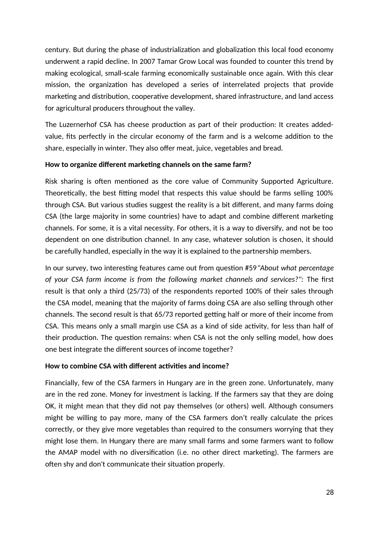century. But during the phase of industrialization and globalization this local food economy underwent a rapid decline. In 2007 Tamar Grow Local was founded to counter this trend by making ecological, small-scale farming economically sustainable once again. With this clear mission, the organization has developed a series of interrelated projects that provide marketing and distribution, cooperative development, shared infrastructure, and land access for agricultural producers throughout the valley.

The Luzernerhof CSA has cheese production as part of their production: It creates addedvalue, fits perfectly in the circular economy of the farm and is a welcome addition to the share, especially in winter. They also offer meat, juice, vegetables and bread.

#### **How to organize different marketing channels on the same farm?**

Risk sharing is often mentioned as the core value of Community Supported Agriculture. Theoretically, the best fitting model that respects this value should be farms selling 100% through CSA. But various studies suggest the reality is a bit different, and many farms doing CSA (the large majority in some countries) have to adapt and combine different marketing channels. For some, it is a vital necessity. For others, it is a way to diversify, and not be too dependent on one distribution channel. In any case, whatever solution is chosen, it should be carefully handled, especially in the way it is explained to the partnership members.

In our survey, two interesting features came out from question #59*"About what percentage of your CSA farm income is from the following market channels and services?":* The first result is that only a third (25/73) of the respondents reported 100% of their sales through the CSA model, meaning that the majority of farms doing CSA are also selling through other channels. The second result is that 65/73 reported getting half or more of their income from CSA. This means only a small margin use CSA as a kind of side activity, for less than half of their production. The question remains: when CSA is not the only selling model, how does one best integrate the different sources of income together?

#### **How to combine CSA with different activities and income?**

Financially, few of the CSA farmers in Hungary are in the green zone. Unfortunately, many are in the red zone. Money for investment is lacking. If the farmers say that they are doing OK, it might mean that they did not pay themselves (or others) well. Although consumers might be willing to pay more, many of the CSA farmers don't really calculate the prices correctly, or they give more vegetables than required to the consumers worrying that they might lose them. In Hungary there are many small farms and some farmers want to follow the AMAP model with no diversification (i.e. no other direct marketing). The farmers are often shy and don't communicate their situation properly.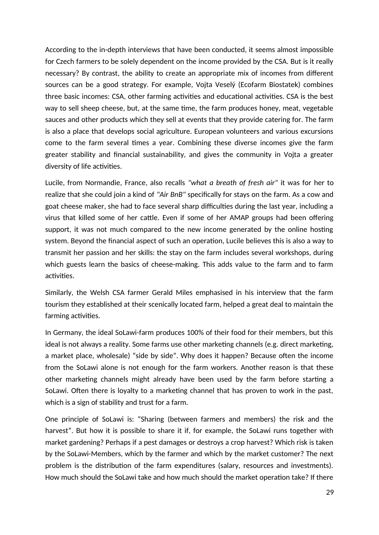According to the in-depth interviews that have been conducted, it seems almost impossible for Czech farmers to be solely dependent on the income provided by the CSA. But is it really necessary? By contrast, the ability to create an appropriate mix of incomes from different sources can be a good strategy. For example, Vojta Veselý (Ecofarm Biostatek) combines three basic incomes: CSA, other farming activities and educational activities. CSA is the best way to sell sheep cheese, but, at the same time, the farm produces honey, meat, vegetable sauces and other products which they sell at events that they provide catering for. The farm is also a place that develops social agriculture. European volunteers and various excursions come to the farm several times a year. Combining these diverse incomes give the farm greater stability and financial sustainability, and gives the community in Vojta a greater diversity of life activities.

Lucile, from Normandie, France, also recalls *"what a breath of fresh air"* it was for her to realize that she could join a kind of *"Air BnB"* specifically for stays on the farm. As a cow and goat cheese maker, she had to face several sharp difficulties during the last year, including a virus that killed some of her cattle. Even if some of her AMAP groups had been offering support, it was not much compared to the new income generated by the online hosting system. Beyond the financial aspect of such an operation, Lucile believes this is also a way to transmit her passion and her skills: the stay on the farm includes several workshops, during which guests learn the basics of cheese-making. This adds value to the farm and to farm activities.

Similarly, the Welsh CSA farmer Gerald Miles emphasised in his interview that the farm tourism they established at their scenically located farm, helped a great deal to maintain the farming activities.

In Germany, the ideal SoLawi-farm produces 100% of their food for their members, but this ideal is not always a reality. Some farms use other marketing channels (e.g. direct marketing, a market place, wholesale) "side by side". Why does it happen? Because often the income from the SoLawi alone is not enough for the farm workers. Another reason is that these other marketing channels might already have been used by the farm before starting a SoLawi. Often there is loyalty to a marketing channel that has proven to work in the past, which is a sign of stability and trust for a farm.

One principle of SoLawi is: "Sharing (between farmers and members) the risk and the harvest". But how it is possible to share it if, for example, the SoLawi runs together with market gardening? Perhaps if a pest damages or destroys a crop harvest? Which risk is taken by the SoLawi-Members, which by the farmer and which by the market customer? The next problem is the distribution of the farm expenditures (salary, resources and investments). How much should the SoLawi take and how much should the market operation take? If there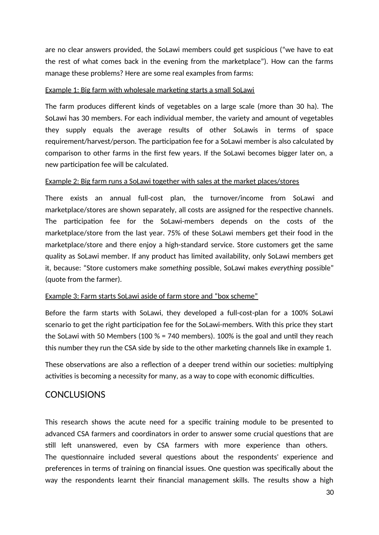are no clear answers provided, the SoLawi members could get suspicious ("we have to eat the rest of what comes back in the evening from the marketplace"). How can the farms manage these problems? Here are some real examples from farms:

#### Example 1: Big farm with wholesale marketing starts a small SoLawi

The farm produces different kinds of vegetables on a large scale (more than 30 ha). The SoLawi has 30 members. For each individual member, the variety and amount of vegetables they supply equals the average results of other SoLawis in terms of space requirement/harvest/person. The participation fee for a SoLawi member is also calculated by comparison to other farms in the first few years. If the SoLawi becomes bigger later on, a new participation fee will be calculated.

#### Example 2: Big farm runs a SoLawi together with sales at the market places/stores

There exists an annual full-cost plan, the turnover/income from SoLawi and marketplace/stores are shown separately, all costs are assigned for the respective channels. The participation fee for the SoLawi-members depends on the costs of the marketplace/store from the last year. 75% of these SoLawi members get their food in the marketplace/store and there enjoy a high-standard service. Store customers get the same quality as SoLawi member. If any product has limited availability, only SoLawi members get it, because: "Store customers make *something* possible, SoLawi makes *everything* possible" (quote from the farmer).

#### Example 3: Farm starts SoLawi aside of farm store and "box scheme"

Before the farm starts with SoLawi, they developed a full-cost-plan for a 100% SoLawi scenario to get the right participation fee for the SoLawi-members. With this price they start the SoLawi with 50 Members (100 % = 740 members). 100% is the goal and until they reach this number they run the CSA side by side to the other marketing channels like in example 1.

These observations are also a reflection of a deeper trend within our societies: multiplying activities is becoming a necessity for many, as a way to cope with economic difficulties.

## <span id="page-29-0"></span>**CONCLUSIONS**

This research shows the acute need for a specific training module to be presented to advanced CSA farmers and coordinators in order to answer some crucial questions that are still left unanswered, even by CSA farmers with more experience than others. The questionnaire included several questions about the respondents' experience and preferences in terms of training on financial issues. One question was specifically about the way the respondents learnt their financial management skills. The results show a high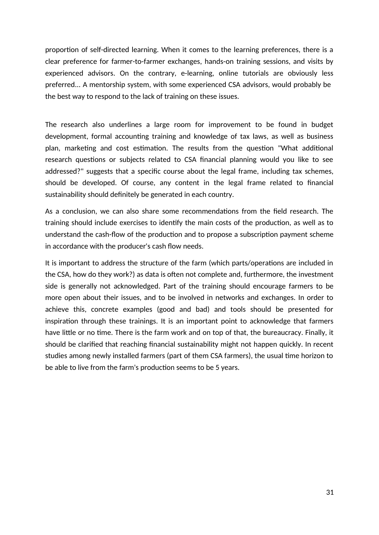proportion of self-directed learning. When it comes to the learning preferences, there is a clear preference for farmer-to-farmer exchanges, hands-on training sessions, and visits by experienced advisors. On the contrary, e-learning, online tutorials are obviously less preferred... A mentorship system, with some experienced CSA advisors, would probably be the best way to respond to the lack of training on these issues.

The research also underlines a large room for improvement to be found in budget development, formal accounting training and knowledge of tax laws, as well as business plan, marketing and cost estimation. The results from the question "What additional research questions or subjects related to CSA financial planning would you like to see addressed?" suggests that a specific course about the legal frame, including tax schemes, should be developed. Of course, any content in the legal frame related to financial sustainability should definitely be generated in each country.

As a conclusion, we can also share some recommendations from the field research. The training should include exercises to identify the main costs of the production, as well as to understand the cash-flow of the production and to propose a subscription payment scheme in accordance with the producer's cash flow needs.

It is important to address the structure of the farm (which parts/operations are included in the CSA, how do they work?) as data is often not complete and, furthermore, the investment side is generally not acknowledged. Part of the training should encourage farmers to be more open about their issues, and to be involved in networks and exchanges. In order to achieve this, concrete examples (good and bad) and tools should be presented for inspiration through these trainings. It is an important point to acknowledge that farmers have little or no time. There is the farm work and on top of that, the bureaucracy. Finally, it should be clarified that reaching financial sustainability might not happen quickly. In recent studies among newly installed farmers (part of them CSA farmers), the usual time horizon to be able to live from the farm's production seems to be 5 years.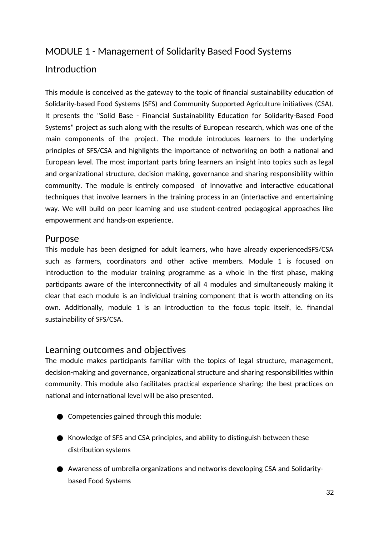## <span id="page-31-3"></span>MODULE 1 - Management of Solidarity Based Food Systems

## <span id="page-31-2"></span>Introduction

This module is conceived as the gateway to the topic of financial sustainability education of Solidarity-based Food Systems (SFS) and Community Supported Agriculture initiatives (CSA). It presents the "Solid Base - Financial Sustainability Education for Solidarity-Based Food Systems" project as such along with the results of European research, which was one of the main components of the project. The module introduces learners to the underlying principles of SFS/CSA and highlights the importance of networking on both a national and European level. The most important parts bring learners an insight into topics such as legal and organizational structure, decision making, governance and sharing responsibility within community. The module is entirely composed of innovative and interactive educational techniques that involve learners in the training process in an (inter)active and entertaining way. We will build on peer learning and use student-centred pedagogical approaches like empowerment and hands-on experience.

## <span id="page-31-1"></span>Purpose

This module has been designed for adult learners, who have already experiencedSFS/CSA such as farmers, coordinators and other active members. Module 1 is focused on introduction to the modular training programme as a whole in the first phase, making participants aware of the interconnectivity of all 4 modules and simultaneously making it clear that each module is an individual training component that is worth attending on its own. Additionally, module 1 is an introduction to the focus topic itself, ie. financial sustainability of SFS/CSA.

## <span id="page-31-0"></span>Learning outcomes and objectives

The module makes participants familiar with the topics of legal structure, management, decision-making and governance, organizational structure and sharing responsibilities within community. This module also facilitates practical experience sharing: the best practices on national and international level will be also presented.

- Competencies gained through this module:
- Knowledge of SFS and CSA principles, and ability to distinguish between these distribution systems
- Awareness of umbrella organizations and networks developing CSA and Solidaritybased Food Systems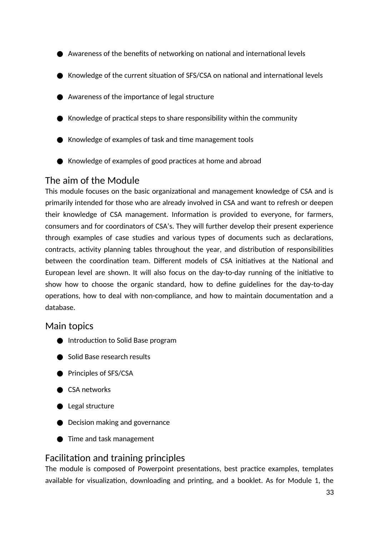- Awareness of the benefits of networking on national and international levels
- Knowledge of the current situation of SFS/CSA on national and international levels
- Awareness of the importance of legal structure
- $\bullet$  Knowledge of practical steps to share responsibility within the community
- Knowledge of examples of task and time management tools
- Knowledge of examples of good practices at home and abroad

## <span id="page-32-2"></span>The aim of the Module

This module focuses on the basic organizational and management knowledge of CSA and is primarily intended for those who are already involved in CSA and want to refresh or deepen their knowledge of CSA management. Information is provided to everyone, for farmers, consumers and for coordinators of CSA's. They will further develop their present experience through examples of case studies and various types of documents such as declarations, contracts, activity planning tables throughout the year, and distribution of responsibilities between the coordination team. Different models of CSA initiatives at the National and European level are shown. It will also focus on the day-to-day running of the initiative to show how to choose the organic standard, how to define guidelines for the day-to-day operations, how to deal with non-compliance, and how to maintain documentation and a database.

## <span id="page-32-1"></span>Main topics

- Introduction to Solid Base program
- Solid Base research results
- Principles of SFS/CSA
- CSA networks
- Legal structure
- Decision making and governance
- Time and task management

## <span id="page-32-0"></span>Facilitation and training principles

The module is composed of Powerpoint presentations, best practice examples, templates available for visualization, downloading and printing, and a booklet. As for Module 1, the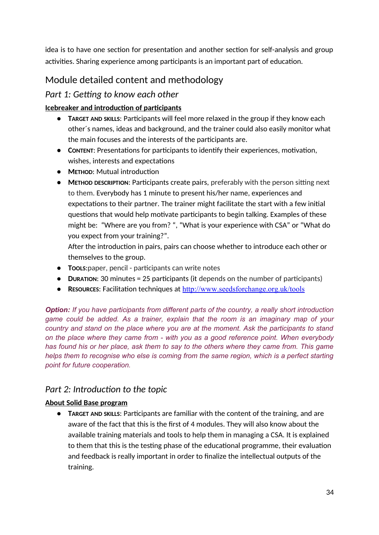idea is to have one section for presentation and another section for self-analysis and group activities. Sharing experience among participants is an important part of education.

## <span id="page-33-0"></span>Module detailed content and methodology

## *Part 1: Getting to know each other*

### **Icebreaker and introduction of participants**

- **TARGET AND SKILLS**: Participants will feel more relaxed in the group if they know each other´s names, ideas and background, and the trainer could also easily monitor what the main focuses and the interests of the participants are.
- **CONTENT**: Presentations for participants to identify their experiences, motivation, wishes, interests and expectations
- **METHOD**: Mutual introduction
- **METHOD DESCRIPTION**: Participants create pairs, preferably with the person sitting next to them. Everybody has 1 minute to present his/her name, experiences and expectations to their partner. The trainer might facilitate the start with a few initial questions that would help motivate participants to begin talking. Examples of these might be: "Where are you from? ", "What is your experience with CSA" or "What do you expect from your training?".

After the introduction in pairs, pairs can choose whether to introduce each other or themselves to the group.

- **TOOLS**:paper, pencil participants can write notes
- **DURATION**: 30 minutes = 25 participants (it depends on the number of participants)
- **RESOURCES**: Facilitation techniques at http://www.seedsforchange.org.uk/tools

*Option: If you have participants from different parts of the country, a really short introduction game could be added. As a trainer, explain that the room is an imaginary map of your country and stand on the place where you are at the moment. Ask the participants to stand on the place where they came from - with you as a good reference point. When everybody has found his or her place, ask them to say to the others where they came from. This game helps them to recognise who else is coming from the same region, which is a perfect starting point for future cooperation.*

## *Part 2: Introduction to the topic*

#### **About Solid Base program**

● **TARGET AND SKILLS**: Participants are familiar with the content of the training, and are aware of the fact that this is the first of 4 modules. They will also know about the available training materials and tools to help them in managing a CSA. It is explained to them that this is the testing phase of the educational programme, their evaluation and feedback is really important in order to finalize the intellectual outputs of the training.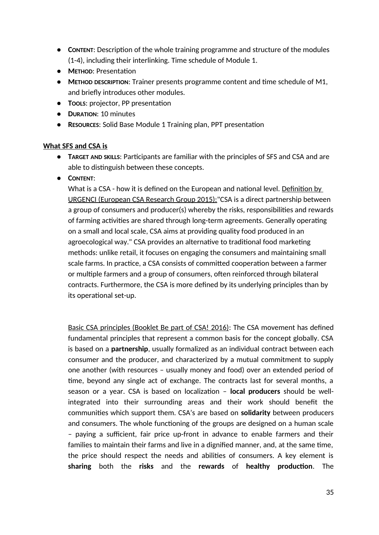- **CONTENT**: Description of the whole training programme and structure of the modules (1-4), including their interlinking. Time schedule of Module 1.
- **METHOD**: Presentation
- **METHOD DESCRIPTION**: Trainer presents programme content and time schedule of M1, and briefly introduces other modules.
- **TOOLS**: projector, PP presentation
- **DURATION**: 10 minutes
- **RESOURCES**: Solid Base Module 1 Training plan, PPT presentation

#### **What SFS and CSA is**

- **TARGET AND SKILLS**: Participants are familiar with the principles of SFS and CSA and are able to distinguish between these concepts.
- **CONTENT**:

What is a CSA - how it is defined on the European and national level. Definition by URGENCI (European CSA Research Group 2015):"CSA is a direct partnership between a group of consumers and producer(s) whereby the risks, responsibilities and rewards of farming activities are shared through long-term agreements. Generally operating on a small and local scale, CSA aims at providing quality food produced in an agroecological way." CSA provides an alternative to traditional food marketing methods: unlike retail, it focuses on engaging the consumers and maintaining small scale farms. In practice, a CSA consists of committed cooperation between a farmer or multiple farmers and a group of consumers, often reinforced through bilateral contracts. Furthermore, the CSA is more defined by its underlying principles than by its operational set-up.

Basic CSA principles (Booklet Be part of CSA! 2016): The CSA movement has defined fundamental principles that represent a common basis for the concept globally. CSA is based on a **partnership**, usually formalized as an individual contract between each consumer and the producer, and characterized by a mutual commitment to supply one another (with resources – usually money and food) over an extended period of time, beyond any single act of exchange. The contracts last for several months, a season or a year. CSA is based on localization – **local producers** should be wellintegrated into their surrounding areas and their work should benefit the communities which support them. CSA's are based on **solidarity** between producers and consumers. The whole functioning of the groups are designed on a human scale – paying a sufficient, fair price up-front in advance to enable farmers and their families to maintain their farms and live in a dignified manner, and, at the same time, the price should respect the needs and abilities of consumers. A key element is **sharing** both the **risks** and the **rewards** of **healthy production**. The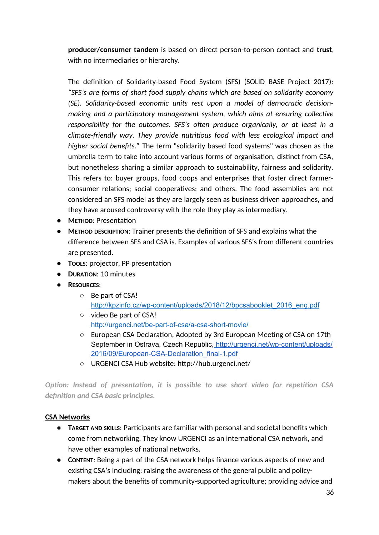**producer/consumer tandem** is based on direct person-to-person contact and **trust**, with no intermediaries or hierarchy.

The definition of Solidarity-based Food System (SFS) (SOLID BASE Project 2017): *"SFS's are forms of short food supply chains which are based on solidarity economy (SE). Solidarity-based economic units rest upon a model of democratic decisionmaking and a participatory management system, which aims at ensuring collective responsibility for the outcomes. SFS's often produce organically, or at least in a climate-friendly way. They provide nutritious food with less ecological impact and higher social benefits."* The term "solidarity based food systems" was chosen as the umbrella term to take into account various forms of organisation, distinct from CSA, but nonetheless sharing a similar approach to sustainability, fairness and solidarity. This refers to: buyer groups, food coops and enterprises that foster direct farmerconsumer relations; social cooperatives; and others. The food assemblies are not considered an SFS model as they are largely seen as business driven approaches, and they have aroused controversy with the role they play as intermediary.

- **METHOD**: Presentation
- **METHOD DESCRIPTION**: Trainer presents the definition of SFS and explains what the difference between SFS and CSA is. Examples of various SFS's from different countries are presented.
- **TOOLS**: projector, PP presentation
- **DURATION**: 10 minutes
- **RESOURCES**:
	- Be part of CSA! http://kpzinfo.cz/wp-content/uploads/2018/12/bpcsabooklet\_2016\_eng.pdf
	- video Be part of CSA! http://urgenci.net/be-part-of-csa/a-csa-short-movie/
	- European CSA Declaration, Adopted by 3rd European Meeting of CSA on 17th September in Ostrava, Czech Republic, http://urgenci.net/wp-content/uploads/ 2016/09/European-CSA-Declaration\_final-1.pdf
	- URGENCI CSA Hub website: http://hub.urgenci.net/

*Option: Instead of presentation, it is possible to use short video for repetition CSA definition and CSA basic principles.*

#### **CSA Networks**

- **TARGET AND SKILLS**: Participants are familiar with personal and societal benefits which come from networking. They know URGENCI as an international CSA network, and have other examples of national networks.
- **CONTENT:** Being a part of the CSA network helps finance various aspects of new and existing CSA's including: raising the awareness of the general public and policymakers about the benefits of community-supported agriculture; providing advice and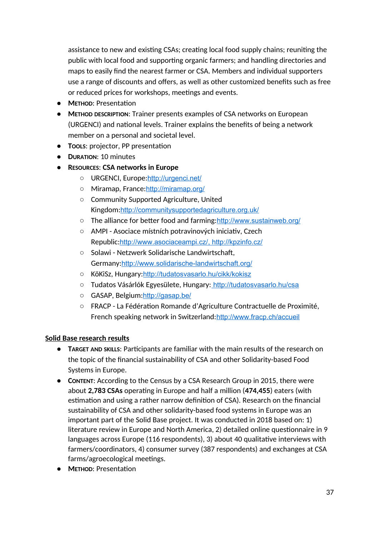assistance to new and existing CSAs; creating local food supply chains; reuniting the public with local food and supporting organic farmers; and handling directories and maps to easily find the nearest farmer or CSA. Members and individual supporters use a range of discounts and offers, as well as other customized benefits such as free or reduced prices for workshops, meetings and events.

- **METHOD**: Presentation
- **METHOD DESCRIPTION**: Trainer presents examples of CSA networks on European (URGENCI) and national levels. Trainer explains the benefits of being a network member on a personal and societal level.
- **TOOLS**: projector, PP presentation
- **DURATION**: 10 minutes
- **RESOURCES**: **CSA networks in Europe**
	- URGENCI, Europe:http://urgenci.net/
	- Miramap, France:http://miramap.org/
	- Community Supported Agriculture, United Kingdom:http://communitysupportedagriculture.org.uk/
	- The alliance for better food and farming: http://www.sustainweb.org/
	- AMPI Asociace místních potravinových iniciativ, Czech Republic: http://www.asociaceampi.cz/, http://kpzinfo.cz/
	- Solawi Netzwerk Solidarische Landwirtschaft, Germany:http://www.solidarische-landwirtschaft.org/
	- KöKiSz, Hungary:http://tudatosvasarlo.hu/cikk/kokisz
	- Tudatos Vásárlók Egyesülete, Hungary: http://tudatosvasarlo.hu/csa
	- GASAP, Belgium:http://gasap.be/
	- FRACP La Fédération Romande d'Agriculture Contractuelle de Proximité, French speaking network in Switzerland:http://www.fracp.ch/accueil

### **Solid Base research results**

- **TARGET AND SKILLS**: Participants are familiar with the main results of the research on the topic of the financial sustainability of CSA and other Solidarity-based Food Systems in Europe.
- **CONTENT**: According to the Census by a CSA Research Group in 2015, there were about **2,783 CSAs** operating in Europe and half a million (**474,455**) eaters (with estimation and using a rather narrow definition of CSA). Research on the financial sustainability of CSA and other solidarity-based food systems in Europe was an important part of the Solid Base project. It was conducted in 2018 based on: 1) literature review in Europe and North America, 2) detailed online questionnaire in 9 languages across Europe (116 respondents), 3) about 40 qualitative interviews with farmers/coordinators, 4) consumer survey (387 respondents) and exchanges at CSA farms/agroecological meetings.
- **METHOD**: Presentation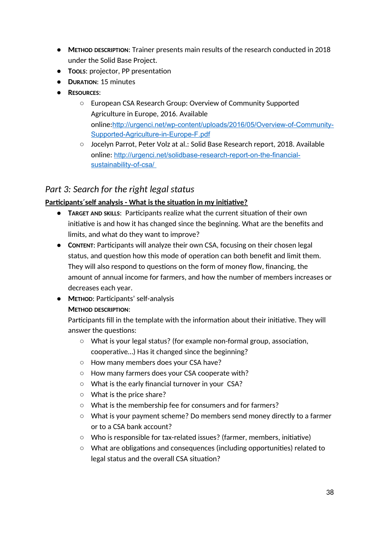- **METHOD DESCRIPTION**: Trainer presents main results of the research conducted in 2018 under the Solid Base Project.
- **TOOLS**: projector, PP presentation
- **DURATION**: 15 minutes
- **RESOURCES**:
	- European CSA Research Group: Overview of Community Supported Agriculture in Europe, 2016. Available online:http://urgenci.net/wp-content/uploads/2016/05/Overview-of-Community-Supported-Agriculture-in-Europe-F.pdf
	- Jocelyn Parrot, Peter Volz at al.: Solid Base Research report, 2018. Available online: http://urgenci.net/solidbase-research-report-on-the-financial sustainability-of-csa/

# *Part 3: Search for the right legal status*

## **Participants´self analysis - What is the situation in my initiative?**

- **TARGET AND SKILLS**: Participants realize what the current situation of their own initiative is and how it has changed since the beginning. What are the benefits and limits, and what do they want to improve?
- **CONTENT**: Participants will analyze their own CSA, focusing on their chosen legal status, and question how this mode of operation can both benefit and limit them. They will also respond to questions on the form of money flow, financing, the amount of annual income for farmers, and how the number of members increases or decreases each year.
- **METHOD**: Participants' self-analysis

## **METHOD DESCRIPTION**:

Participants fill in the template with the information about their initiative. They will answer the questions:

- What is your legal status? (for example non-formal group, association, cooperative…) Has it changed since the beginning?
- How many members does your CSA have?
- How many farmers does your CSA cooperate with?
- What is the early financial turnover in your CSA?
- What is the price share?
- What is the membership fee for consumers and for farmers?
- What is your payment scheme? Do members send money directly to a farmer or to a CSA bank account?
- Who is responsible for tax-related issues? (farmer, members, initiative)
- What are obligations and consequences (including opportunities) related to legal status and the overall CSA situation?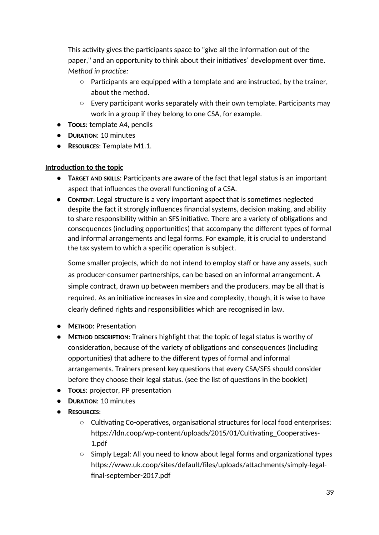This activity gives the participants space to "give all the information out of the paper," and an opportunity to think about their initiatives´ development over time. *Method in practice:*

- $\circ$  Participants are equipped with a template and are instructed, by the trainer, about the method.
- Every participant works separately with their own template. Participants may work in a group if they belong to one CSA, for example.
- **TOOLS**: template A4, pencils
- **DURATION**: 10 minutes
- **RESOURCES**: Template M1.1.

### **Introduction to the topic**

- **TARGET AND SKILLS**: Participants are aware of the fact that legal status is an important aspect that influences the overall functioning of a CSA.
- **CONTENT**: Legal structure is a very important aspect that is sometimes neglected despite the fact it strongly influences financial systems, decision making, and ability to share responsibility within an SFS initiative. There are a variety of obligations and consequences (including opportunities) that accompany the different types of formal and informal arrangements and legal forms. For example, it is crucial to understand the tax system to which a specific operation is subject.

Some smaller projects, which do not intend to employ staff or have any assets, such as producer-consumer partnerships, can be based on an informal arrangement. A simple contract, drawn up between members and the producers, may be all that is required. As an initiative increases in size and complexity, though, it is wise to have clearly defined rights and responsibilities which are recognised in law.

- **METHOD**: Presentation
- **METHOD DESCRIPTION**: Trainers highlight that the topic of legal status is worthy of consideration, because of the variety of obligations and consequences (including opportunities) that adhere to the different types of formal and informal arrangements. Trainers present key questions that every CSA/SFS should consider before they choose their legal status. (see the list of questions in the booklet)
- **TOOLS**: projector, PP presentation
- **DURATION**: 10 minutes
- **RESOURCES**:
	- Cultivating Co-operatives, organisational structures for local food enterprises: https://ldn.coop/wp-content/uploads/2015/01/Cultivating\_Cooperatives-1.pdf
	- Simply Legal: All you need to know about legal forms and organizational types https://www.uk.coop/sites/default/files/uploads/attachments/simply-legalfinal-september-2017.pdf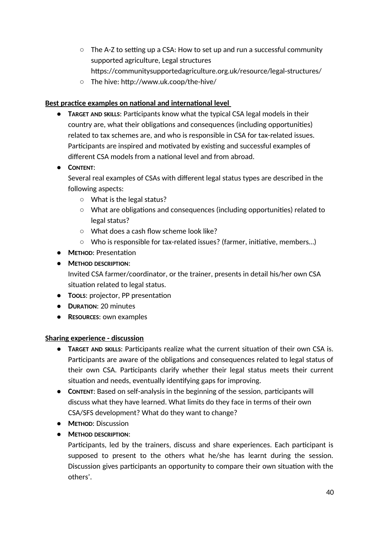- $\circ$  The A-Z to setting up a CSA: How to set up and run a successful community supported agriculture, Legal structures https://communitysupportedagriculture.org.uk/resource/legal-structures/
- The hive: http://www.uk.coop/the-hive/

## **Best practice examples on national and international level**

- **TARGET AND SKILLS**: Participants know what the typical CSA legal models in their country are, what their obligations and consequences (including opportunities) related to tax schemes are, and who is responsible in CSA for tax-related issues. Participants are inspired and motivated by existing and successful examples of different CSA models from a national level and from abroad.
- **CONTENT**:

Several real examples of CSAs with different legal status types are described in the following aspects:

- What is the legal status?
- What are obligations and consequences (including opportunities) related to legal status?
- What does a cash flow scheme look like?
- Who is responsible for tax-related issues? (farmer, initiative, members…)
- **METHOD**: Presentation
- **METHOD DESCRIPTION**: Invited CSA farmer/coordinator, or the trainer, presents in detail his/her own CSA
- situation related to legal status. ● **TOOLS**: projector, PP presentation
- **DURATION**: 20 minutes
- **RESOURCES**: own examples

## **Sharing experience - discussion**

- **TARGET AND SKILLS**: Participants realize what the current situation of their own CSA is. Participants are aware of the obligations and consequences related to legal status of their own CSA. Participants clarify whether their legal status meets their current situation and needs, eventually identifying gaps for improving.
- **CONTENT**: Based on self-analysis in the beginning of the session, participants will discuss what they have learned. What limits do they face in terms of their own CSA/SFS development? What do they want to change?
- **METHOD**: Discussion
- **METHOD DESCRIPTION**:

Participants, led by the trainers, discuss and share experiences. Each participant is supposed to present to the others what he/she has learnt during the session. Discussion gives participants an opportunity to compare their own situation with the others'.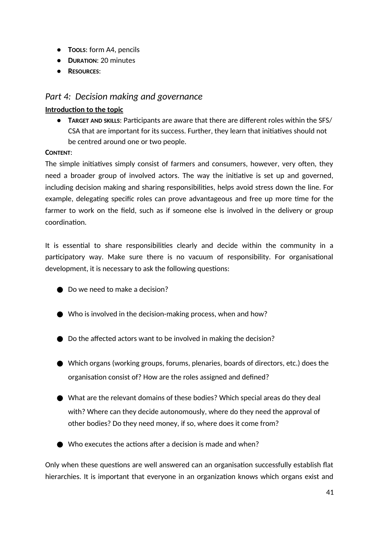- **TOOLS**: form A4, pencils
- **DURATION**: 20 minutes
- **RESOURCES**:

# *Part 4: Decision making and governance*

## **Introduction to the topic**

● **TARGET AND SKILLS**: Participants are aware that there are different roles within the SFS/ CSA that are important for its success. Further, they learn that initiatives should not be centred around one or two people.

## **CONTENT**:

The simple initiatives simply consist of farmers and consumers, however, very often, they need a broader group of involved actors. The way the initiative is set up and governed, including decision making and sharing responsibilities, helps avoid stress down the line. For example, delegating specific roles can prove advantageous and free up more time for the farmer to work on the field, such as if someone else is involved in the delivery or group coordination.

It is essential to share responsibilities clearly and decide within the community in a participatory way. Make sure there is no vacuum of responsibility. For organisational development, it is necessary to ask the following questions:

- Do we need to make a decision?
- $\bullet$  Who is involved in the decision-making process, when and how?
- Do the affected actors want to be involved in making the decision?
- Which organs (working groups, forums, plenaries, boards of directors, etc.) does the organisation consist of? How are the roles assigned and defined?
- What are the relevant domains of these bodies? Which special areas do they deal with? Where can they decide autonomously, where do they need the approval of other bodies? Do they need money, if so, where does it come from?
- $\bullet$  Who executes the actions after a decision is made and when?

Only when these questions are well answered can an organisation successfully establish flat hierarchies. It is important that everyone in an organization knows which organs exist and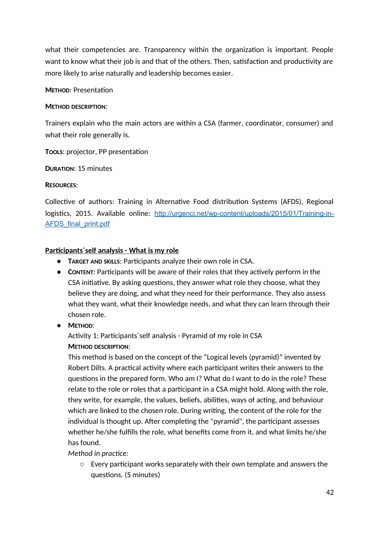what their competencies are. Transparency within the organization is important. People want to know what their job is and that of the others. Then, satisfaction and productivity are more likely to arise naturally and leadership becomes easier.

### **METHOD**: Presentation

### **METHOD DESCRIPTION**:

Trainers explain who the main actors are within a CSA (farmer, coordinator, consumer) and what their role generally is.

**TOOLS**: projector, PP presentation

**DURATION**: 15 minutes

### **RESOURCES**:

Collective of authors: Training in Alternative Food distribution Systems (AFDS), Regional logistics, 2015. Available online: http://urgenci.net/wp-content/uploads/2015/01/Training-in-AFDS final print.pdf

### **Participants´self analysis - What is my role**

- **TARGET AND SKILLS**: Participants analyze their own role in CSA.
- **CONTENT**: Participants will be aware of their roles that they actively perform in the CSA initiative. By asking questions, they answer what role they choose, what they believe they are doing, and what they need for their performance. They also assess what they want, what their knowledge needs, and what they can learn through their chosen role.
- **METHOD**:

Activity 1: Participants´self analysis - Pyramid of my role in CSA **METHOD DESCRIPTION**:

This method is based on the concept of the "Logical levels (pyramid)" invented by Robert Dilts. A practical activity where each participant writes their answers to the questions in the prepared form. Who am I? What do I want to do in the role? These relate to the role or roles that a participant in a CSA might hold. Along with the role, they write, for example, the values, beliefs, abilities, ways of acting, and behaviour which are linked to the chosen role. During writing, the content of the role for the individual is thought up. After completing the "pyramid", the participant assesses whether he/she fulfills the role, what benefits come from it, and what limits he/she has found.

*Method in practice:*

○ Every participant works separately with their own template and answers the questions. (5 minutes)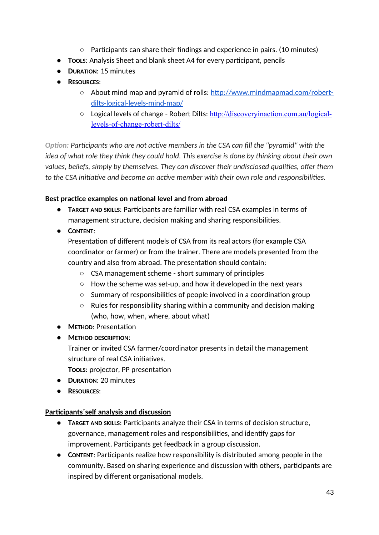- Participants can share their findings and experience in pairs. (10 minutes)
- **TOOLS**: Analysis Sheet and blank sheet A4 for every participant, pencils
- **DURATION**: 15 minutes
- **RESOURCES**:
	- About mind map and pyramid of rolls: http://www.mindmapmad.com/robertdilts-logical-levels-mind-map/
	- Logical levels of change Robert Dilts: http://discoveryinaction.com.au/logicallevels-of-change-robert-dilts/

*Option: Participants who are not active members in the CSA can fill the "pyramid" with the idea of what role they think they could hold. This exercise is done by thinking about their own values, beliefs, simply by themselves. They can discover their undisclosed qualities, offer them to the CSA initiative and become an active member with their own role and responsibilities.*

### **Best practice examples on national level and from abroad**

- **TARGET AND SKILLS**: Participants are familiar with real CSA examples in terms of management structure, decision making and sharing responsibilities.
- **CONTENT**:

Presentation of different models of CSA from its real actors (for example CSA coordinator or farmer) or from the trainer. There are models presented from the country and also from abroad. The presentation should contain:

- CSA management scheme short summary of principles
- How the scheme was set-up, and how it developed in the next years
- Summary of responsibilities of people involved in a coordination group
- Rules for responsibility sharing within a community and decision making (who, how, when, where, about what)
- **METHOD**: Presentation
- **METHOD DESCRIPTION**:

Trainer or invited CSA farmer/coordinator presents in detail the management structure of real CSA initiatives.

**TOOLS**: projector, PP presentation

- **DURATION**: 20 minutes
- **RESOURCES**:

### **Participants´self analysis and discussion**

- **TARGET AND SKILLS**: Participants analyze their CSA in terms of decision structure, governance, management roles and responsibilities, and identify gaps for improvement. Participants get feedback in a group discussion.
- **CONTENT**: Participants realize how responsibility is distributed among people in the community. Based on sharing experience and discussion with others, participants are inspired by different organisational models.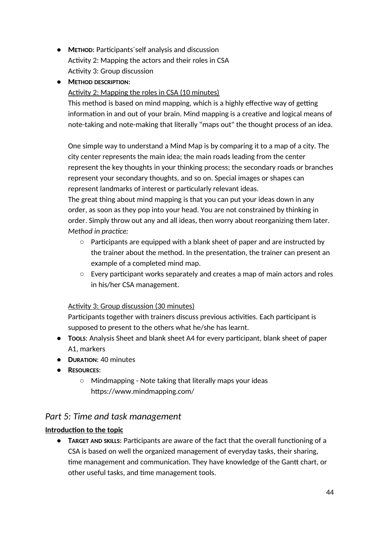- **METHOD**: Participants´self analysis and discussion Activity 2: Mapping the actors and their roles in CSA Activity 3: Group discussion
- **METHOD DESCRIPTION**:

### Activity 2: Mapping the roles in CSA (10 minutes)

This method is based on mind mapping, which is a highly effective way of getting information in and out of your brain. Mind mapping is a creative and logical means of note-taking and note-making that literally "maps out" the thought process of an idea.

One simple way to understand a Mind Map is by comparing it to a map of a city. The city center represents the main idea; the main roads leading from the center represent the key thoughts in your thinking process; the secondary roads or branches represent your secondary thoughts, and so on. Special images or shapes can represent landmarks of interest or particularly relevant ideas.

The great thing about mind mapping is that you can put your ideas down in any order, as soon as they pop into your head. You are not constrained by thinking in order. Simply throw out any and all ideas, then worry about reorganizing them later. *Method in practice:*

- $\circ$  Participants are equipped with a blank sheet of paper and are instructed by the trainer about the method. In the presentation, the trainer can present an example of a completed mind map.
- Every participant works separately and creates a map of main actors and roles in his/her CSA management.

### Activity 3: Group discussion (30 minutes)

Participants together with trainers discuss previous activities. Each participant is supposed to present to the others what he/she has learnt.

- **TOOLS**: Analysis Sheet and blank sheet A4 for every participant, blank sheet of paper A1, markers
- **DURATION**: 40 minutes
- **RESOURCES**:
	- Mindmapping Note taking that literally maps your ideas https://www.mindmapping.com/

# *Part 5: Time and task management*

### **Introduction to the topic**

● **TARGET AND SKILLS**: Participants are aware of the fact that the overall functioning of a CSA is based on well the organized management of everyday tasks, their sharing, time management and communication. They have knowledge of the Gantt chart, or other useful tasks, and time management tools.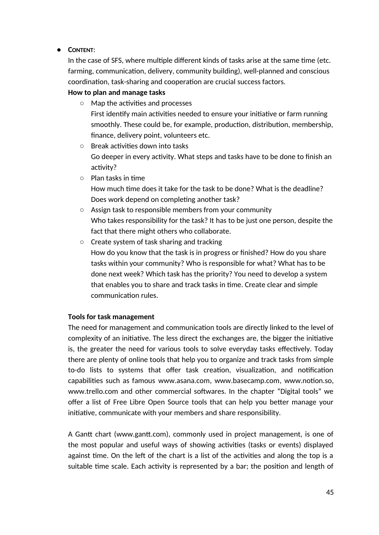### ● **CONTENT**:

In the case of SFS, where multiple different kinds of tasks arise at the same time (etc. farming, communication, delivery, community building), well-planned and conscious coordination, task-sharing and cooperation are crucial success factors.

## **How to plan and manage tasks**

- Map the activities and processes First identify main activities needed to ensure your initiative or farm running smoothly. These could be, for example, production, distribution, membership, finance, delivery point, volunteers etc.
- Break activities down into tasks Go deeper in every activity. What steps and tasks have to be done to finish an activity?
- Plan tasks in time

How much time does it take for the task to be done? What is the deadline? Does work depend on completing another task?

- Assign task to responsible members from your community Who takes responsibility for the task? It has to be just one person, despite the fact that there might others who collaborate.
- Create system of task sharing and tracking How do you know that the task is in progress or finished? How do you share tasks within your community? Who is responsible for what? What has to be done next week? Which task has the priority? You need to develop a system that enables you to share and track tasks in time. Create clear and simple communication rules.

## **Tools for task management**

The need for management and communication tools are directly linked to the level of complexity of an initiative. The less direct the exchanges are, the bigger the initiative is, the greater the need for various tools to solve everyday tasks effectively. Today there are plenty of online tools that help you to organize and track tasks from simple to-do lists to systems that offer task creation, visualization, and notification capabilities such as famous www.asana.com, www.basecamp.com, www.notion.so, www.trello.com and other commercial softwares. In the chapter "Digital tools" we offer a list of Free Libre Open Source tools that can help you better manage your initiative, communicate with your members and share responsibility.

A Gantt chart (www.gantt.com), commonly used in project management, is one of the most popular and useful ways of showing activities (tasks or events) displayed against time. On the left of the chart is a list of the activities and along the top is a suitable time scale. Each activity is represented by a bar; the position and length of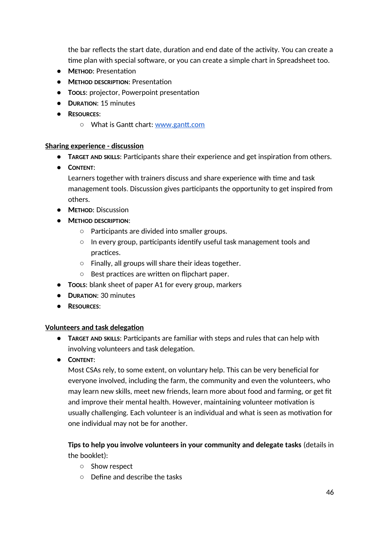the bar reflects the start date, duration and end date of the activity. You can create a time plan with special software, or you can create a simple chart in Spreadsheet too.

- **METHOD**: Presentation
- **METHOD DESCRIPTION**: Presentation
- **TOOLS**: projector, Powerpoint presentation
- **DURATION**: 15 minutes
- **RESOURCES**:
	- What is Gantt chart: www.gantt.com

#### **Sharing experience - discussion**

- **TARGET AND SKILLS**: Participants share their experience and get inspiration from others.
- **CONTENT**:

Learners together with trainers discuss and share experience with time and task management tools. Discussion gives participants the opportunity to get inspired from others.

- **METHOD**: Discussion
- **METHOD DESCRIPTION**:
	- Participants are divided into smaller groups.
	- In every group, participants identify useful task management tools and practices.
	- Finally, all groups will share their ideas together.
	- Best practices are written on flipchart paper.
- **TOOLS**: blank sheet of paper A1 for every group, markers
- **DURATION**: 30 minutes
- **RESOURCES**:

### **Volunteers and task delegation**

- **TARGET AND SKILLS**: Participants are familiar with steps and rules that can help with involving volunteers and task delegation.
- **CONTENT**:

Most CSAs rely, to some extent, on voluntary help. This can be very beneficial for everyone involved, including the farm, the community and even the volunteers, who may learn new skills, meet new friends, learn more about food and farming, or get fit and improve their mental health. However, maintaining volunteer motivation is usually challenging. Each volunteer is an individual and what is seen as motivation for one individual may not be for another.

## **Tips to help you involve volunteers in your community and delegate tasks** (details in the booklet):

- Show respect
- Define and describe the tasks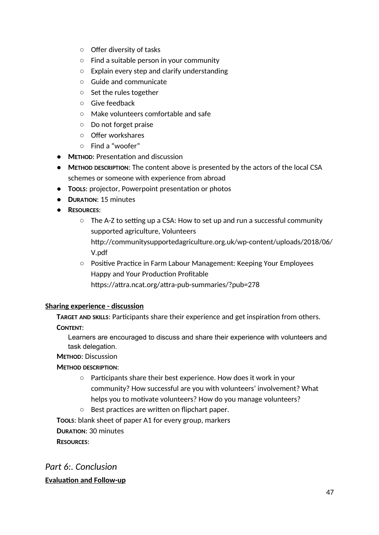- Offer diversity of tasks
- Find a suitable person in your community
- Explain every step and clarify understanding
- Guide and communicate
- Set the rules together
- Give feedback
- Make volunteers comfortable and safe
- Do not forget praise
- Offer workshares
- Find a "woofer"
- **METHOD**: Presentation and discussion
- **METHOD DESCRIPTION**: The content above is presented by the actors of the local CSA schemes or someone with experience from abroad
- **TOOLS**: projector, Powerpoint presentation or photos
- **DURATION**: 15 minutes
- **RESOURCES**:
	- $\circ$  The A-Z to setting up a CSA: How to set up and run a successful community supported agriculture, Volunteers http://communitysupportedagriculture.org.uk/wp-content/uploads/2018/06/ V.pdf
	- Positive Practice in Farm Labour Management: Keeping Your Employees Happy and Your Production Profitable https://attra.ncat.org/attra-pub-summaries/?pub=278

### **Sharing experience - discussion**

**TARGET AND SKILLS**: Participants share their experience and get inspiration from others.

### **CONTENT**:

Learners are encouraged to discuss and share their experience with volunteers and task delegation.

## **METHOD**: Discussion

### **METHOD DESCRIPTION**:

- Participants share their best experience. How does it work in your community? How successful are you with volunteers' involvement? What helps you to motivate volunteers? How do you manage volunteers?
- Best practices are written on flipchart paper.

**TOOLS**: blank sheet of paper A1 for every group, markers

**DURATION**: 30 minutes

**RESOURCES**:

# *Part 6:. Conclusion* **Evaluation and Follow-up**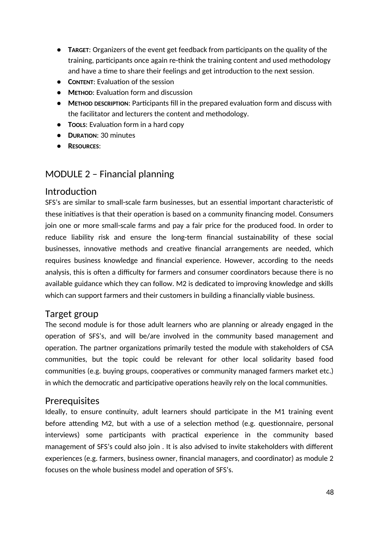- **TARGET**: Organizers of the event get feedback from participants on the quality of the training, participants once again re-think the training content and used methodology and have a time to share their feelings and get introduction to the next session.
- **CONTENT**: Evaluation of the session
- **METHOD**: Evaluation form and discussion
- **METHOD DESCRIPTION**: Participants fill in the prepared evaluation form and discuss with the facilitator and lecturers the content and methodology.
- **TOOLS**: Evaluation form in a hard copy
- **DURATION**: 30 minutes
- **RESOURCES**:

# MODULE 2 – Financial planning

# Introduction

SFS's are similar to small-scale farm businesses, but an essential important characteristic of these initiatives is that their operation is based on a community financing model. Consumers join one or more small-scale farms and pay a fair price for the produced food. In order to reduce liability risk and ensure the long-term financial sustainability of these social businesses, innovative methods and creative financial arrangements are needed, which requires business knowledge and financial experience. However, according to the needs analysis, this is often a difficulty for farmers and consumer coordinators because there is no available guidance which they can follow. M2 is dedicated to improving knowledge and skills which can support farmers and their customers in building a financially viable business.

# Target group

The second module is for those adult learners who are planning or already engaged in the operation of SFS's, and will be/are involved in the community based management and operation. The partner organizations primarily tested the module with stakeholders of CSA communities, but the topic could be relevant for other local solidarity based food communities (e.g. buying groups, cooperatives or community managed farmers market etc.) in which the democratic and participative operations heavily rely on the local communities.

# Prerequisites

Ideally, to ensure continuity, adult learners should participate in the M1 training event before attending M2, but with a use of a selection method (e.g. questionnaire, personal interviews) some participants with practical experience in the community based management of SFS's could also join . It is also advised to invite stakeholders with different experiences (e.g. farmers, business owner, financial managers, and coordinator) as module 2 focuses on the whole business model and operation of SFS's.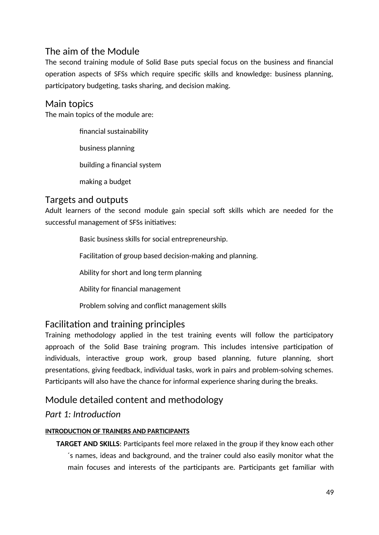# The aim of the Module

The second training module of Solid Base puts special focus on the business and financial operation aspects of SFSs which require specific skills and knowledge: business planning, participatory budgeting, tasks sharing, and decision making.

# Main topics

The main topics of the module are:

financial sustainability business planning building a financial system making a budget

# Targets and outputs

Adult learners of the second module gain special soft skills which are needed for the successful management of SFSs initiatives:

Basic business skills for social entrepreneurship.

Facilitation of group based decision-making and planning.

Ability for short and long term planning

Ability for financial management

Problem solving and conflict management skills

# Facilitation and training principles

Training methodology applied in the test training events will follow the participatory approach of the Solid Base training program. This includes intensive participation of individuals, interactive group work, group based planning, future planning, short presentations, giving feedback, individual tasks, work in pairs and problem-solving schemes. Participants will also have the chance for informal experience sharing during the breaks.

# Module detailed content and methodology

# *Part 1: Introduction*

## **INTRODUCTION OF TRAINERS AND PARTICIPANTS**

**TARGET AND SKILLS**: Participants feel more relaxed in the group if they know each other ´s names, ideas and background, and the trainer could also easily monitor what the main focuses and interests of the participants are. Participants get familiar with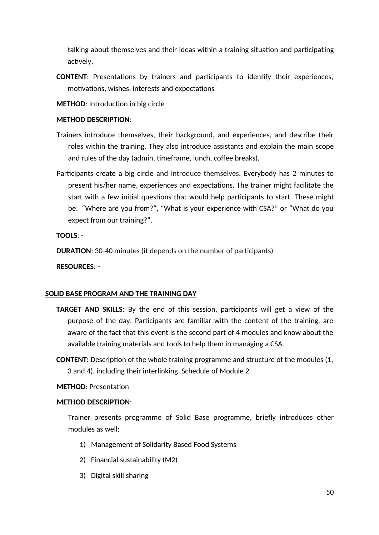talking about themselves and their ideas within a training situation and participating actively.

- **CONTENT**: Presentations by trainers and participants to identify their experiences, motivations, wishes, interests and expectations
- **METHOD**: Introduction in big circle

#### **METHOD DESCRIPTION**:

- Trainers introduce themselves, their background, and experiences, and describe their roles within the training. They also introduce assistants and explain the main scope and rules of the day (admin, timeframe, lunch, coffee breaks).
- Participants create a big circle and introduce themselves. Everybody has 2 minutes to present his/her name, experiences and expectations. The trainer might facilitate the start with a few initial questions that would help participants to start. These might be: "Where are you from?", "What is your experience with CSA?" or "What do you expect from our training?".

**TOOLS**: -

**DURATION**: 30-40 minutes (it depends on the number of participants)

**RESOURCES**: -

#### **SOLID BASE PROGRAM AND THE TRAINING DAY**

- **TARGET AND SKILLS:** By the end of this session, participants will get a view of the purpose of the day. Participants are familiar with the content of the training, are aware of the fact that this event is the second part of 4 modules and know about the available training materials and tools to help them in managing a CSA.
- **CONTENT:** Description of the whole training programme and structure of the modules (1, 3 and 4), including their interlinking. Schedule of Module 2.

### **METHOD**: Presentation

#### **METHOD DESCRIPTION**:

Trainer presents programme of Solid Base programme, briefly introduces other modules as well:

- 1) Management of Solidarity Based Food Systems
- 2) Financial sustainability (M2)
- 3) Digital skill sharing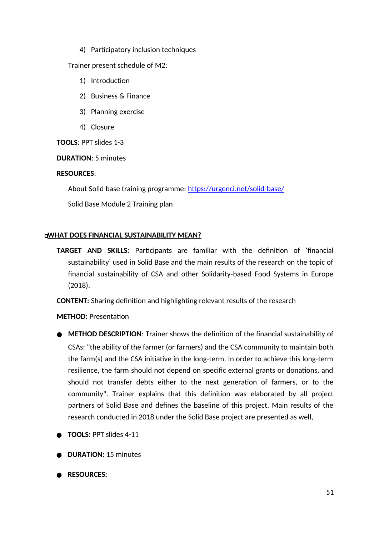4) Participatory inclusion techniques

Trainer present schedule of M2:

- 1) Introduction
- 2) Business & Finance
- 3) Planning exercise
- 4) Closure

**TOOLS**: PPT slides 1-3

**DURATION**: 5 minutes

### **RESOURCES**:

About Solid base training programme: https://urgenci.net/solid-base/

Solid Base Module 2 Training plan

### **WHAT DOES FINANCIAL SUSTAINABILITY MEAN?**

**TARGET AND SKILLS:** Participants are familiar with the definition of 'financial sustainability' used in Solid Base and the main results of the research on the topic of financial sustainability of CSA and other Solidarity-based Food Systems in Europe (2018).

**CONTENT:** Sharing definition and highlighting relevant results of the research

**METHOD:** Presentation

- **METHOD DESCRIPTION**: Trainer shows the definition of the financial sustainability of CSAs: "the ability of the farmer (or farmers) and the CSA community to maintain both the farm(s) and the CSA initiative in the long-term. In order to achieve this long-term resilience, the farm should not depend on specific external grants or donations, and should not transfer debts either to the next generation of farmers, or to the community". Trainer explains that this definition was elaborated by all project partners of Solid Base and defines the baseline of this project. Main results of the research conducted in 2018 under the Solid Base project are presented as well,
- **TOOLS:** PPT slides 4-11
- **DURATION: 15 minutes**
- **RESOURCES:**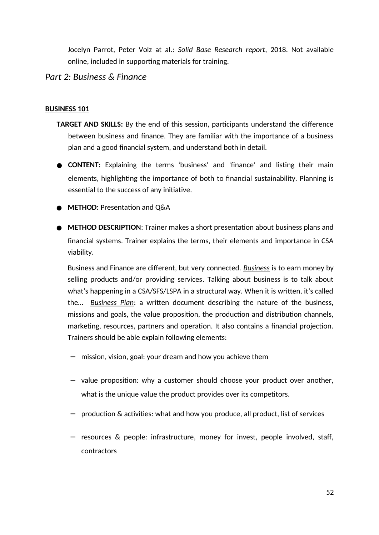Jocelyn Parrot, Peter Volz at al.: *Solid Base Research report*, 2018. Not available online, included in supporting materials for training.

## *Part 2: Business & Finance*

#### **BUSINESS 101**

- **TARGET AND SKILLS:** By the end of this session, participants understand the difference between business and finance. They are familiar with the importance of a business plan and a good financial system, and understand both in detail.
- **CONTENT:** Explaining the terms 'business' and 'finance' and listing their main elements, highlighting the importance of both to financial sustainability. Planning is essential to the success of any initiative.
- **METHOD:** Presentation and Q&A
- **METHOD DESCRIPTION**: Trainer makes a short presentation about business plans and financial systems. Trainer explains the terms, their elements and importance in CSA viability.

Business and Finance are different, but very connected. *Business* is to earn money by selling products and/or providing services. Talking about business is to talk about what's happening in a CSA/SFS/LSPA in a structural way. When it is written, it's called the… *Business Plan*: a written document describing the nature of the business, missions and goals, the value proposition, the production and distribution channels, marketing, resources, partners and operation. It also contains a financial projection. Trainers should be able explain following elements:

- − mission, vision, goal: your dream and how you achieve them
- − value proposition: why a customer should choose your product over another, what is the unique value the product provides over its competitors.
- − production & activities: what and how you produce, all product, list of services
- − resources & people: infrastructure, money for invest, people involved, staff, contractors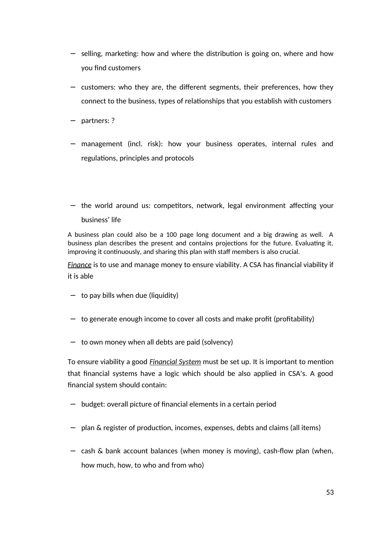- − selling, marketing: how and where the distribution is going on, where and how you find customers
- − customers: who they are, the different segments, their preferences, how they connect to the business, types of relationships that you establish with customers
- − partners: ?
- − management (incl. risk): how your business operates, internal rules and regulations, principles and protocols
- − the world around us: competitors, network, legal environment affecting your business' life

A business plan could also be a 100 page long document and a big drawing as well. A business plan describes the present and contains projections for the future. Evaluating it, improving it continuously, and sharing this plan with staff members is also crucial.

*Finance* is to use and manage money to ensure viability. A CSA has financial viability if it is able

- − to pay bills when due (liquidity)
- − to generate enough income to cover all costs and make profit (profitability)
- − to own money when all debts are paid (solvency)

To ensure viability a good *Financial System* must be set up. It is important to mention that financial systems have a logic which should be also applied in CSA's. A good financial system should contain:

- − budget: overall picture of financial elements in a certain period
- − plan & register of production, incomes, expenses, debts and claims (all items)
- − cash & bank account balances (when money is moving), cash-flow plan (when, how much, how, to who and from who)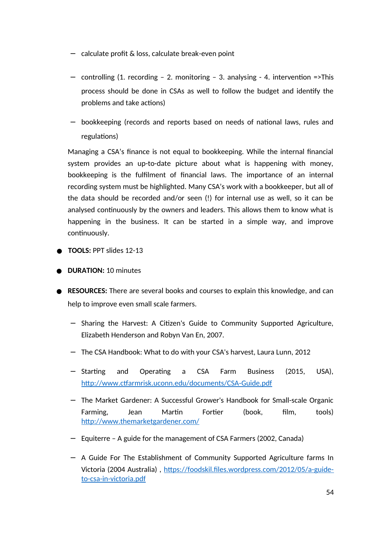- − calculate profit & loss, calculate break-even point
- − controlling (1. recording 2. monitoring 3. analysing 4. intervention =>This process should be done in CSAs as well to follow the budget and identify the problems and take actions)
- − bookkeeping (records and reports based on needs of national laws, rules and regulations)

Managing a CSA's finance is not equal to bookkeeping. While the internal financial system provides an up-to-date picture about what is happening with money, bookkeeping is the fulfilment of financial laws. The importance of an internal recording system must be highlighted. Many CSA's work with a bookkeeper, but all of the data should be recorded and/or seen (!) for internal use as well, so it can be analysed continuously by the owners and leaders. This allows them to know what is happening in the business. It can be started in a simple way, and improve continuously.

- **TOOLS:** PPT slides 12-13
- **DURATION: 10 minutes**
- **RESOURCES:** There are several books and courses to explain this knowledge, and can help to improve even small scale farmers.
	- − Sharing the Harvest: A Citizen's Guide to Community Supported Agriculture, Elizabeth Henderson and Robyn Van En, 2007.
	- − The CSA Handbook: What to do with your CSA's harvest, Laura Lunn, 2012
	- − Starting and Operating a CSA Farm Business (2015, USA), http://www.ctfarmrisk.uconn.edu/documents/CSA-Guide.pdf
	- − The Market Gardener: A Successful Grower's Handbook for Small-scale Organic Farming, Jean Martin Fortier (book, film, tools) http://www.themarketgardener.com/
	- − Equiterre A guide for the management of CSA Farmers (2002, Canada)
	- − A Guide For The Establishment of Community Supported Agriculture farms In Victoria (2004 Australia) , https://foodskil.files.wordpress.com/2012/05/a-guideto-csa-in-victoria.pdf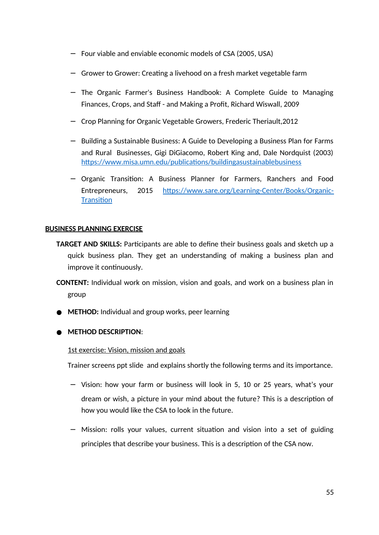- − Four viable and enviable economic models of CSA (2005, USA)
- − Grower to Grower: Creating a livehood on a fresh market vegetable farm
- − The Organic Farmer's Business Handbook: A Complete Guide to Managing Finances, Crops, and Staff - and Making a Profit, Richard Wiswall, 2009
- − Crop Planning for Organic Vegetable Growers, Frederic Theriault,2012
- − Building a Sustainable Business: A Guide to Developing a Business Plan for Farms and Rural Businesses, Gigi DiGiacomo, Robert King and, Dale Nordquist (2003) https://www.misa.umn.edu/publications/buildingasustainablebusiness
- − Organic Transition: A Business Planner for Farmers, Ranchers and Food Entrepreneurs, 2015 https://www.sare.org/Learning-Center/Books/Organic-**Transition**

### **BUSINESS PLANNING EXERCISE**

- **TARGET AND SKILLS:** Participants are able to define their business goals and sketch up a quick business plan. They get an understanding of making a business plan and improve it continuously.
- **CONTENT:** Individual work on mission, vision and goals, and work on a business plan in group
- **METHOD:** Individual and group works, peer learning

### ● **METHOD DESCRIPTION**:

### 1st exercise: Vision, mission and goals

Trainer screens ppt slide and explains shortly the following terms and its importance.

- − Vision: how your farm or business will look in 5, 10 or 25 years, what's your dream or wish, a picture in your mind about the future? This is a description of how you would like the CSA to look in the future.
- − Mission: rolls your values, current situation and vision into a set of guiding principles that describe your business. This is a description of the CSA now.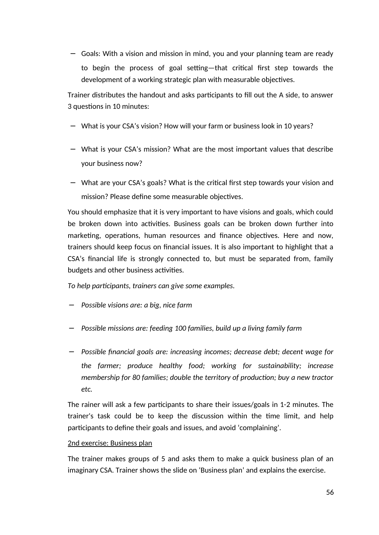− Goals: With a vision and mission in mind, you and your planning team are ready to begin the process of goal setting—that critical first step towards the development of a working strategic plan with measurable objectives.

Trainer distributes the handout and asks participants to fill out the A side, to answer 3 questions in 10 minutes:

- − What is your CSA's vision? How will your farm or business look in 10 years?
- − What is your CSA's mission? What are the most important values that describe your business now?
- − What are your CSA's goals? What is the critical first step towards your vision and mission? Please define some measurable objectives.

You should emphasize that it is very important to have visions and goals, which could be broken down into activities. Business goals can be broken down further into marketing, operations, human resources and finance objectives. Here and now, trainers should keep focus on financial issues. It is also important to highlight that a CSA's financial life is strongly connected to, but must be separated from, family budgets and other business activities.

*To help participants, trainers can give some examples.*

- − *Possible visions are: a big, nice farm*
- − *Possible missions are: feeding 100 families, build up a living family farm*
- − *Possible financial goals are: increasing incomes; decrease debt; decent wage for the farmer; produce healthy food; working for sustainability; increase membership for 80 families; double the territory of production; buy a new tractor etc.*

The rainer will ask a few participants to share their issues/goals in 1-2 minutes. The trainer's task could be to keep the discussion within the time limit, and help participants to define their goals and issues, and avoid 'complaining'.

#### 2nd exercise: Business plan

The trainer makes groups of 5 and asks them to make a quick business plan of an imaginary CSA. Trainer shows the slide on 'Business plan' and explains the exercise.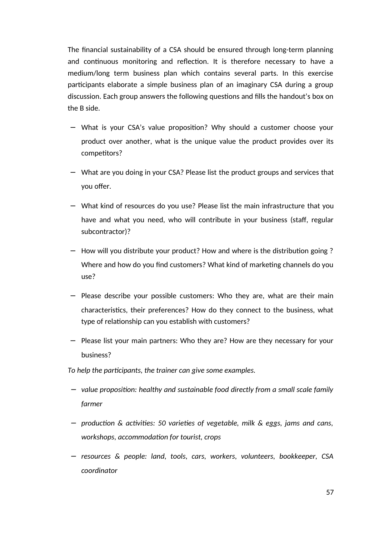The financial sustainability of a CSA should be ensured through long-term planning and continuous monitoring and reflection. It is therefore necessary to have a medium/long term business plan which contains several parts. In this exercise participants elaborate a simple business plan of an imaginary CSA during a group discussion. Each group answers the following questions and fills the handout's box on the B side.

- − What is your CSA's value proposition? Why should a customer choose your product over another, what is the unique value the product provides over its competitors?
- − What are you doing in your CSA? Please list the product groups and services that you offer.
- − What kind of resources do you use? Please list the main infrastructure that you have and what you need, who will contribute in your business (staff, regular subcontractor)?
- − How will you distribute your product? How and where is the distribution going ? Where and how do you find customers? What kind of marketing channels do you use?
- − Please describe your possible customers: Who they are, what are their main characteristics, their preferences? How do they connect to the business, what type of relationship can you establish with customers?
- − Please list your main partners: Who they are? How are they necessary for your business?

*To help the participants, the trainer can give some examples.*

- − *value proposition: healthy and sustainable food directly from a small scale family farmer*
- − *production & activities: 50 varieties of vegetable, milk & eggs, jams and cans, workshops, accommodation for tourist, crops*
- − *resources & people: land, tools, cars, workers, volunteers, bookkeeper, CSA coordinator*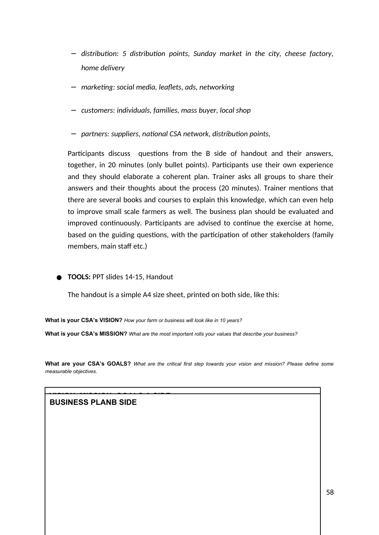- − *distribution: 5 distribution points, Sunday market in the city, cheese factory, home delivery*
- − *marketing: social media, leaflets, ads, networking*
- − *customers: individuals, families, mass buyer, local shop*
- − *partners: suppliers, national CSA network, distribution points,*

Participants discuss questions from the B side of handout and their answers, together, in 20 minutes (only bullet points). Participants use their own experience and they should elaborate a coherent plan. Trainer asks all groups to share their answers and their thoughts about the process (20 minutes). Trainer mentions that there are several books and courses to explain this knowledge, which can even help to improve small scale farmers as well. The business plan should be evaluated and improved continuously. Participants are advised to continue the exercise at home, based on the guiding questions, with the participation of other stakeholders (family members, main staff etc.)

● **TOOLS: PPT slides 14-15, Handout** 

The handout is a simple A4 size sheet, printed on both side, like this:

**What is your CSA's VISION?** *How your farm or business will look like in 10 years?*

**What is your CSA's MISSION?** *What are the most important rolls your values that describe your business?*

**What are your CSA's GOALS?** *What are the critical first step towards your vision and mission? Please define some measurable objectives.*

**VISION, MISSION, GOALS A SIDE BUSINESS PLANB SIDE**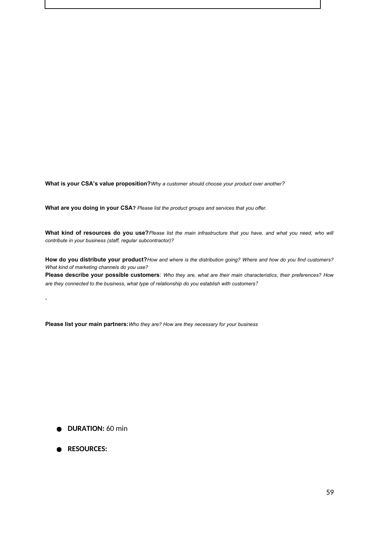**What is your CSA's value proposition?***Why a customer should choose your product over another?*

**What are you doing in your CSA?** *Please list the product groups and services that you offer.*

**What kind of resources do you use?***Please list the main infrastructure that you have, and what you need, who will contribute in your business (staff, regular subcontractor)?*

**How do you distribute your product?***How and where is the distribution going? Where and how do you find customers? What kind of marketing channels do you use?*

**Please describe your possible customers**: *Who they are, what are their main characteristics, their preferences? How are they connected to the business, what type of relationship do you establish with customers?*

**Please list your main partners:***Who they are? How are they necessary for your business*

- **DURATION:** 60 min
- **RESOURCES:**

.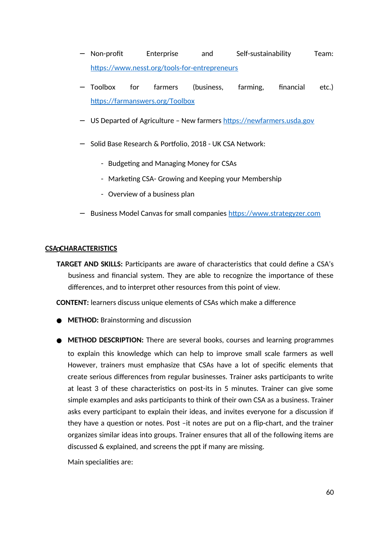- − Non-profit Enterprise and Self-sustainability Team: https://www.nesst.org/tools-for-entrepreneurs
- − Toolbox for farmers (business, farming, financial etc.) https://farmanswers.org/Toolbox
- − US Departed of Agriculture New farmers https://newfarmers.usda.gov
- − Solid Base Research & Portfolio, 2018 UK CSA Network:
	- Budgeting and Managing Money for CSAs
	- Marketing CSA- Growing and Keeping your Membership
	- Overview of a business plan
- − Business Model Canvas for small companies https://www.strategyzer.com

#### **CSA CHARACTERISTICS**

**TARGET AND SKILLS:** Participants are aware of characteristics that could define a CSA's business and financial system. They are able to recognize the importance of these differences, and to interpret other resources from this point of view.

**CONTENT:** learners discuss unique elements of CSAs which make a difference

- **METHOD:** Brainstorming and discussion
- **METHOD DESCRIPTION:** There are several books, courses and learning programmes to explain this knowledge which can help to improve small scale farmers as well However, trainers must emphasize that CSAs have a lot of specific elements that create serious differences from regular businesses. Trainer asks participants to write at least 3 of these characteristics on post-its in 5 minutes. Trainer can give some simple examples and asks participants to think of their own CSA as a business. Trainer asks every participant to explain their ideas, and invites everyone for a discussion if they have a question or notes. Post –it notes are put on a flip-chart, and the trainer organizes similar ideas into groups. Trainer ensures that all of the following items are discussed & explained, and screens the ppt if many are missing.

Main specialities are: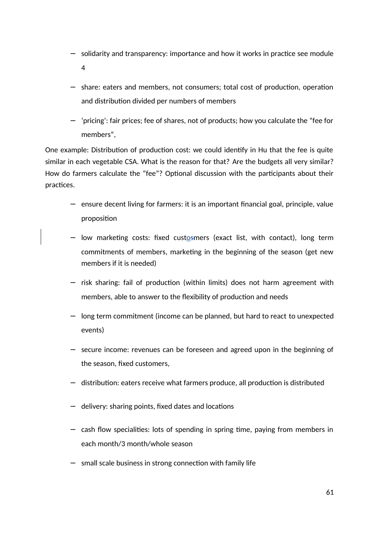- − solidarity and transparency: importance and how it works in practice see module 4
- − share: eaters and members, not consumers; total cost of production, operation and distribution divided per numbers of members
- − 'pricing': fair prices; fee of shares, not of products; how you calculate the "fee for members",

One example: Distribution of production cost: we could identify in Hu that the fee is quite similar in each vegetable CSA. What is the reason for that? Are the budgets all very similar? How do farmers calculate the "fee"? Optional discussion with the participants about their practices.

- − ensure decent living for farmers: it is an important financial goal, principle, value proposition
- − low marketing costs: fixed custosmers (exact list, with contact), long term commitments of members, marketing in the beginning of the season (get new members if it is needed)
- − risk sharing: fail of production (within limits) does not harm agreement with members, able to answer to the flexibility of production and needs
- − long term commitment (income can be planned, but hard to react to unexpected events)
- − secure income: revenues can be foreseen and agreed upon in the beginning of the season, fixed customers,
- − distribution: eaters receive what farmers produce, all production is distributed
- − delivery: sharing points, fixed dates and locations
- − cash flow specialities: lots of spending in spring time, paying from members in each month/3 month/whole season
- − small scale business in strong connection with family life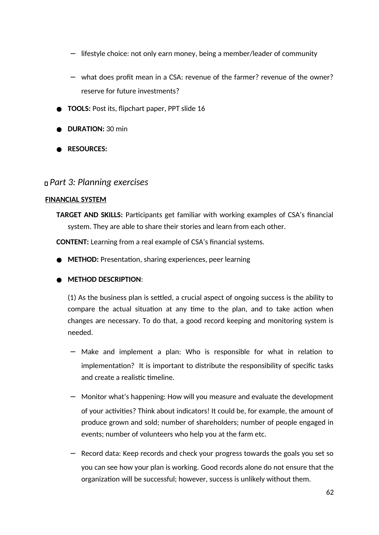- − lifestyle choice: not only earn money, being a member/leader of community
- − what does profit mean in a CSA: revenue of the farmer? revenue of the owner? reserve for future investments?
- **TOOLS:** Post its, flipchart paper, PPT slide 16
- **DURATION:** 30 min
- **RESOURCES:**

### *Part 3: Planning exercises*

### **FINANCIAL SYSTEM**

**TARGET AND SKILLS:** Participants get familiar with working examples of CSA's financial system. They are able to share their stories and learn from each other.

**CONTENT:** Learning from a real example of CSA's financial systems.

● **METHOD:** Presentation, sharing experiences, peer learning

### ● **METHOD DESCRIPTION**:

(1) As the business plan is settled, a crucial aspect of ongoing success is the ability to compare the actual situation at any time to the plan, and to take action when changes are necessary. To do that, a good record keeping and monitoring system is needed.

- − Make and implement a plan: Who is responsible for what in relation to implementation? It is important to distribute the responsibility of specific tasks and create a realistic timeline.
- − Monitor what's happening: How will you measure and evaluate the development of your activities? Think about indicators! It could be, for example, the amount of produce grown and sold; number of shareholders; number of people engaged in events; number of volunteers who help you at the farm etc.
- − Record data: Keep records and check your progress towards the goals you set so you can see how your plan is working. Good records alone do not ensure that the organization will be successful; however, success is unlikely without them.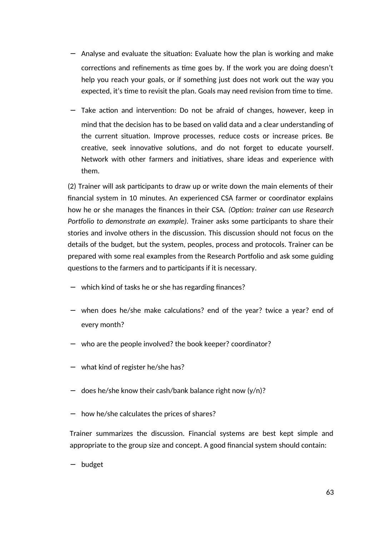- − Analyse and evaluate the situation: Evaluate how the plan is working and make corrections and refinements as time goes by. If the work you are doing doesn't help you reach your goals, or if something just does not work out the way you expected, it's time to revisit the plan. Goals may need revision from time to time.
- − Take action and intervention: Do not be afraid of changes, however, keep in mind that the decision has to be based on valid data and a clear understanding of the current situation. Improve processes, reduce costs or increase prices. Be creative, seek innovative solutions, and do not forget to educate yourself. Network with other farmers and initiatives, share ideas and experience with them.

(2) Trainer will ask participants to draw up or write down the main elements of their financial system in 10 minutes. An experienced CSA farmer or coordinator explains how he or she manages the finances in their CSA. *(Option: trainer can use Research Portfolio to demonstrate an example).* Trainer asks some participants to share their stories and involve others in the discussion. This discussion should not focus on the details of the budget, but the system, peoples, process and protocols. Trainer can be prepared with some real examples from the Research Portfolio and ask some guiding questions to the farmers and to participants if it is necessary.

- − which kind of tasks he or she has regarding finances?
- − when does he/she make calculations? end of the year? twice a year? end of every month?
- − who are the people involved? the book keeper? coordinator?
- − what kind of register he/she has?
- − does he/she know their cash/bank balance right now (y/n)?
- − how he/she calculates the prices of shares?

Trainer summarizes the discussion. Financial systems are best kept simple and appropriate to the group size and concept. A good financial system should contain:

− budget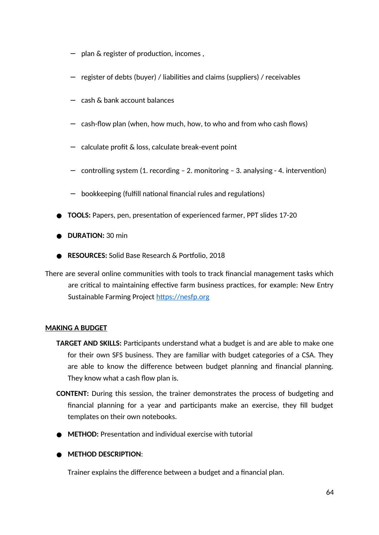- − plan & register of production, incomes ,
- − register of debts (buyer) / liabilities and claims (suppliers) / receivables
- − cash & bank account balances
- − cash-flow plan (when, how much, how, to who and from who cash flows)
- − calculate profit & loss, calculate break-event point
- − controlling system (1. recording 2. monitoring 3. analysing 4. intervention)
- − bookkeeping (fulfill national financial rules and regulations)
- **TOOLS:** Papers, pen, presentation of experienced farmer, PPT slides 17-20
- **DURATION:** 30 min
- **RESOURCES:** Solid Base Research & Portfolio, 2018
- There are several online communities with tools to track financial management tasks which are critical to maintaining effective farm business practices, for example: New Entry Sustainable Farming Project https://nesfp.org

### **MAKING A BUDGET**

- **TARGET AND SKILLS:** Participants understand what a budget is and are able to make one for their own SFS business. They are familiar with budget categories of a CSA. They are able to know the difference between budget planning and financial planning. They know what a cash flow plan is.
- **CONTENT:** During this session, the trainer demonstrates the process of budgeting and financial planning for a year and participants make an exercise, they fill budget templates on their own notebooks.
- **METHOD:** Presentation and individual exercise with tutorial

### ● **METHOD DESCRIPTION**:

Trainer explains the difference between a budget and a financial plan.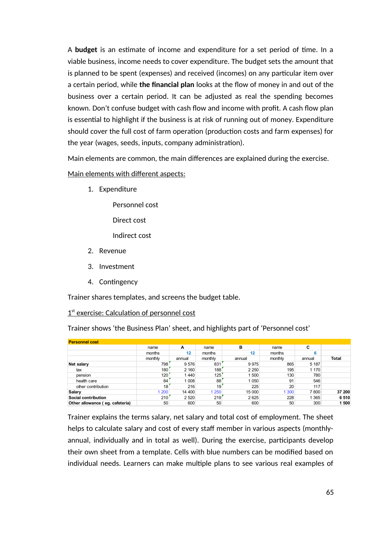A **budget** is an estimate of income and expenditure for a set period of time. In a viable business, income needs to cover expenditure. The budget sets the amount that is planned to be spent (expenses) and received (incomes) on any particular item over a certain period, while **the financial plan** looks at the flow of money in and out of the business over a certain period. It can be adjusted as real the spending becomes known. Don't confuse budget with cash flow and income with profit. A cash flow plan is essential to highlight if the business is at risk of running out of money. Expenditure should cover the full cost of farm operation (production costs and farm expenses) for the year (wages, seeds, inputs, company administration).

Main elements are common, the main differences are explained during the exercise.

Main elements with different aspects:

1. Expenditure

Personnel cost

Direct cost

Indirect cost

- 2. Revenue
- 3. Investment
- 4. Contingency

Trainer shares templates, and screens the budget table.

1<sup>st</sup> exercise: Calculation of personnel cost

Trainer shows 'the Business Plan' sheet, and highlights part of 'Personnel cost'

| <b>Personnel cost</b>           |                                       |         |         |         |         |         |              |
|---------------------------------|---------------------------------------|---------|---------|---------|---------|---------|--------------|
|                                 | name                                  | A       | name    | в       | name    | C       |              |
|                                 | months                                | 12      | months  | 12      | months  | 6       |              |
|                                 | monthly                               | annual  | monthly | annual  | monthly | annual  | <b>Total</b> |
| Net salary                      | 798                                   | 9576    | 831     | 9975    | 865     | 5 1 8 7 |              |
| tax                             | 180                                   | 2 1 6 0 | 188     | 2 2 5 0 | 195     | 1 1 7 0 |              |
| pension                         | 120                                   | 1440    | 125     | 500     | 130     | 780     |              |
| health care                     | 84                                    | 1 0 0 8 | 88      | 1050    | 91      | 546     |              |
| other contribution              | 18                                    | 216     | 19      | 225     | 20      | 117     |              |
| Salary                          | 1 200                                 | 14 400  | 1 250   | 15 000  | 1 300   | 7800    | 37 200       |
| Social contribution             | $210$ <sup><math>\degree</math></sup> | 2 5 2 0 | 219     | 2625    | 228     | 365     | 6510         |
| Other allowance (eg. cafeteria) | 50                                    | 600     | 50      | 600     | 50      | 300     | 1500         |

Trainer explains the terms salary, net salary and total cost of employment. The sheet helps to calculate salary and cost of every staff member in various aspects (monthlyannual, individually and in total as well). During the exercise, participants develop their own sheet from a template. Cells with blue numbers can be modified based on individual needs. Learners can make multiple plans to see various real examples of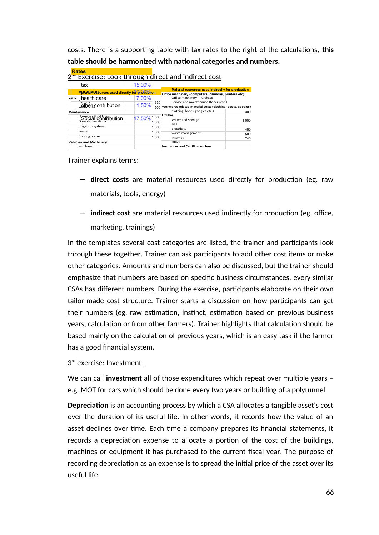costs. There is a supporting table with tax rates to the right of the calculations, **this table should be harmonized with national categories and numbers.**

| <b>Rates</b>                                    |                           |                                                                                                                 |            |  |  |  |  |
|-------------------------------------------------|---------------------------|-----------------------------------------------------------------------------------------------------------------|------------|--|--|--|--|
|                                                 |                           | 2 <sup>nd</sup> Exercise: Look through direct and indirect cost                                                 |            |  |  |  |  |
| tax                                             | 15,00%                    |                                                                                                                 |            |  |  |  |  |
| Materia in Bources used directly for Orcelation |                           | <b>Material resources used indirectly for production</b><br>Office machinery (computers, cameras, printers etc) |            |  |  |  |  |
| Land<br>health care                             | 7.00%                     | Office machinery - Purchase                                                                                     |            |  |  |  |  |
| Renting<br>Latther <sub>k</sub> contribution    | 1 3 3 0<br>1,50%<br>500   | Service and maintenance (toners etc.)<br>Workforce related material costs (clothing, boots, googles e           |            |  |  |  |  |
| <b>Naintenance</b>                              |                           | clothing, boots, googles etc.)                                                                                  | 300        |  |  |  |  |
| House and buildings<br>COCIAL CONTIDUTION       | $17,50\%$ 1 500 Utilities | Water and sewage                                                                                                | 1.000      |  |  |  |  |
| Irrigation system                               | 000<br>1 000              | Gas                                                                                                             |            |  |  |  |  |
| Fence                                           | 1 000                     | Electricity<br>waste management                                                                                 | 480<br>500 |  |  |  |  |
| Cooling house                                   | 1 000                     | Internet                                                                                                        | 240        |  |  |  |  |
| <b>Vehicles and Machinery</b>                   |                           | Other                                                                                                           |            |  |  |  |  |
| Purchase                                        |                           | <b>Insurances and Certification fees</b>                                                                        |            |  |  |  |  |

Trainer explains terms:

- − **direct costs** are material resources used directly for production (eg. raw materials, tools, energy)
- − **indirect cost** are material resources used indirectly for production (eg. office, marketing, trainings)

In the templates several cost categories are listed, the trainer and participants look through these together. Trainer can ask participants to add other cost items or make other categories. Amounts and numbers can also be discussed, but the trainer should emphasize that numbers are based on specific business circumstances, every similar CSAs has different numbers. During the exercise, participants elaborate on their own tailor-made cost structure. Trainer starts a discussion on how participants can get their numbers (eg. raw estimation, instinct, estimation based on previous business years, calculation or from other farmers). Trainer highlights that calculation should be based mainly on the calculation of previous years, which is an easy task if the farmer has a good financial system.

### $3<sup>rd</sup>$  exercise: Investment

We can call **investment** all of those expenditures which repeat over multiple years – e.g. MOT for cars which should be done every two years or building of a polytunnel.

**Depreciation** is an accounting process by which a CSA allocates a tangible asset's cost over the duration of its useful life. In other words, it records how the value of an asset declines over time. Each time a company prepares its financial statements, it records a depreciation expense to allocate a portion of the cost of the buildings, machines or equipment it has purchased to the current fiscal year. The purpose of recording depreciation as an expense is to spread the initial price of the asset over its useful life.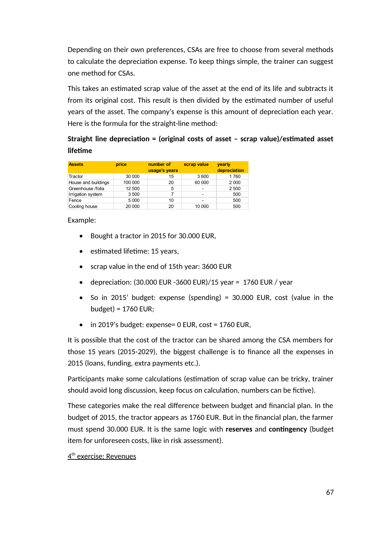Depending on their own preferences, CSAs are free to choose from several methods to calculate the depreciation expense. To keep things simple, the trainer can suggest one method for CSAs.

This takes an estimated scrap value of the asset at the end of its life and subtracts it from its original cost. This result is then divided by the estimated number of useful years of the asset. The company's expense is this amount of depreciation each year. Here is the formula for the straight-line method:

# **Straight line depreciation = (original costs of asset – scrap value)/estimated asset lifetime**

| <b>Assets</b>       | price   | number of<br>usage's years | scrap value | vearly<br>depreciation |
|---------------------|---------|----------------------------|-------------|------------------------|
| Tractor             | 30 000  | 15                         | 3 600       | 1760                   |
| House and buildings | 100 000 | 20                         | 60 000      | 2 0 0 0                |
| Greenhouse /folia   | 12 500  | 5                          |             | 2 500                  |
| Irrigation system   | 3 500   |                            |             | 500                    |
| Fence               | 5 0 0 0 | 10                         |             | 500                    |
| Cooling house       | 20 000  | 20                         | 10 000      | 500                    |

### Example:

- Bought a tractor in 2015 for 30.000 EUR,
- estimated lifetime: 15 years,
- scrap value in the end of 15th year: 3600 EUR
- depreciation:  $(30.000 \text{ EUR} 3600 \text{ EUR})/15 \text{ year} = 1760 \text{ EUR} / \text{year}$
- So in 2015' budget: expense (spending) = 30.000 EUR, cost (value in the budget) = 1760 EUR;
- in 2019's budget: expense= 0 EUR, cost = 1760 EUR,

It is possible that the cost of the tractor can be shared among the CSA members for those 15 years (2015-2029), the biggest challenge is to finance all the expenses in 2015 (loans, funding, extra payments etc.).

Participants make some calculations (estimation of scrap value can be tricky, trainer should avoid long discussion, keep focus on calculation, numbers can be fictive).

These categories make the real difference between budget and financial plan. In the budget of 2015, the tractor appears as 1760 EUR. But in the financial plan, the farmer must spend 30.000 EUR. It is the same logic with **reserves** and **contingency** (budget item for unforeseen costs, like in risk assessment).

## <u>4<sup>th</sup> exercise: Revenues</u>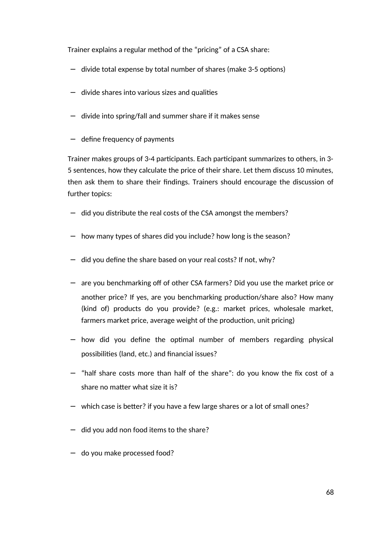Trainer explains a regular method of the "pricing" of a CSA share:

- − divide total expense by total number of shares (make 3-5 options)
- − divide shares into various sizes and qualities
- − divide into spring/fall and summer share if it makes sense
- − define frequency of payments

Trainer makes groups of 3-4 participants. Each participant summarizes to others, in 3- 5 sentences, how they calculate the price of their share. Let them discuss 10 minutes, then ask them to share their findings. Trainers should encourage the discussion of further topics:

- − did you distribute the real costs of the CSA amongst the members?
- − how many types of shares did you include? how long is the season?
- − did you define the share based on your real costs? If not, why?
- − are you benchmarking off of other CSA farmers? Did you use the market price or another price? If yes, are you benchmarking production/share also? How many (kind of) products do you provide? (e.g.: market prices, wholesale market, farmers market price, average weight of the production, unit pricing)
- − how did you define the optimal number of members regarding physical possibilities (land, etc.) and financial issues?
- − "half share costs more than half of the share": do you know the fix cost of a share no matter what size it is?
- − which case is better? if you have a few large shares or a lot of small ones?
- − did you add non food items to the share?
- − do you make processed food?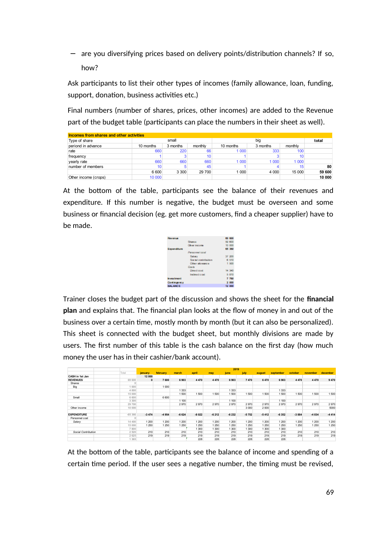− are you diversifying prices based on delivery points/distribution channels? If so, how?

Ask participants to list their other types of incomes (family allowance, loan, funding, support, donation, business activities etc.)

Final numbers (number of shares, prices, other incomes) are added to the Revenue part of the budget table (participants can place the numbers in their sheet as well).

| Incomes from shares and other activities |           |          |         |           |         |        |        |  |  |  |  |
|------------------------------------------|-----------|----------|---------|-----------|---------|--------|--------|--|--|--|--|
| Type of share                            |           | small    |         |           | total   |        |        |  |  |  |  |
| periond in advance                       | 10 months | 3 months | monthly | 10 months | monthly |        |        |  |  |  |  |
| rate                                     | 660       | 220      | 66      | 1 0 0 0   | 333     | 100    |        |  |  |  |  |
| frequency                                |           |          | 10      |           |         | 10     |        |  |  |  |  |
| yearly rate                              | 660       | 660      | 660     | 1 0 0 0   | 1 000   | 1 000  |        |  |  |  |  |
| number of members                        | 10        |          | 45      |           |         | 15     | 80     |  |  |  |  |
|                                          | 6 600     | 3 3 0 0  | 29 700  | 1 0 0 0   | 4 0 0 0 | 15 000 | 59 600 |  |  |  |  |
| Other income (crops)                     | 10 000    |          |         |           |         |        | 10 000 |  |  |  |  |

At the bottom of the table, participants see the balance of their revenues and expenditure. If this number is negative, the budget must be overseen and some business or financial decision (eg. get more customers, find a cheaper supplier) have to be made.

| <b>Revenue</b> |                     | 69 600 |
|----------------|---------------------|--------|
|                | Shares              | 59,600 |
|                | <b>Ohier Income</b> | 10 000 |
| Expenditure    |                     | 65 360 |
|                | Personnel cost      |        |
|                | Salary              | 37 200 |
|                | Social contribution | 8 510  |
|                | Other allowance.    | 1 500  |
|                | <b>City by</b>      |        |
|                | Direct cost         | 14 340 |
|                | Indirect cost       | 5 810  |
| In you troon t |                     | 7 760  |
| Contingency    |                     | 2 000  |
| <b>BALANCE</b> |                     | 12 000 |
|                |                     |        |

Trainer closes the budget part of the discussion and shows the sheet for the **financial plan** and explains that. The financial plan looks at the flow of money in and out of the business over a certain time, mostly month by month (but it can also be personalized). This sheet is connected with the budget sheet, but monthly divisions are made by users. The first number of this table is the cash balance on the first day (how much money the user has in their cashier/bank account).

|                     |                |                |          |         |         |         | 2019    |         |         |           |         |          |          |
|---------------------|----------------|----------------|----------|---------|---------|---------|---------|---------|---------|-----------|---------|----------|----------|
|                     | Total          | <b>january</b> | february | march   | april   | may     | june    | july    | august  | september | october | november | december |
| CASH in 1st Jan     |                | 12000          |          |         |         |         |         |         |         |           |         |          |          |
| <b>REVENUES</b>     | 69 600         | $\Omega$       | 7600     | 6903    | 4 4 7 0 | 4 4 7 0 | 6903    | 7470    | 6470    | 6903      | 4 4 7 0 | 4470     | 9 4 7 0  |
| Shares              | $\Omega$       |                |          |         |         |         |         |         |         |           |         |          |          |
| Big                 | 1 000          |                | 1 000    |         |         |         |         |         |         |           |         |          |          |
|                     | 4 000          |                |          | 1333    |         |         | 1 3 3 3 |         |         | 333       |         |          |          |
|                     | 15 000         |                |          | 1500    | 1500    | 1 500   | 1500    | 1500    | 1500    | 1500      | 1 500   | 1500     | 1 500    |
| Small               | 6 600          |                | 6 600    |         |         |         |         |         |         |           |         |          |          |
|                     | 3 3 0 0        |                |          | 1 100   |         |         | 1 100   |         |         | 1 100     |         |          |          |
|                     | 29 700         |                |          | 2970    | 2970    | 2970    | 2970    | 2970    | 2970    | 2970      | 2970    | 2970     | 2970     |
| Other income        | 10 000         |                |          |         |         |         |         | 3 0 0 0 | 2000    |           |         |          | 5000     |
| <b>EXPENDITURE</b>  | $-65366$       | $-3474$        | $-4954$  | $-6624$ | $-8022$ | $-6212$ | $-6232$ | $-5752$ | $-5412$ | $-6352$   | $-3884$ | $-4034$  | $-4414$  |
| Personnel cost      | $\overline{0}$ |                |          |         |         |         |         |         |         |           |         |          |          |
| Salarv              | 14 400         | 1 200          | 1 200    | 1 200   | 1 200   | 1 200   | 1 200   | 1 200   | 1 200   | 1 200     | 1 200   | 1 200    | 1 200    |
|                     | 15 000         | 1 250          | 1 250    | 1 250   | 250     | 1 250   | 1 250   | 1 2 5 0 | 1 250   | 250       | 1 250   | 1 250    | 1 250    |
|                     | 7 800          |                |          |         | 300     | 1 300   | 1 300   | 1 300   | 1 300   | 300       |         |          |          |
| Social Contribution | 2 5 2 0        | 210            | 210      | 210     | 210     | 210     | 210     | 210     | 210     | 210       | 210     | 210      | 210      |
|                     | 2 6 2 5        | 219            | 219      | 219     | 219     | 219     | 219     | 219     | 219     | 219       | 219     | 219      | 219      |
|                     | 1 3 6 5        |                |          |         | 228     | 228     | 228     | 228     | 228     | 228       |         |          |          |

At the bottom of the table, participants see the balance of income and spending of a certain time period. If the user sees a negative number, the timing must be revised,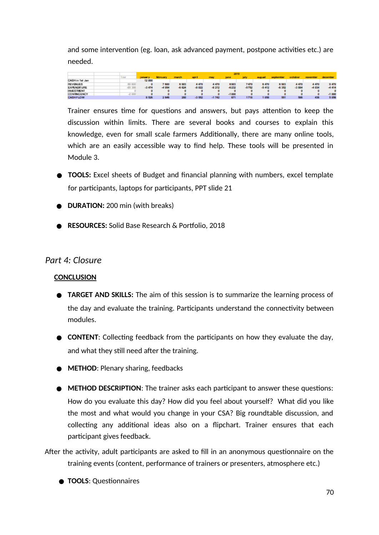and some intervention (eg. loan, ask advanced payment, postpone activities etc.) are needed.

|                   |           |               | 2019            |          |         |         |         |       |               |                   |         |           |                 |
|-------------------|-----------|---------------|-----------------|----------|---------|---------|---------|-------|---------------|-------------------|---------|-----------|-----------------|
|                   |           | <b>BILDEY</b> | <b>fabruary</b> | march    | acr 6   | may     | june.   |       | <b>BUDUN!</b> | <b>SOCKOTTOST</b> | october | november. | <b>GROSSTER</b> |
| CASH in Talt Jan  |           | 12 000        |                 |          |         |         |         |       |               |                   |         |           |                 |
| <b>REVENUES</b>   | 69 600    |               | 7 600           | 6 9 0 3  | 4470    | 4470    | 8903    | 7470  | 6 470         | 6 9 0 5           | 4.470   | 4470      | 9.470           |
| EXPENDITURE       | $-85,386$ | $-3,474$      | $-4956$         | $-8.824$ | $-8022$ | $-8212$ | $-8232$ | -5752 | $-5412$       | -8.352            | $-3884$ | $-4034$   | 4 414           |
| <b>INVESTMENT</b> |           |               |                 |          |         |         |         |       |               |                   |         |           |                 |
| CONTINGENCY       | $-2000$   |               |                 |          |         |         | $-1000$ |       |               |                   |         |           | $-1000$         |
| <b>CASHFLOW</b>   |           | 8526          | 2846            | 200      | -3 952  | -1742   | 671     | 1718  | 053           | 551               | 500     | 438       | 5 056           |

Trainer ensures time for questions and answers, but pays attention to keep the discussion within limits. There are several books and courses to explain this knowledge, even for small scale farmers Additionally, there are many online tools, which are an easily accessible way to find help. These tools will be presented in Module 3.

- **TOOLS:** Excel sheets of Budget and financial planning with numbers, excel template for participants, laptops for participants, PPT slide 21
- **DURATION:** 200 min (with breaks)
- **RESOURCES:** Solid Base Research & Portfolio, 2018

## *Part 4: Closure*

### **CONCLUSION**

- **TARGET AND SKILLS:** The aim of this session is to summarize the learning process of the day and evaluate the training. Participants understand the connectivity between modules.
- **CONTENT:** Collecting feedback from the participants on how they evaluate the day, and what they still need after the training.
- **METHOD**: Plenary sharing, feedbacks
- **METHOD DESCRIPTION**: The trainer asks each participant to answer these questions: How do you evaluate this day? How did you feel about yourself? What did you like the most and what would you change in your CSA? Big roundtable discussion, and collecting any additional ideas also on a flipchart. Trainer ensures that each participant gives feedback.
- After the activity, adult participants are asked to fill in an anonymous questionnaire on the training events (content, performance of trainers or presenters, atmosphere etc.)
	- **TOOLS**: Questionnaires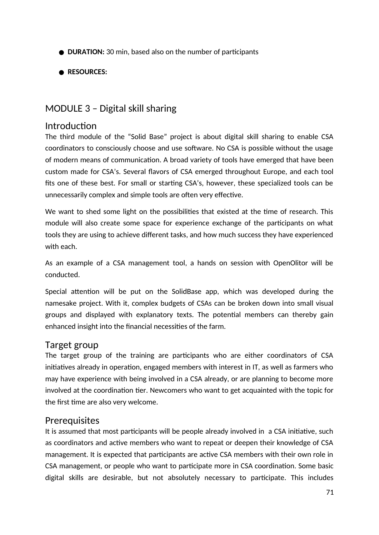- **DURATION:** 30 min, based also on the number of participants
- **RESOURCES:**

# MODULE 3 – Digital skill sharing

## Introduction

The third module of the "Solid Base" project is about digital skill sharing to enable CSA coordinators to consciously choose and use software. No CSA is possible without the usage of modern means of communication. A broad variety of tools have emerged that have been custom made for CSA's. Several flavors of CSA emerged throughout Europe, and each tool fits one of these best. For small or starting CSA's, however, these specialized tools can be unnecessarily complex and simple tools are often very effective.

We want to shed some light on the possibilities that existed at the time of research. This module will also create some space for experience exchange of the participants on what tools they are using to achieve different tasks, and how much success they have experienced with each.

As an example of a CSA management tool, a hands on session with OpenOlitor will be conducted.

Special attention will be put on the SolidBase app, which was developed during the namesake project. With it, complex budgets of CSAs can be broken down into small visual groups and displayed with explanatory texts. The potential members can thereby gain enhanced insight into the financial necessities of the farm.

# Target group

The target group of the training are participants who are either coordinators of CSA initiatives already in operation, engaged members with interest in IT, as well as farmers who may have experience with being involved in a CSA already, or are planning to become more involved at the coordination tier. Newcomers who want to get acquainted with the topic for the first time are also very welcome.

# **Prerequisites**

It is assumed that most participants will be people already involved in a CSA initiative, such as coordinators and active members who want to repeat or deepen their knowledge of CSA management. It is expected that participants are active CSA members with their own role in CSA management, or people who want to participate more in CSA coordination. Some basic digital skills are desirable, but not absolutely necessary to participate. This includes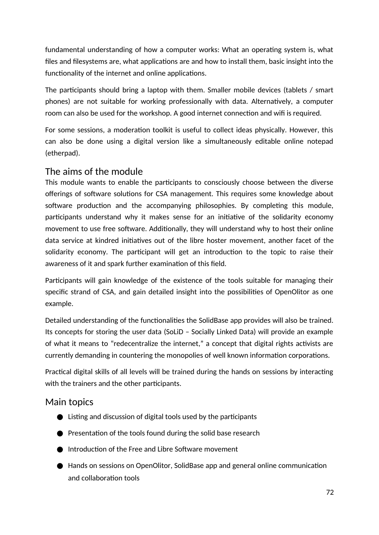fundamental understanding of how a computer works: What an operating system is, what files and filesystems are, what applications are and how to install them, basic insight into the functionality of the internet and online applications.

The participants should bring a laptop with them. Smaller mobile devices (tablets / smart phones) are not suitable for working professionally with data. Alternatively, a computer room can also be used for the workshop. A good internet connection and wifi is required.

For some sessions, a moderation toolkit is useful to collect ideas physically. However, this can also be done using a digital version like a simultaneously editable online notepad (etherpad).

# The aims of the module

This module wants to enable the participants to consciously choose between the diverse offerings of software solutions for CSA management. This requires some knowledge about software production and the accompanying philosophies. By completing this module, participants understand why it makes sense for an initiative of the solidarity economy movement to use free software. Additionally, they will understand why to host their online data service at kindred initiatives out of the libre hoster movement, another facet of the solidarity economy. The participant will get an introduction to the topic to raise their awareness of it and spark further examination of this field.

Participants will gain knowledge of the existence of the tools suitable for managing their specific strand of CSA, and gain detailed insight into the possibilities of OpenOlitor as one example.

Detailed understanding of the functionalities the SolidBase app provides will also be trained. Its concepts for storing the user data (SoLiD – Socially Linked Data) will provide an example of what it means to "redecentralize the internet," a concept that digital rights activists are currently demanding in countering the monopolies of well known information corporations.

Practical digital skills of all levels will be trained during the hands on sessions by interacting with the trainers and the other participants.

# Main topics

- $\bullet$  Listing and discussion of digital tools used by the participants
- Presentation of the tools found during the solid base research
- Introduction of the Free and Libre Software movement
- Hands on sessions on OpenOlitor, SolidBase app and general online communication and collaboration tools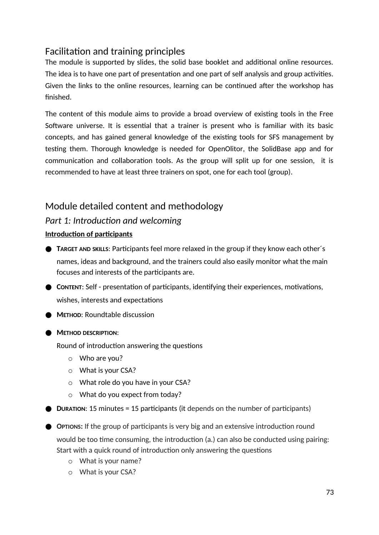# Facilitation and training principles

The module is supported by slides, the solid base booklet and additional online resources. The idea is to have one part of presentation and one part of self analysis and group activities. Given the links to the online resources, learning can be continued after the workshop has finished.

The content of this module aims to provide a broad overview of existing tools in the Free Software universe. It is essential that a trainer is present who is familiar with its basic concepts, and has gained general knowledge of the existing tools for SFS management by testing them. Thorough knowledge is needed for OpenOlitor, the SolidBase app and for communication and collaboration tools. As the group will split up for one session, it is recommended to have at least three trainers on spot, one for each tool (group).

# Module detailed content and methodology

## *Part 1: Introduction and welcoming*

### **Introduction of participants**

- **TARGET AND SKILLS**: Participants feel more relaxed in the group if they know each other´s names, ideas and background, and the trainers could also easily monitor what the main focuses and interests of the participants are.
- **CONTENT:** Self presentation of participants, identifying their experiences, motivations, wishes, interests and expectations
- **METHOD: Roundtable discussion**
- **METHOD DESCRIPTION**:

Round of introduction answering the questions

- o Who are you?
- o What is your CSA?
- o What role do you have in your CSA?
- o What do you expect from today?

**DURATION:** 15 minutes = 15 participants (it depends on the number of participants)

- **OPTIONS:** If the group of participants is very big and an extensive introduction round would be too time consuming, the introduction (a.) can also be conducted using pairing: Start with a quick round of introduction only answering the questions
	- o What is your name?
	- o What is your CSA?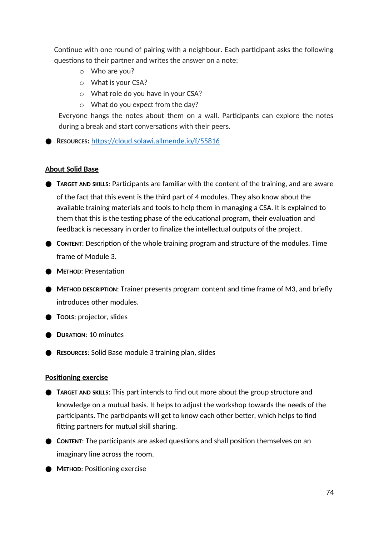Continue with one round of pairing with a neighbour. Each participant asks the following questions to their partner and writes the answer on a note:

- o Who are you?
- o What is your CSA?
- o What role do you have in your CSA?
- o What do you expect from the day?

Everyone hangs the notes about them on a wall. Participants can explore the notes during a break and start conversations with their peers.

● **RESOURCES:** https://cloud.solawi.allmende.io/f/55816

#### **About Solid Base**

● **TARGET AND SKILLS: Participants are familiar with the content of the training, and are aware** 

of the fact that this event is the third part of 4 modules. They also know about the available training materials and tools to help them in managing a CSA. It is explained to them that this is the testing phase of the educational program, their evaluation and feedback is necessary in order to finalize the intellectual outputs of the project.

● **CONTENT:** Description of the whole training program and structure of the modules. Time frame of Module 3.

● **METHOD**: Presentation

- **METHOD DESCRIPTION:** Trainer presents program content and time frame of M3, and briefly introduces other modules.
- **TOOLS**: projector, slides
- **DURATION**: 10 minutes
- **RESOURCES:** Solid Base module 3 training plan, slides

#### **Positioning exercise**

- **TARGET AND SKILLS:** This part intends to find out more about the group structure and knowledge on a mutual basis. It helps to adjust the workshop towards the needs of the participants. The participants will get to know each other better, which helps to find fitting partners for mutual skill sharing.
- **CONTENT:** The participants are asked questions and shall position themselves on an imaginary line across the room.

● **METHOD**: Positioning exercise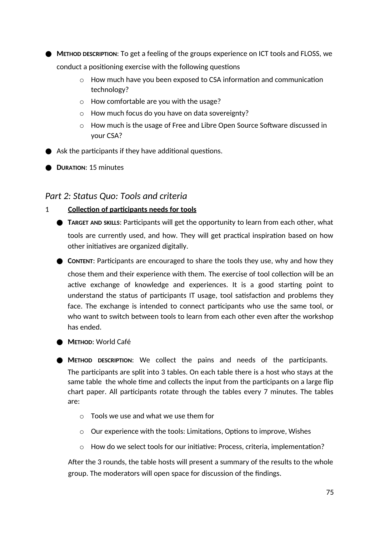● **METHOD DESCRIPTION:** To get a feeling of the groups experience on ICT tools and FLOSS, we conduct a positioning exercise with the following questions

- o How much have you been exposed to CSA information and communication technology?
- o How comfortable are you with the usage?
- o How much focus do you have on data sovereignty?
- o How much is the usage of Free and Libre Open Source Software discussed in your CSA?
- $\bullet$  Ask the participants if they have additional questions.
- **DURATION**: 15 minutes

## *Part 2: Status Quo: Tools and criteria*

- 1 **Collection of participants needs for tools**
	- **TARGET AND SKILLS**: Participants will get the opportunity to learn from each other, what tools are currently used, and how. They will get practical inspiration based on how other initiatives are organized digitally.
	- CONTENT: Participants are encouraged to share the tools they use, why and how they chose them and their experience with them. The exercise of tool collection will be an active exchange of knowledge and experiences. It is a good starting point to understand the status of participants IT usage, tool satisfaction and problems they face. The exchange is intended to connect participants who use the same tool, or who want to switch between tools to learn from each other even after the workshop has ended.
	- **METHOD**: World Café
	- **METHOD DESCRIPTION**: We collect the pains and needs of the participants. The participants are split into 3 tables. On each table there is a host who stays at the same table the whole time and collects the input from the participants on a large flip chart paper. All participants rotate through the tables every 7 minutes. The tables are:
		- o Tools we use and what we use them for
		- o Our experience with the tools: Limitations, Options to improve, Wishes
		- $\circ$  How do we select tools for our initiative: Process, criteria, implementation?

After the 3 rounds, the table hosts will present a summary of the results to the whole group. The moderators will open space for discussion of the findings.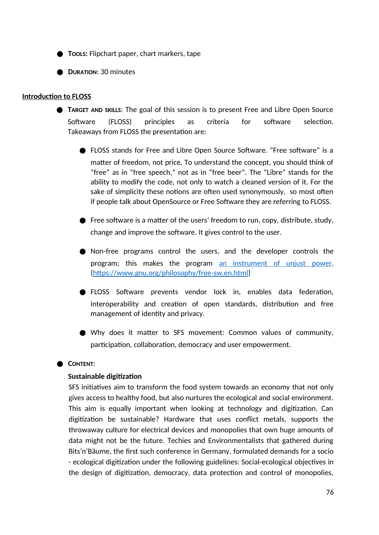- **TooLs:** Flipchart paper, chart markers, tape
- **DURATION**: 30 minutes

#### **Introduction to FLOSS**

- **TARGET AND SKILLS:** The goal of this session is to present Free and Libre Open Source Software (FLOSS) principles as criteria for software selection. Takeaways from FLOSS the presentation are:
	- FLOSS stands for Free and Libre Open Source Software. "Free software" is a matter of freedom, not price. To understand the concept, you should think of "free" as in "free speech," not as in "free beer". The "Libre" stands for the ability to modify the code, not only to watch a cleaned version of it. For the sake of simplicity these notions are often used synonymously, so most often if people talk about OpenSource or Free Software they are referring to FLOSS.
	- Free software is a matter of the users' freedom to run, copy, distribute, study, change and improve the software. It gives control to the user.
	- Non-free programs control the users, and the developer controls the program; this makes the program an instrument of unjust power. (https://www.gnu.org/philosophy/free-sw.en.html)
	- FLOSS Software prevents vendor lock in, enables data federation, interoperability and creation of open standards, distribution and free management of identity and privacy.
	- Why does it matter to SFS movement: Common values of community, participation, collaboration, democracy and user empowerment.

### ● **CONTENT:**

#### **Sustainable digitization**

SFS initiatives aim to transform the food system towards an economy that not only gives access to healthy food, but also nurtures the ecological and social environment. This aim is equally important when looking at technology and digitization. Can digitization be sustainable? Hardware that uses conflict metals, supports the throwaway culture for electrical devices and monopolies that own huge amounts of data might not be the future. Techies and Environmentalists that gathered during Bits'n'Bäume, the first such conference in Germany, formulated demands for a socio - ecological digitization under the following guidelines: Social-ecological objectives in the design of digitization, democracy, data protection and control of monopolies,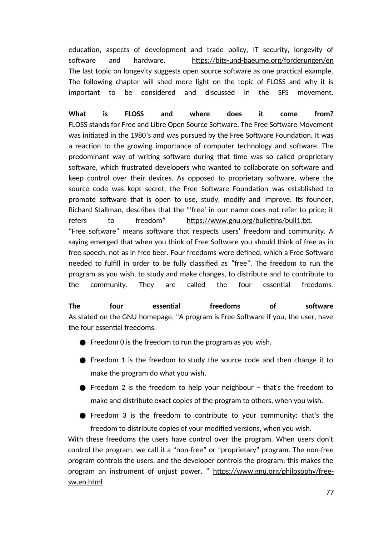education, aspects of development and trade policy, IT security, longevity of software and hardware. https://bits-und-baeume.org/forderungen/en The last topic on longevity suggests open source software as one practical example. The following chapter will shed more light on the topic of FLOSS and why it is important to be considered and discussed in the SFS movement.

**What is FLOSS and where does it come from?** FLOSS stands for Free and Libre Open Source Software. The Free Software Movement was initiated in the 1980's and was pursued by the Free Software Foundation. It was a reaction to the growing importance of computer technology and software. The predominant way of writing software during that time was so called proprietary software, which frustrated developers who wanted to collaborate on software and keep control over their devices. As opposed to proprietary software, where the source code was kept secret, the Free Software Foundation was established to promote software that is open to use, study, modify and improve. Its founder, Richard Stallman, describes that the "'free' in our name does not refer to price; it refers to freedom" https://www.gnu.org/bulletins/bull1.txt. "Free software" means software that respects users' freedom and community. A saying emerged that when you think of Free Software you should think of free as in free speech, not as in free beer. Four freedoms were defined, which a Free Software needed to fulfill in order to be fully classified as "free". The freedom to run the program as you wish, to study and make changes, to distribute and to contribute to the community. They are called the four essential freedoms.

**The four essential freedoms of software** As stated on the GNU homepage, "A program is Free Software if you, the user, have the four essential freedoms:

- $\bullet$  Freedom 0 is the freedom to run the program as you wish.
- Freedom 1 is the freedom to study the source code and then change it to make the program do what you wish.
- Freedom 2 is the freedom to help your neighbour that's the freedom to make and distribute exact copies of the program to others, when you wish.
- Freedom 3 is the freedom to contribute to your community: that's the freedom to distribute copies of your modified versions, when you wish.

With these freedoms the users have control over the program. When users don't control the program, we call it a "non-free" or "proprietary" program. The non-free program controls the users, and the developer controls the program; this makes the program an instrument of unjust power. " https://www.gnu.org/philosophy/freesw.en.html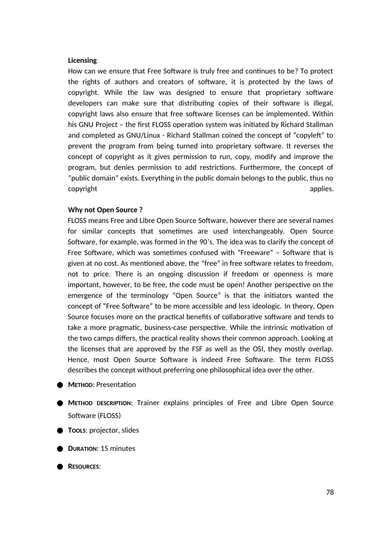#### **Licensing**

How can we ensure that Free Software is truly free and continues to be? To protect the rights of authors and creators of software, it is protected by the laws of copyright. While the law was designed to ensure that proprietary software developers can make sure that distributing copies of their software is illegal, copyright laws also ensure that free software licenses can be implemented. Within his GNU Project – the first FLOSS operation system was initiated by Richard Stallman and completed as GNU/Linux - Richard Stallman coined the concept of "copyleft" to prevent the program from being turned into proprietary software. It reverses the concept of copyright as it gives permission to run, copy, modify and improve the program, but denies permission to add restrictions. Furthermore, the concept of "public domain" exists. Everything in the public domain belongs to the public, thus no copyright applies. The control of the control of the control of the control of the control of the control of t

#### **Why not Open Source ?**

FLOSS means Free and Libre Open Source Software, however there are several names for similar concepts that sometimes are used interchangeably. Open Source Software, for example, was formed in the 90's. The idea was to clarify the concept of Free Software, which was sometimes confused with "Freeware" – Software that is given at no cost. As mentioned above, the "free" in free software relates to freedom, not to price. There is an ongoing discussion if freedom or openness is more important, however, to be free, the code must be open! Another perspective on the emergence of the terminology "Open Source" is that the initiators wanted the concept of "Free Software" to be more accessible and less ideologic. In theory, Open Source focuses more on the practical benefits of collaborative software and tends to take a more pragmatic, business-case perspective. While the intrinsic motivation of the two camps differs, the practical reality shows their common approach. Looking at the licenses that are approved by the FSF as well as the OSI, they mostly overlap. Hence, most Open Source Software is indeed Free Software. The term FLOSS describes the concept without preferring one philosophical idea over the other.

- **METHOD: Presentation**
- **METHOD DESCRIPTION**: Trainer explains principles of Free and Libre Open Source Software (FLOSS)
- **TOOLS**: projector, slides
- **DURATION**: 15 minutes

● **RESOURCES**: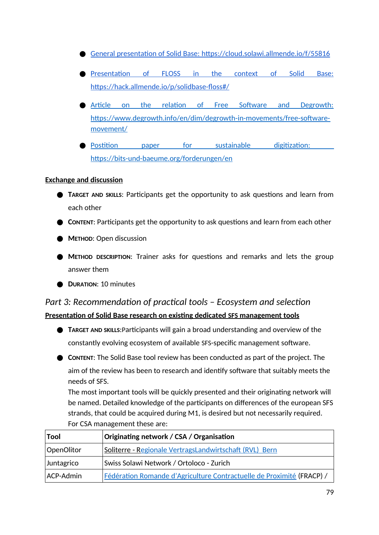- General presentation of Solid Base: https://cloud.solawi.allmende.io/f/55816
- Presentation of FLOSS in the context of Solid Base: https://hack.allmende.io/p/solidbase-floss#/
- Article on the relation of Free Software and Degrowth: https://www.degrowth.info/en/dim/degrowth-in-movements/free-softwaremovement/
- Postition paper for sustainable digitization: https://bits-und-baeume.org/forderungen/en

### **Exchange and discussion**

- **TARGET AND SKILLS**: Participants get the opportunity to ask questions and learn from each other
- **CONTENT**: Participants get the opportunity to ask questions and learn from each other
- **METHOD**: Open discussion
- **METHOD DESCRIPTION**: Trainer asks for questions and remarks and lets the group answer them
- **DURATION**: 10 minutes

# *Part 3: Recommendation of practical tools – Ecosystem and selection*  **Presentation of Solid Base research on existing dedicated SFS management tools**

- **TARGET AND SKILLS**:Participants will gain a broad understanding and overview of the constantly evolving ecosystem of available SFS-specific management software.
- **CONTENT**: The Solid Base tool review has been conducted as part of the project. The aim of the review has been to research and identify software that suitably meets the needs of SFS.

The most important tools will be quickly presented and their originating network will be named. Detailed knowledge of the participants on differences of the european SFS strands, that could be acquired during M1, is desired but not necessarily required. For CSA management these are:

| Tool       | Originating network / CSA / Organisation                              |  |
|------------|-----------------------------------------------------------------------|--|
| OpenOlitor | Soliterre - Regionale VertragsLandwirtschaft (RVL) Bern               |  |
| Juntagrico | Swiss Solawi Network / Ortoloco - Zurich                              |  |
| ACP-Admin  | Fédération Romande d'Agriculture Contractuelle de Proximité (FRACP) / |  |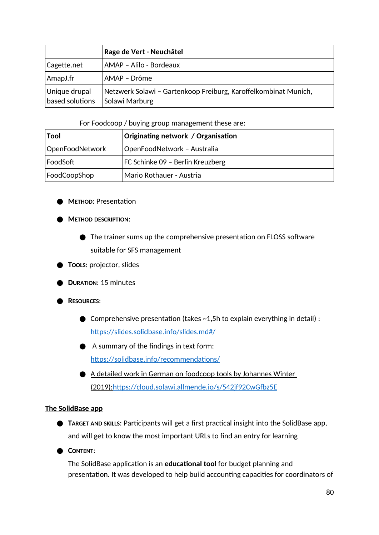|                                  | Rage de Vert - Neuchâtel                                                          |  |
|----------------------------------|-----------------------------------------------------------------------------------|--|
| Cagette.net                      | AMAP - Alilo - Bordeaux                                                           |  |
| AmapJ.fr                         | AMAP – Drôme                                                                      |  |
| Unique drupal<br>based solutions | Netzwerk Solawi - Gartenkoop Freiburg, Karoffelkombinat Munich,<br>Solawi Marburg |  |

#### For Foodcoop / buying group management these are:

| Tool            | Originating network / Organisation |
|-----------------|------------------------------------|
| OpenFoodNetwork | OpenFoodNetwork - Australia        |
| FoodSoft        | FC Schinke 09 - Berlin Kreuzberg   |
| FoodCoopShop    | Mario Rothauer - Austria           |

- **METHOD**: Presentation
- **METHOD DESCRIPTION**:
	- The trainer sums up the comprehensive presentation on FLOSS software suitable for SFS management
- **TOOLS**: projector, slides
- **DURATION**: 15 minutes
- **RESOURCES**:
	- $\bullet$  Comprehensive presentation (takes  $\sim$  1,5h to explain everything in detail) : https://slides.solidbase.info/slides.md#/
	- A summary of the findings in text form: https://solidbase.info/recommendations/
	- A detailed work in German on foodcoop tools by Johannes Winter (2019): https://cloud.solawi.allmende.io/s/542jf92CwGfbz5E

#### **The SolidBase app**

- **TARGET AND SKILLS:** Participants will get a first practical insight into the SolidBase app, and will get to know the most important URLs to find an entry for learning
- **CONTENT**:

The SolidBase application is an **educational tool** for budget planning and presentation. It was developed to help build accounting capacities for coordinators of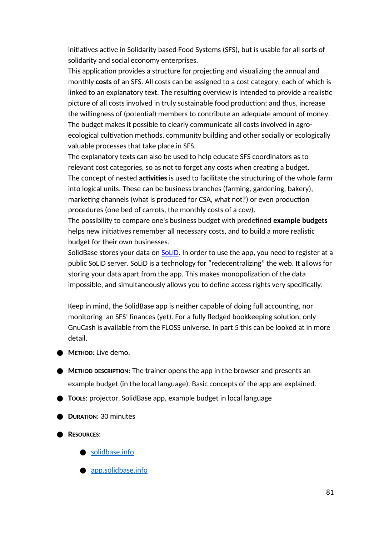initiatives active in Solidarity based Food Systems (SFS), but is usable for all sorts of solidarity and social economy enterprises.

This application provides a structure for projecting and visualizing the annual and monthly **costs** of an SFS. All costs can be assigned to a cost category, each of which is linked to an explanatory text. The resulting overview is intended to provide a realistic picture of all costs involved in truly sustainable food production; and thus, increase the willingness of (potential) members to contribute an adequate amount of money. The budget makes it possible to clearly communicate all costs involved in agroecological cultivation methods, community building and other socially or ecologically valuable processes that take place in SFS.

The explanatory texts can also be used to help educate SFS coordinators as to relevant cost categories, so as not to forget any costs when creating a budget. The concept of nested **activities** is used to facilitate the structuring of the whole farm into logical units. These can be business branches (farming, gardening, bakery), marketing channels (what is produced for CSA, what not?) or even production procedures (one bed of carrots, the monthly costs of a cow).

The possibility to compare one's business budget with predefined **example budgets** helps new initiatives remember all necessary costs, and to build a more realistic budget for their own businesses.

SolidBase stores your data on SoLiD. In order to use the app, you need to register at a public SoLiD server. SoLiD is a technology for "redecentralizing" the web. It allows for storing your data apart from the app. This makes monopolization of the data impossible, and simultaneously allows you to define access rights very specifically.

Keep in mind, the SolidBase app is neither capable of doing full accounting, nor monitoring an SFS' finances (yet). For a fully fledged bookkeeping solution, only GnuCash is available from the FLOSS universe. In part 5 this can be looked at in more detail.

- **METHOD**: Live demo.
- **METHOD DESCRIPTION**: The trainer opens the app in the browser and presents an example budget (in the local language). Basic concepts of the app are explained.
- **TOOLS**: projector, SolidBase app, example budget in local language
- **DURATION**: 30 minutes
- **RESOURCES**:
	- solidbase.info
	- app.solidbase.info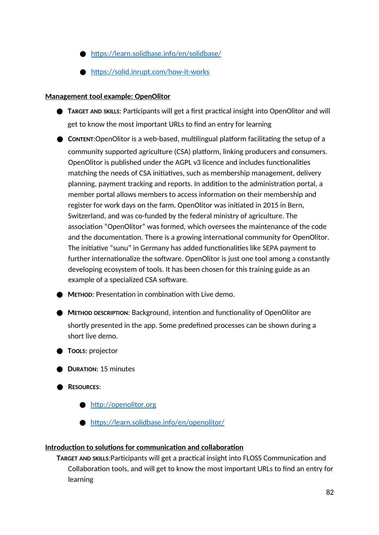- https://learn.solidbase.info/en/solidbase/
- https://solid.inrupt.com/how-it-works

### **Management tool example: OpenOlitor**

- **TARGET AND SKILLS: Participants will get a first practical insight into OpenOlitor and will** get to know the most important URLs to find an entry for learning
- CONTENT:OpenOlitor is a web-based, multilingual platform facilitating the setup of a community supported agriculture (CSA) platform, linking producers and consumers. OpenOlitor is published under the AGPL v3 licence and includes functionalities matching the needs of CSA initiatives, such as membership management, delivery planning, payment tracking and reports. In addition to the administration portal, a member portal allows members to access information on their membership and register for work days on the farm. OpenOlitor was initiated in 2015 in Bern, Switzerland, and was co-funded by the federal ministry of agriculture. The association "OpenOlitor" was formed, which oversees the maintenance of the code and the documentation. There is a growing international community for OpenOlitor. The initiative "sunu" in Germany has added functionalities like SEPA payment to further internationalize the software. OpenOlitor is just one tool among a constantly developing ecosystem of tools. It has been chosen for this training guide as an example of a specialized CSA software.
- **METHOD: Presentation in combination with Live demo.**
- **METHOD DESCRIPTION: Background, intention and functionality of OpenOlitor are** shortly presented in the app. Some predefined processes can be shown during a short live demo.

## ● **TOOLS**: projector

- **DURATION**: 15 minutes
- **RESOURCES**:
	- http://openolitor.org
	- https://learn.solidbase.info/en/openolitor/

### **Introduction to solutions for communication and collaboration**

**TARGET AND SKILLS**:Participants will get a practical insight into FLOSS Communication and Collaboration tools, and will get to know the most important URLs to find an entry for learning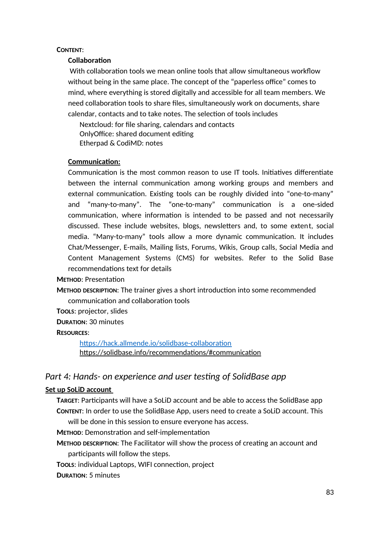#### **CONTENT**:

### **Collaboration**

 With collaboration tools we mean online tools that allow simultaneous workflow without being in the same place. The concept of the "paperless office" comes to mind, where everything is stored digitally and accessible for all team members. We need collaboration tools to share files, simultaneously work on documents, share calendar, contacts and to take notes. The selection of tools includes

Nextcloud: for file sharing, calendars and contacts OnlyOffice: shared document editing Etherpad & CodiMD: notes

### **Communication:**

Communication is the most common reason to use IT tools. Initiatives differentiate between the internal communication among working groups and members and external communication. Existing tools can be roughly divided into "one-to-many" and "many-to-many". The "one-to-many" communication is a one-sided communication, where information is intended to be passed and not necessarily discussed. These include websites, blogs, newsletters and, to some extent, social media. "Many-to-many" tools allow a more dynamic communication. It includes Chat/Messenger, E-mails, Mailing lists, Forums, Wikis, Group calls, Social Media and Content Management Systems (CMS) for websites. Refer to the Solid Base recommendations text for details

### **METHOD**: Presentation

**METHOD DESCRIPTION**: The trainer gives a short introduction into some recommended communication and collaboration tools

**TOOLS**: projector, slides

**DURATION**: 30 minutes

### **RESOURCES**:

https://hack.allmende.io/solidbase-collaboration https://solidbase.info/recommendations/#communication

## *Part 4: Hands- on experience and user testing of SolidBase app*

### **Set up SoLiD account**

**TARGET**: Participants will have a SoLiD account and be able to access the SolidBase app **CONTENT**: In order to use the SolidBase App, users need to create a SoLiD account. This will be done in this session to ensure everyone has access.

**METHOD**: Demonstration and self-implementation

- **METHOD DESCRIPTION**: The Facilitator will show the process of creating an account and participants will follow the steps.
- **TOOLS**: individual Laptops, WIFI connection, project
- **DURATION**: 5 minutes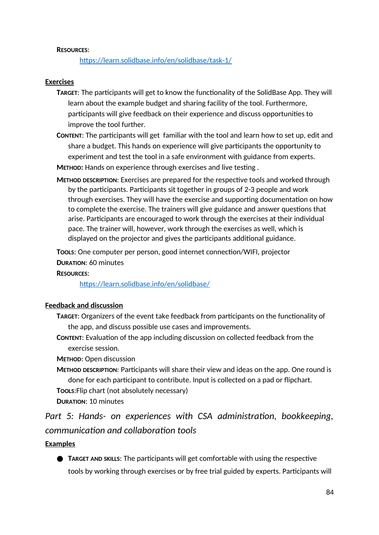#### **RESOURCES**:

https://learn.solidbase.info/en/solidbase/task-1/

#### **Exercises**

- **TARGET**: The participants will get to know the functionality of the SolidBase App. They will learn about the example budget and sharing facility of the tool. Furthermore, participants will give feedback on their experience and discuss opportunities to improve the tool further.
- **CONTENT**: The participants will get familiar with the tool and learn how to set up, edit and share a budget. This hands on experience will give participants the opportunity to experiment and test the tool in a safe environment with guidance from experts.
- **METHOD:** Hands on experience through exercises and live testing .
- **METHOD DESCRIPTION**: Exercises are prepared for the respective tools and worked through by the participants. Participants sit together in groups of 2-3 people and work through exercises. They will have the exercise and supporting documentation on how to complete the exercise. The trainers will give guidance and answer questions that arise. Participants are encouraged to work through the exercises at their individual pace. The trainer will, however, work through the exercises as well, which is displayed on the projector and gives the participants additional guidance.

**TOOLS**: One computer per person, good internet connection/WIFI, projector **DURATION**: 60 minutes

#### **RESOURCES**:

https://learn.solidbase.info/en/solidbase/

#### **Feedback and discussion**

- **TARGET**: Organizers of the event take feedback from participants on the functionality of the app, and discuss possible use cases and improvements.
- **CONTENT**: Evaluation of the app including discussion on collected feedback from the exercise session.

**METHOD**: Open discussion

- **METHOD DESCRIPTION**: Participants will share their view and ideas on the app. One round is done for each participant to contribute. Input is collected on a pad or flipchart.
- **TOOLS**:Flip chart (not absolutely necessary)
- **DURATION**: 10 minutes

*Part 5: Hands- on experiences with CSA administration, bookkeeping, communication and collaboration tools*

#### **Examples**

● **TARGET AND SKILLS**: The participants will get comfortable with using the respective tools by working through exercises or by free trial guided by experts. Participants will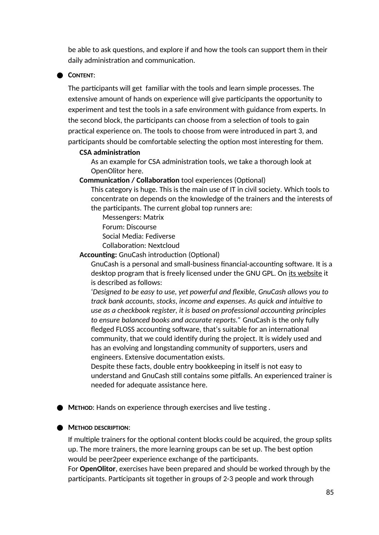be able to ask questions, and explore if and how the tools can support them in their daily administration and communication.

#### ● **CONTENT**:

The participants will get familiar with the tools and learn simple processes. The extensive amount of hands on experience will give participants the opportunity to experiment and test the tools in a safe environment with guidance from experts. In the second block, the participants can choose from a selection of tools to gain practical experience on. The tools to choose from were introduced in part 3, and participants should be comfortable selecting the option most interesting for them.

#### **CSA administration**

As an example for CSA administration tools, we take a thorough look at OpenOlitor here.

#### **Communication / Collaboration** tool experiences (Optional)

This category is huge. This is the main use of IT in civil society. Which tools to concentrate on depends on the knowledge of the trainers and the interests of the participants. The current global top runners are:

Messengers: Matrix Forum: Discourse Social Media: Fediverse Collaboration: Nextcloud

**Accounting:** GnuCash introduction (Optional)

GnuCash is a personal and small-business financial-accounting software. It is a desktop program that is freely licensed under the GNU GPL. On its website it is described as follows:

'*Designed to be easy to use, yet powerful and flexible, GnuCash allows you to track bank accounts, stocks, income and expenses. As quick and intuitive to use as a checkbook register, it is based on professional accounting principles to ensure balanced books and accurate reports."* GnuCash is the only fully fledged FLOSS accounting software, that's suitable for an international community, that we could identify during the project. It is widely used and has an evolving and longstanding community of supporters, users and engineers. Extensive documentation exists.

Despite these facts, double entry bookkeeping in itself is not easy to understand and GnuCash still contains some pitfalls. An experienced trainer is needed for adequate assistance here.

● **METHOD**: Hands on experience through exercises and live testing .

#### ● **METHOD DESCRIPTION**:

If multiple trainers for the optional content blocks could be acquired, the group splits up. The more trainers, the more learning groups can be set up. The best option would be peer2peer experience exchange of the participants.

For **OpenOlitor**, exercises have been prepared and should be worked through by the participants. Participants sit together in groups of 2-3 people and work through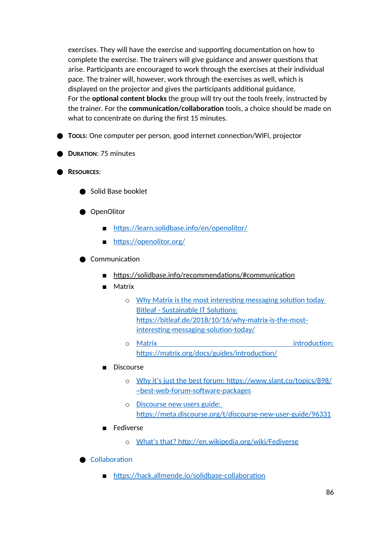exercises. They will have the exercise and supporting documentation on how to complete the exercise. The trainers will give guidance and answer questions that arise. Participants are encouraged to work through the exercises at their individual pace. The trainer will, however, work through the exercises as well, which is displayed on the projector and gives the participants additional guidance. For the **optional content blocks** the group will try out the tools freely, instructed by the trainer. For the **communication/collaboration** tools, a choice should be made on what to concentrate on during the first 15 minutes.

- **Tools**: One computer per person, good internet connection/WIFI, projector
- **DURATION**: 75 minutes
- **RESOURCES**:
	- Solid Base booklet
	- OpenOlitor
		- https://learn.solidbase.info/en/openolitor/
		- https://openolitor.org/
	- Communication
		- https://solidbase.info/recommendations/#communication
		- Matrix
			- o Why Matrix is the most interesting messaging solution today Bitleaf - Sustainable IT Solutions: https://bitleaf.de/2018/10/16/why-matrix-is-the-mostinteresting-messaging-solution-today/
			- o Matrix introduction: https://matrix.org/docs/guides/introduction/
		- Discourse
			- o Why it's just the best forum: https://www.slant.co/topics/898/ ~best-web-forum-software-packages
			- o Discourse new users guide: https://meta.discourse.org/t/discourse-new-user-guide/96331
		- **Fediverse** 
			- o What's that? http://en.wikipedia.org/wiki/Fediverse

**Collaboration** 

■ https://hack.allmende.io/solidbase-collaboration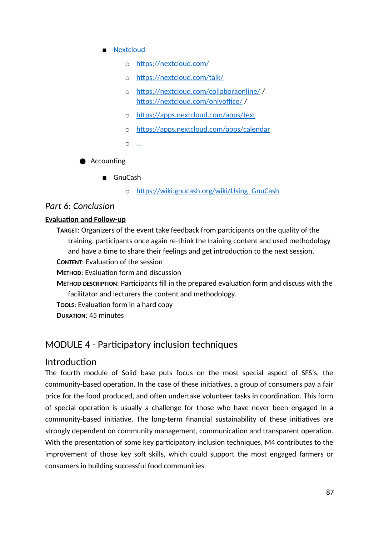- Nextcloud
	- o https://nextcloud.com/
	- o https://nextcloud.com/talk/
	- o https://nextcloud.com/collaboraonline/ / https://nextcloud.com/onlyoffice/ /
	- o https://apps.nextcloud.com/apps/text
	- o https://apps.nextcloud.com/apps/calendar
	- o …

● Accounting

- GnuCash
	- o https://wiki.gnucash.org/wiki/Using\_GnuCash

### *Part 6: Conclusion*

#### **Evaluation and Follow-up**

**TARGET**: Organizers of the event take feedback from participants on the quality of the training, participants once again re-think the training content and used methodology and have a time to share their feelings and get introduction to the next session.

- **CONTENT**: Evaluation of the session
- **METHOD**: Evaluation form and discussion
- **METHOD DESCRIPTION**: Participants fill in the prepared evaluation form and discuss with the facilitator and lecturers the content and methodology.
- **TOOLS**: Evaluation form in a hard copy
- **DURATION**: 45 minutes

## MODULE 4 - Participatory inclusion techniques

## **Introduction**

The fourth module of Solid base puts focus on the most special aspect of SFS's, the community-based operation. In the case of these initiatives, a group of consumers pay a fair price for the food produced, and often undertake volunteer tasks in coordination. This form of special operation is usually a challenge for those who have never been engaged in a community-based initiative. The long-term financial sustainability of these initiatives are strongly dependent on community management, communication and transparent operation. With the presentation of some key participatory inclusion techniques, M4 contributes to the improvement of those key soft skills, which could support the most engaged farmers or consumers in building successful food communities.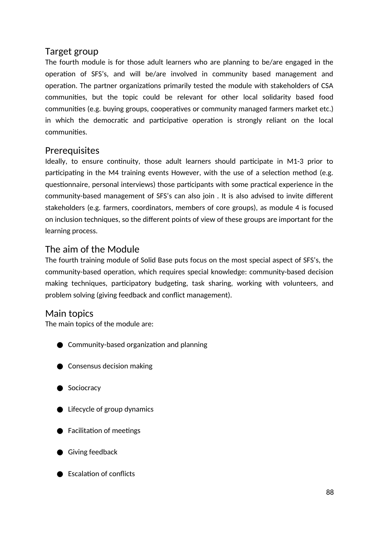## Target group

The fourth module is for those adult learners who are planning to be/are engaged in the operation of SFS's, and will be/are involved in community based management and operation. The partner organizations primarily tested the module with stakeholders of CSA communities, but the topic could be relevant for other local solidarity based food communities (e.g. buying groups, cooperatives or community managed farmers market etc.) in which the democratic and participative operation is strongly reliant on the local communities.

## **Prerequisites**

Ideally, to ensure continuity, those adult learners should participate in M1-3 prior to participating in the M4 training events However, with the use of a selection method (e.g. questionnaire, personal interviews) those participants with some practical experience in the community-based management of SFS's can also join . It is also advised to invite different stakeholders (e.g. farmers, coordinators, members of core groups), as module 4 is focused on inclusion techniques, so the different points of view of these groups are important for the learning process.

# The aim of the Module

The fourth training module of Solid Base puts focus on the most special aspect of SFS's, the community-based operation, which requires special knowledge: community-based decision making techniques, participatory budgeting, task sharing, working with volunteers, and problem solving (giving feedback and conflict management).

## Main topics

The main topics of the module are:

- Community-based organization and planning
- Consensus decision making
- Sociocracy
- Lifecycle of group dynamics
- **●** Facilitation of meetings
- Giving feedback
- Escalation of conflicts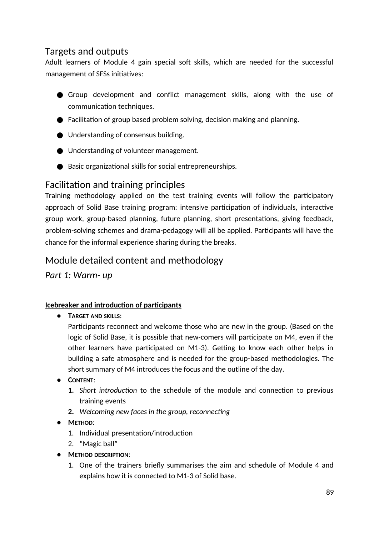# Targets and outputs

Adult learners of Module 4 gain special soft skills, which are needed for the successful management of SFSs initiatives:

- Group development and conflict management skills, along with the use of communication techniques.
- Facilitation of group based problem solving, decision making and planning.
- Understanding of consensus building.
- Understanding of volunteer management.
- Basic organizational skills for social entrepreneurships.

## Facilitation and training principles

Training methodology applied on the test training events will follow the participatory approach of Solid Base training program: intensive participation of individuals, interactive group work, group-based planning, future planning, short presentations, giving feedback, problem-solving schemes and drama-pedagogy will all be applied. Participants will have the chance for the informal experience sharing during the breaks.

# Module detailed content and methodology

*Part 1: Warm- up*

## **Icebreaker and introduction of participants**

● **TARGET AND SKILLS**:

Participants reconnect and welcome those who are new in the group. (Based on the logic of Solid Base, it is possible that new-comers will participate on M4, even if the other learners have participated on M1-3). Getting to know each other helps in building a safe atmosphere and is needed for the group-based methodologies. The short summary of M4 introduces the focus and the outline of the day.

- **CONTENT**:
	- **1.** *Short introduction* to the schedule of the module and connection to previous training events
	- **2.** *Welcoming new faces in the group, reconnecting*
- **METHOD**:
	- 1. Individual presentation/introduction
	- 2. "Magic ball"
- **METHOD DESCRIPTION**:
	- 1. One of the trainers briefly summarises the aim and schedule of Module 4 and explains how it is connected to M1-3 of Solid base.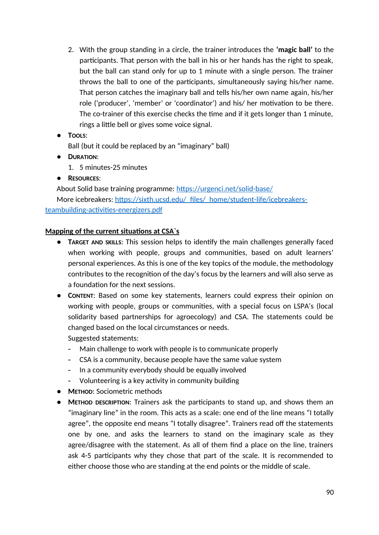- 2. With the group standing in a circle, the trainer introduces the **'magic ball'** to the participants. That person with the ball in his or her hands has the right to speak, but the ball can stand only for up to 1 minute with a single person. The trainer throws the ball to one of the participants, simultaneously saying his/her name. That person catches the imaginary ball and tells his/her own name again, his/her role ('producer', 'member' or 'coordinator') and his/ her motivation to be there. The co-trainer of this exercise checks the time and if it gets longer than 1 minute, rings a little bell or gives some voice signal.
- **TOOLS**:
	- Ball (but it could be replaced by an "imaginary" ball)
- **DURATION**:
	- 1. 5 minutes-25 minutes
- **RESOURCES**:

About Solid base training programme: https://urgenci.net/solid-base/ More icebreakers: https://sixth.ucsd.edu/\_files/\_home/student-life/icebreakersteambuilding-activities-energizers.pdf

### **Mapping of the current situations at CSA`s**

- **TARGET AND SKILLS**: This session helps to identify the main challenges generally faced when working with people, groups and communities, based on adult learners' personal experiences. As this is one of the key topics of the module, the methodology contributes to the recognition of the day's focus by the learners and will also serve as a foundation for the next sessions.
- **CONTENT**: Based on some key statements, learners could express their opinion on working with people, groups or communities, with a special focus on LSPA's (local solidarity based partnerships for agroecology) and CSA. The statements could be changed based on the local circumstances or needs. Suggested statements:
	- Main challenge to work with people is to communicate properly
	- CSA is a community, because people have the same value system
	- In a community everybody should be equally involved
	- Volunteering is a key activity in community building
- **METHOD**: Sociometric methods
- **METHOD DESCRIPTION**: Trainers ask the participants to stand up, and shows them an "imaginary line" in the room. This acts as a scale: one end of the line means "I totally agree", the opposite end means "I totally disagree". Trainers read off the statements one by one, and asks the learners to stand on the imaginary scale as they agree/disagree with the statement. As all of them find a place on the line, trainers ask 4-5 participants why they chose that part of the scale. It is recommended to either choose those who are standing at the end points or the middle of scale.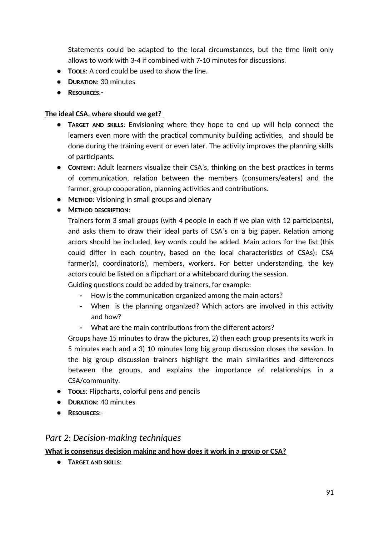Statements could be adapted to the local circumstances, but the time limit only allows to work with 3-4 if combined with 7-10 minutes for discussions.

- **TOOLS**: A cord could be used to show the line.
- **DURATION**: 30 minutes
- **RESOURCES**:-

## **The ideal CSA, where should we get?**

- **TARGET AND SKILLS**: Envisioning where they hope to end up will help connect the learners even more with the practical community building activities, and should be done during the training event or even later. The activity improves the planning skills of participants.
- **CONTENT**: Adult learners visualize their CSA's, thinking on the best practices in terms of communication, relation between the members (consumers/eaters) and the farmer, group cooperation, planning activities and contributions.
- **METHOD**: Visioning in small groups and plenary
- **METHOD DESCRIPTION**:

Trainers form 3 small groups (with 4 people in each if we plan with 12 participants), and asks them to draw their ideal parts of CSA's on a big paper. Relation among actors should be included, key words could be added. Main actors for the list (this could differ in each country, based on the local characteristics of CSAs): CSA farmer(s), coordinator(s), members, workers. For better understanding, the key actors could be listed on a flipchart or a whiteboard during the session.

Guiding questions could be added by trainers, for example:

- How is the communication organized among the main actors?
- When is the planning organized? Which actors are involved in this activity and how?
- What are the main contributions from the different actors?

Groups have 15 minutes to draw the pictures, 2) then each group presents its work in 5 minutes each and a 3) 10 minutes long big group discussion closes the session. In the big group discussion trainers highlight the main similarities and differences between the groups, and explains the importance of relationships in a CSA/community.

- **TOOLS**: Flipcharts, colorful pens and pencils
- **DURATION**: 40 minutes
- **RESOURCES**:-

## *Part 2: Decision-making techniques*

**What is consensus decision making and how does it work in a group or CSA?**

● **TARGET AND SKILLS**: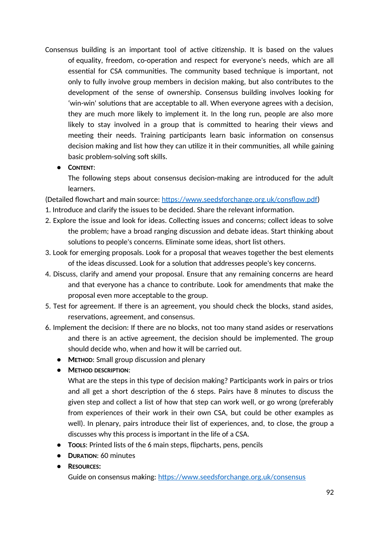- Consensus building is an important tool of active citizenship. It is based on the values of equality, freedom, co-operation and respect for everyone's needs, which are all essential for CSA communities. The community based technique is important, not only to fully involve group members in decision making, but also contributes to the development of the sense of ownership. Consensus building involves looking for 'win-win' solutions that are acceptable to all. When everyone agrees with a decision, they are much more likely to implement it. In the long run, people are also more likely to stay involved in a group that is committed to hearing their views and meeting their needs. Training participants learn basic information on consensus decision making and list how they can utilize it in their communities, all while gaining basic problem-solving soft skills.
	- **CONTENT**:

The following steps about consensus decision-making are introduced for the adult learners.

(Detailed flowchart and main source: https://www.seedsforchange.org.uk/consflow.pdf)

- 1. Introduce and clarify the issues to be decided. Share the relevant information.
- 2. Explore the issue and look for ideas. Collecting issues and concerns; collect ideas to solve the problem; have a broad ranging discussion and debate ideas. Start thinking about solutions to people's concerns. Eliminate some ideas, short list others.
- 3. Look for emerging proposals. Look for a proposal that weaves together the best elements of the ideas discussed. Look for a solution that addresses people's key concerns.
- 4. Discuss, clarify and amend your proposal. Ensure that any remaining concerns are heard and that everyone has a chance to contribute. Look for amendments that make the proposal even more acceptable to the group.
- 5. Test for agreement. If there is an agreement, you should check the blocks, stand asides, reservations, agreement, and consensus.
- 6. Implement the decision: If there are no blocks, not too many stand asides or reservations and there is an active agreement, the decision should be implemented. The group should decide who, when and how it will be carried out.
	- **METHOD**: Small group discussion and plenary
	- **METHOD DESCRIPTION**:

What are the steps in this type of decision making? Participants work in pairs or trios and all get a short description of the 6 steps. Pairs have 8 minutes to discuss the given step and collect a list of how that step can work well, or go wrong (preferably from experiences of their work in their own CSA, but could be other examples as well). In plenary, pairs introduce their list of experiences, and, to close, the group a discusses why this process is important in the life of a CSA.

- **TOOLS**: Printed lists of the 6 main steps, flipcharts, pens, pencils
- **DURATION**: 60 minutes
- **RESOURCES:**

Guide on consensus making: https://www.seedsforchange.org.uk/consensus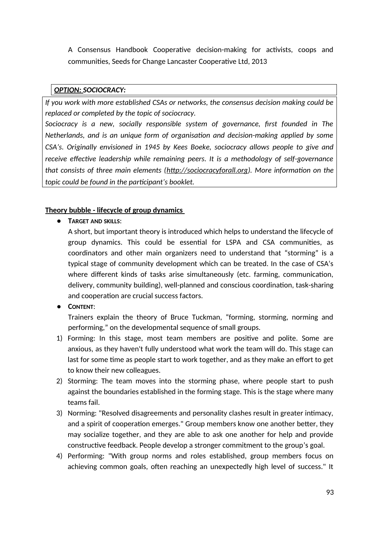A Consensus Handbook Cooperative decision-making for activists, coops and communities, Seeds for Change Lancaster Cooperative Ltd, 2013

### *OPTION: SOCIOCRACY:*

*If you work with more established CSAs or networks, the consensus decision making could be replaced or completed by the topic of sociocracy.* 

*Sociocracy is a new, socially responsible system of governance, first founded in The Netherlands, and is an unique form of organisation and decision-making applied by some CSA's. Originally envisioned in 1945 by Kees Boeke, sociocracy allows people to give and receive effective leadership while remaining peers. It is a methodology of self-governance that consists of three main elements (http://sociocracyforall.org). More information on the topic could be found in the participant's booklet.* 

## **Theory bubble - lifecycle of group dynamics**

● **TARGET AND SKILLS**:

A short, but important theory is introduced which helps to understand the lifecycle of group dynamics. This could be essential for LSPA and CSA communities, as coordinators and other main organizers need to understand that "storming" is a typical stage of community development which can be treated. In the case of CSA's where different kinds of tasks arise simultaneously (etc. farming, communication, delivery, community building), well-planned and conscious coordination, task-sharing and cooperation are crucial success factors.

● **CONTENT**:

Trainers explain the theory of Bruce Tuckman, "forming, storming, norming and performing," on the developmental sequence of small groups.

- 1) Forming: In this stage, most team members are positive and polite. Some are anxious, as they haven't fully understood what work the team will do. This stage can last for some time as people start to work together, and as they make an effort to get to know their new colleagues.
- 2) Storming: The team moves into the storming phase, where people start to push against the boundaries established in the forming stage. This is the stage where many teams fail.
- 3) Norming: "Resolved disagreements and personality clashes result in greater intimacy, and a spirit of cooperation emerges." Group members know one another better, they may socialize together, and they are able to ask one another for help and provide constructive feedback. People develop a stronger commitment to the group's goal.
- 4) Performing: "With group norms and roles established, group members focus on achieving common goals, often reaching an unexpectedly high level of success." It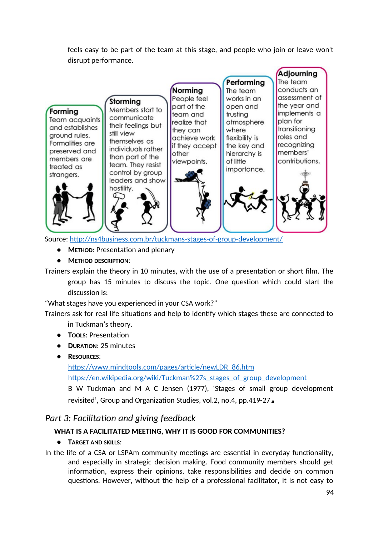feels easy to be part of the team at this stage, and people who join or leave won't disrupt performance.



Source: http://ns4business.com.br/tuckmans-stages-of-group-development/

- **METHOD**: Presentation and plenary
- **METHOD DESCRIPTION**:

Trainers explain the theory in 10 minutes, with the use of a presentation or short film. The group has 15 minutes to discuss the topic. One question which could start the discussion is:

"What stages have you experienced in your CSA work?"

Trainers ask for real life situations and help to identify which stages these are connected to in Tuckman's theory.

- **TOOLS**: Presentation
- **DURATION**: 25 minutes
- **RESOURCES**:

https://www.mindtools.com/pages/article/newLDR\_86.htm

https://en.wikipedia.org/wiki/Tuckman%27s\_stages\_of\_group\_development

B W Tuckman and M A C Jensen (1977), 'Stages of small group development revisited', Group and Organization Studies, vol.2, no.4, pp.419-27.

## *Part 3: Facilitation and giving feedback*

## **WHAT IS A FACILITATED MEETING, WHY IT IS GOOD FOR COMMUNITIES?**

**● TARGET AND SKILLS**:

In the life of a CSA or LSPAm community meetings are essential in everyday functionality, and especially in strategic decision making. Food community members should get information, express their opinions, take responsibilities and decide on common questions. However, without the help of a professional facilitator, it is not easy to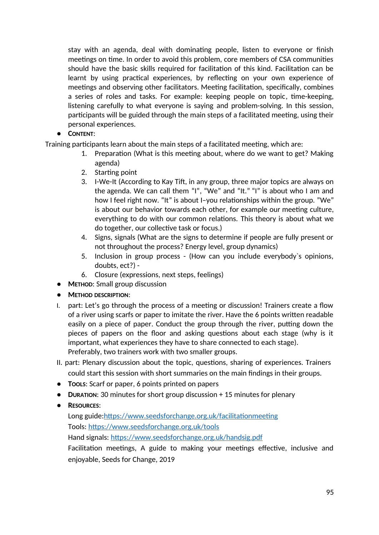stay with an agenda, deal with dominating people, listen to everyone or finish meetings on time. In order to avoid this problem, core members of CSA communities should have the basic skills required for facilitation of this kind. Facilitation can be learnt by using practical experiences, by reflecting on your own experience of meetings and observing other facilitators. Meeting facilitation, specifically, combines a series of roles and tasks. For example: keeping people on topic, time-keeping, listening carefully to what everyone is saying and problem-solving. In this session, participants will be guided through the main steps of a facilitated meeting, using their personal experiences.

## **● CONTENT**:

Training participants learn about the main steps of a facilitated meeting, which are:

- 1. Preparation (What is this meeting about, where do we want to get? Making agenda)
- 2. Starting point
- 3. I-We-It (According to Kay Tift, in any group, three major topics are always on the agenda. We can call them "I", "We" and "It." "I" is about who I am and how I feel right now. "It" is about I–you relationships within the group. "We" is about our behavior towards each other, for example our meeting culture, everything to do with our common relations. This theory is about what we do together, our collective task or focus.)
- 4. Signs, signals (What are the signs to determine if people are fully present or not throughout the process? Energy level, group dynamics)
- 5. Inclusion in group process (How can you include everybody`s opinions, doubts, ect?) -
- 6. Closure (expressions, next steps, feelings)
- **● METHOD**: Small group discussion
- **● METHOD DESCRIPTION**:
- I. part: Let's go through the process of a meeting or discussion! Trainers create a flow of a river using scarfs or paper to imitate the river. Have the 6 points written readable easily on a piece of paper. Conduct the group through the river, putting down the pieces of papers on the floor and asking questions about each stage (why is it important, what experiences they have to share connected to each stage). Preferably, two trainers work with two smaller groups.
- II. part: Plenary discussion about the topic, questions, sharing of experiences. Trainers could start this session with short summaries on the main findings in their groups.
- **● TOOLS**: Scarf or paper, 6 points printed on papers
- **● DURATION**: 30 minutes for short group discussion + 15 minutes for plenary
- **● RESOURCES**:

Long guide:https://www.seedsforchange.org.uk/facilitationmeeting Tools: https://www.seedsforchange.org.uk/tools Hand signals: https://www.seedsforchange.org.uk/handsig.pdf

Facilitation meetings, A guide to making your meetings effective, inclusive and

enjoyable, Seeds for Change, 2019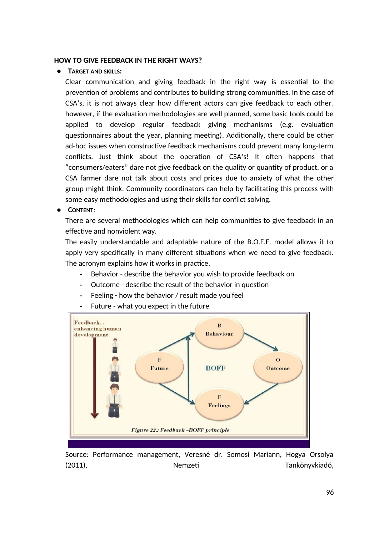#### **HOW TO GIVE FEEDBACK IN THE RIGHT WAYS?**

#### **● TARGET AND SKILLS:**

Clear communication and giving feedback in the right way is essential to the prevention of problems and contributes to building strong communities. In the case of CSA's, it is not always clear how different actors can give feedback to each other, however, if the evaluation methodologies are well planned, some basic tools could be applied to develop regular feedback giving mechanisms (e.g. evaluation questionnaires about the year, planning meeting). Additionally, there could be other ad-hoc issues when constructive feedback mechanisms could prevent many long-term conflicts. Just think about the operation of CSA's! It often happens that "consumers/eaters" dare not give feedback on the quality or quantity of product, or a CSA farmer dare not talk about costs and prices due to anxiety of what the other group might think. Community coordinators can help by facilitating this process with some easy methodologies and using their skills for conflict solving.

**● CONTENT**:

There are several methodologies which can help communities to give feedback in an effective and nonviolent way.

The easily understandable and adaptable nature of the B.O.F.F. model allows it to apply very specifically in many different situations when we need to give feedback. The acronym explains how it works in practice.

- Behavior describe the behavior you wish to provide feedback on
- Outcome describe the result of the behavior in question
- Feeling how the behavior / result made you feel



Future - what you expect in the future

Source: Performance management, Veresné dr. Somosi Mariann, Hogya Orsolya (2011), Nemzeti Tankönyvkiadó,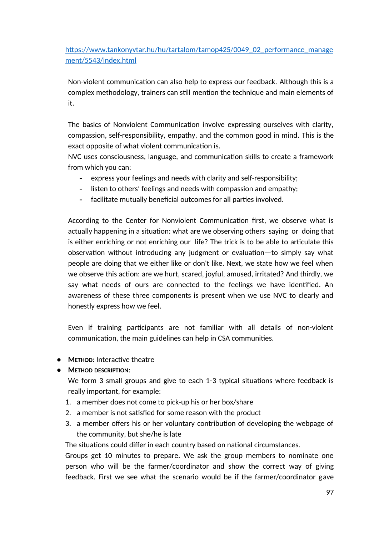https://www.tankonyvtar.hu/hu/tartalom/tamop425/0049\_02\_performance\_manage ment/5543/index.html

Non-violent communication can also help to express our feedback. Although this is a complex methodology, trainers can still mention the technique and main elements of it.

The basics of Nonviolent Communication involve expressing ourselves with clarity, compassion, self-responsibility, empathy, and the common good in mind. This is the exact opposite of what violent communication is.

NVC uses consciousness, language, and communication skills to create a framework from which you can:

- express your feelings and needs with clarity and self-responsibility;
- listen to others' feelings and needs with compassion and empathy;
- facilitate mutually beneficial outcomes for all parties involved.

According to the Center for Nonviolent Communication first, we observe what is actually happening in a situation: what are we observing others saying or doing that is either enriching or not enriching our life? The trick is to be able to articulate this observation without introducing any judgment or evaluation—to simply say what people are doing that we either like or don't like. Next, we state how we feel when we observe this action: are we hurt, scared, joyful, amused, irritated? And thirdly, we say what needs of ours are connected to the feelings we have identified. An awareness of these three components is present when we use NVC to clearly and honestly express how we feel.

Even if training participants are not familiar with all details of non-violent communication, the main guidelines can help in CSA communities.

**● METHOD**: Interactive theatre

### **● METHOD DESCRIPTION**:

We form 3 small groups and give to each 1-3 typical situations where feedback is really important, for example:

- 1. a member does not come to pick-up his or her box/share
- 2. a member is not satisfied for some reason with the product
- 3. a member offers his or her voluntary contribution of developing the webpage of the community, but she/he is late

The situations could differ in each country based on national circumstances.

Groups get 10 minutes to prepare. We ask the group members to nominate one person who will be the farmer/coordinator and show the correct way of giving feedback. First we see what the scenario would be if the farmer/coordinator gave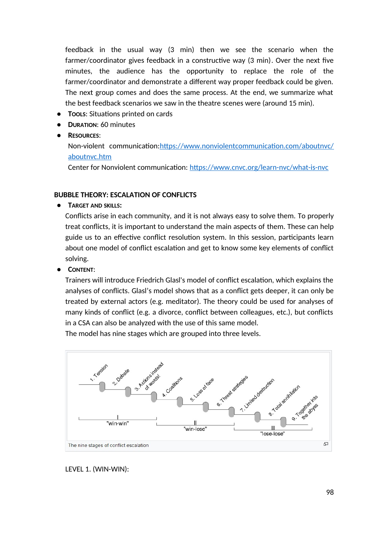feedback in the usual way (3 min) then we see the scenario when the farmer/coordinator gives feedback in a constructive way (3 min). Over the next five minutes, the audience has the opportunity to replace the role of the farmer/coordinator and demonstrate a different way proper feedback could be given. The next group comes and does the same process. At the end, we summarize what the best feedback scenarios we saw in the theatre scenes were (around 15 min).

- **● TOOLS**: Situations printed on cards
- **● DURATION**: 60 minutes
- **● RESOURCES**:

Non-violent communication:https://www.nonviolentcommunication.com/aboutnvc/ aboutnvc.htm

Center for Nonviolent communication: https://www.cnvc.org/learn-nvc/what-is-nvc

### **BUBBLE THEORY: ESCALATION OF CONFLICTS**

**● TARGET AND SKILLS:** 

Conflicts arise in each community, and it is not always easy to solve them. To properly treat conflicts, it is important to understand the main aspects of them. These can help guide us to an effective conflict resolution system. In this session, participants learn about one model of conflict escalation and get to know some key elements of conflict solving.

**● CONTENT**:

Trainers will introduce Friedrich Glasl's model of conflict escalation, which explains the analyses of conflicts. Glasl's model shows that as a conflict gets deeper, it can only be treated by external actors (e.g. meditator). The theory could be used for analyses of many kinds of conflict (e.g. a divorce, conflict between colleagues, etc.), but conflicts in a CSA can also be analyzed with the use of this same model.

The model has nine stages which are grouped into three levels.



LEVEL 1. (WIN-WIN):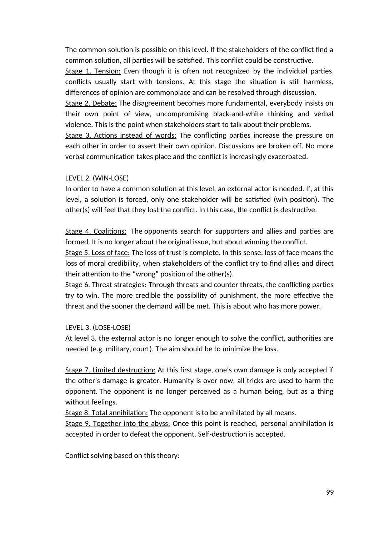The common solution is possible on this level. If the stakeholders of the conflict find a common solution, all parties will be satisfied. This conflict could be constructive.

Stage 1. Tension: Even though it is often not recognized by the individual parties, conflicts usually start with tensions. At this stage the situation is still harmless, differences of opinion are commonplace and can be resolved through discussion.

Stage 2. Debate: The disagreement becomes more fundamental, everybody insists on their own point of view, uncompromising black-and-white thinking and verbal violence. This is the point when stakeholders start to talk about their problems.

Stage 3. Actions instead of words: The conflicting parties increase the pressure on each other in order to assert their own opinion. Discussions are broken off. No more verbal communication takes place and the conflict is increasingly exacerbated.

### LEVEL 2. (WIN-LOSE)

In order to have a common solution at this level, an external actor is needed. If, at this level, a solution is forced, only one stakeholder will be satisfied (win position). The other(s) will feel that they lost the conflict. In this case, the conflict is destructive.

Stage 4. Coalitions: The opponents search for supporters and allies and parties are formed. It is no longer about the original issue, but about winning the conflict.

Stage 5. Loss of face: The loss of trust is complete. In this sense, loss of face means the loss of moral credibility, when stakeholders of the conflict try to find allies and direct their attention to the "wrong" position of the other(s).

Stage 6. Threat strategies: Through threats and counter threats, the conflicting parties try to win. The more credible the possibility of punishment, the more effective the threat and the sooner the demand will be met. This is about who has more power.

## LEVEL 3. (LOSE-LOSE)

At level 3. the external actor is no longer enough to solve the conflict, authorities are needed (e.g. military, court). The aim should be to minimize the loss.

Stage 7. Limited destruction: At this first stage, one's own damage is only accepted if the other's damage is greater. Humanity is over now, all tricks are used to harm the opponent. The opponent is no longer perceived as a human being, but as a thing without feelings.

Stage 8. Total annihilation: The opponent is to be annihilated by all means.

Stage 9. Together into the abyss: Once this point is reached, personal annihilation is accepted in order to defeat the opponent. Self-destruction is accepted.

Conflict solving based on this theory: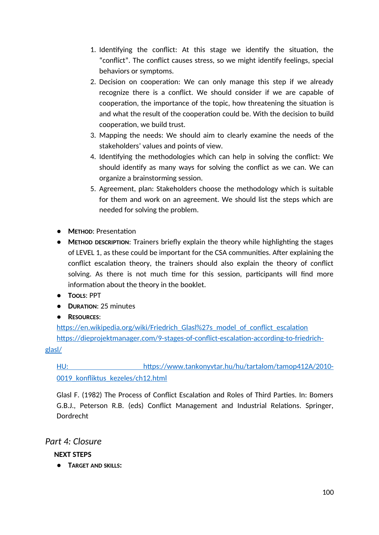- 1. Identifying the conflict: At this stage we identify the situation, the "conflict". The conflict causes stress, so we might identify feelings, special behaviors or symptoms.
- 2. Decision on cooperation: We can only manage this step if we already recognize there is a conflict. We should consider if we are capable of cooperation, the importance of the topic, how threatening the situation is and what the result of the cooperation could be. With the decision to build cooperation, we build trust.
- 3. Mapping the needs: We should aim to clearly examine the needs of the stakeholders' values and points of view.
- 4. Identifying the methodologies which can help in solving the conflict: We should identify as many ways for solving the conflict as we can. We can organize a brainstorming session.
- 5. Agreement, plan: Stakeholders choose the methodology which is suitable for them and work on an agreement. We should list the steps which are needed for solving the problem.
- **● METHOD**: Presentation
- **● METHOD DESCRIPTION**: Trainers briefly explain the theory while highlighting the stages of LEVEL 1, as these could be important for the CSA communities. After explaining the conflict escalation theory, the trainers should also explain the theory of conflict solving. As there is not much time for this session, participants will find more information about the theory in the booklet.
- **● TOOLS**: PPT
- **● DURATION**: 25 minutes
- **● RESOURCES**:

https://en.wikipedia.org/wiki/Friedrich\_Glasl%27s\_model\_of\_conflict\_escalation https://dieprojektmanager.com/9-stages-of-conflict-escalation-according-to-friedrich-

glasl/

 HU: https://www.tankonyvtar.hu/hu/tartalom/tamop412A/2010- 0019 konfliktus kezeles/ch12.html

Glasl F. (1982) The Process of Conflict Escalation and Roles of Third Parties. In: Bomers G.B.J., Peterson R.B. (eds) Conflict Management and Industrial Relations. Springer, Dordrecht

## *Part 4: Closure*

**NEXT STEPS**

**● TARGET AND SKILLS:**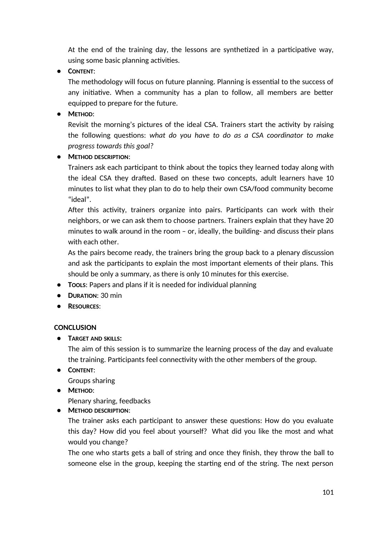At the end of the training day, the lessons are synthetized in a participative way, using some basic planning activities.

**● CONTENT**:

The methodology will focus on future planning. Planning is essential to the success of any initiative. When a community has a plan to follow, all members are better equipped to prepare for the future.

**● METHOD**:

Revisit the morning's pictures of the ideal CSA. Trainers start the activity by raising the following questions: *what do you have to do as a CSA coordinator to make progress towards this goal?*

**● METHOD DESCRIPTION**:

Trainers ask each participant to think about the topics they learned today along with the ideal CSA they drafted. Based on these two concepts, adult learners have 10 minutes to list what they plan to do to help their own CSA/food community become "ideal".

After this activity, trainers organize into pairs. Participants can work with their neighbors, or we can ask them to choose partners. Trainers explain that they have 20 minutes to walk around in the room – or, ideally, the building- and discuss their plans with each other.

As the pairs become ready, the trainers bring the group back to a plenary discussion and ask the participants to explain the most important elements of their plans. This should be only a summary, as there is only 10 minutes for this exercise.

- **● TOOLS**: Papers and plans if it is needed for individual planning
- **● DURATION**: 30 min
- **● RESOURCES**:

### **CONCLUSION**

**● TARGET AND SKILLS:** 

The aim of this session is to summarize the learning process of the day and evaluate the training. Participants feel connectivity with the other members of the group.

**● CONTENT**:

Groups sharing

**● METHOD**:

Plenary sharing, feedbacks

**● METHOD DESCRIPTION**:

The trainer asks each participant to answer these questions: How do you evaluate this day? How did you feel about yourself? What did you like the most and what would you change?

The one who starts gets a ball of string and once they finish, they throw the ball to someone else in the group, keeping the starting end of the string. The next person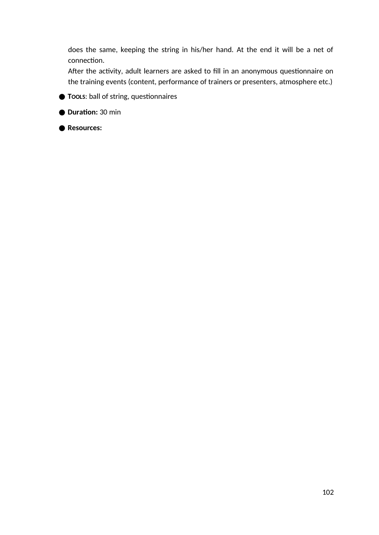does the same, keeping the string in his/her hand. At the end it will be a net of connection.

After the activity, adult learners are asked to fill in an anonymous questionnaire on the training events (content, performance of trainers or presenters, atmosphere etc.)

**● TOOLS**: ball of string, questionnaires

**● Duration:** 30 min

**● Resources:**